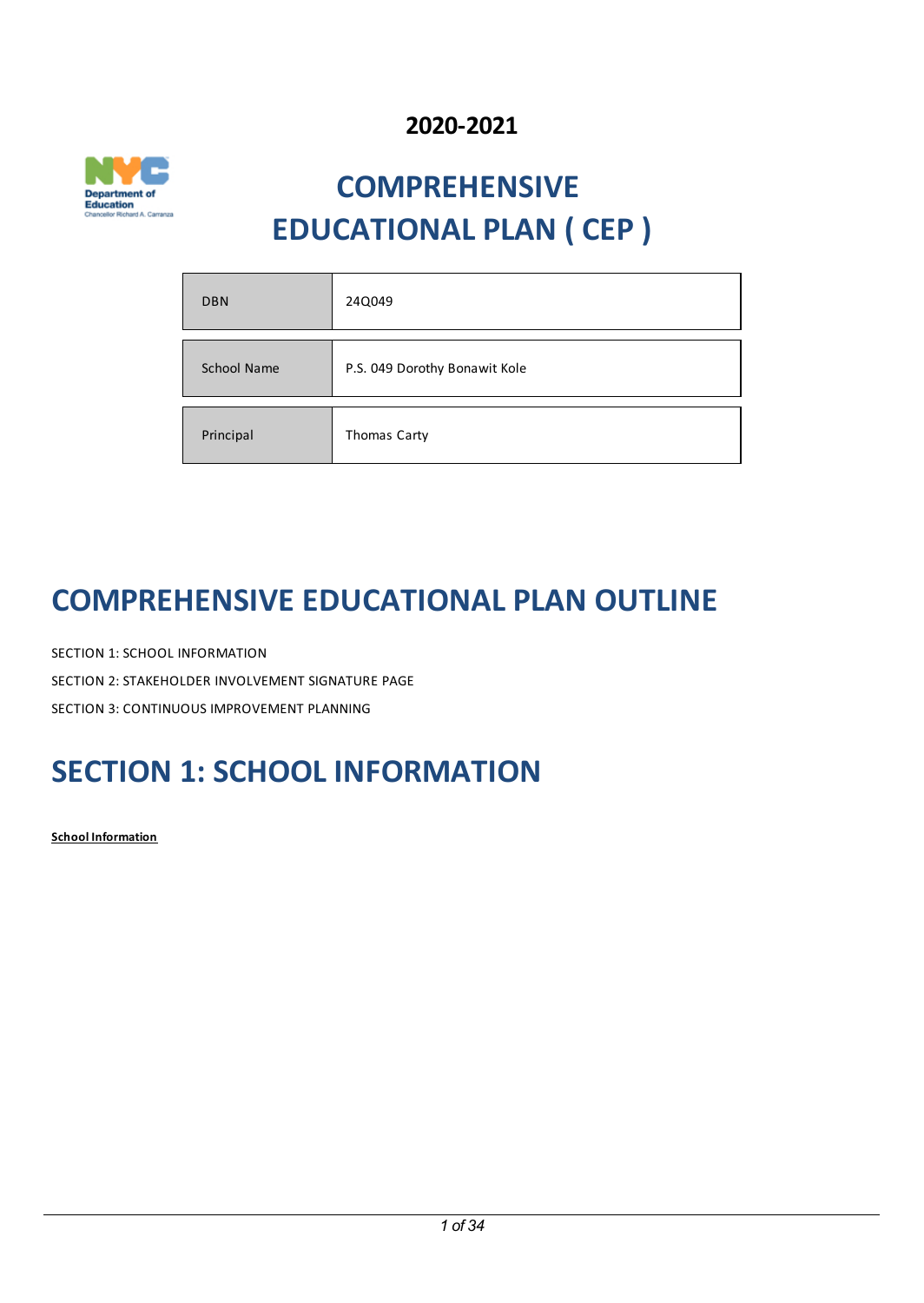## **2020-2021**



# **COMPREHENSIVE EDUCATIONAL PLAN ( CEP )**

| <b>DBN</b>         | 24Q049                        |
|--------------------|-------------------------------|
|                    |                               |
| <b>School Name</b> | P.S. 049 Dorothy Bonawit Kole |
|                    |                               |
| Principal          | Thomas Carty                  |

## **COMPREHENSIVEEDUCATIONAL PLAN OUTLINE**

SECTION 1: SCHOOL INFORMATION SECTION 2: STAKEHOLDER INVOLVEMENT SIGNATURE PAGE SECTION 3: CONTINUOUS IMPROVEMENT PLANNING

## **SECTION 1:SCHOOL INFORMATION**

**School Information**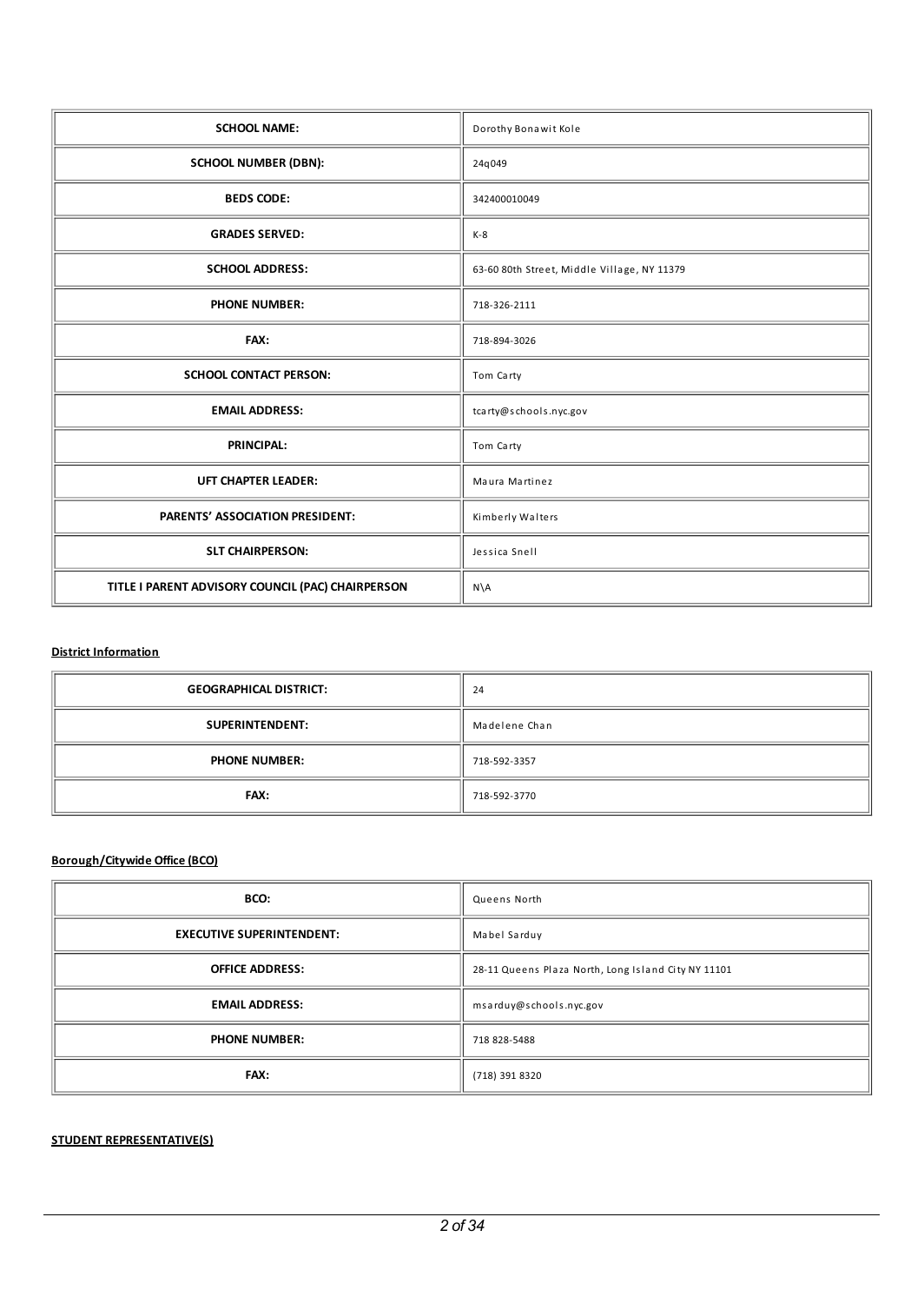| <b>SCHOOL NAME:</b>                               | Dorothy Bonawit Kole                        |  |
|---------------------------------------------------|---------------------------------------------|--|
| <b>SCHOOL NUMBER (DBN):</b>                       | 24q049                                      |  |
| <b>BEDS CODE:</b>                                 | 342400010049                                |  |
| <b>GRADES SERVED:</b>                             | $K-8$                                       |  |
| <b>SCHOOL ADDRESS:</b>                            | 63-60 80th Street, Middle Village, NY 11379 |  |
| <b>PHONE NUMBER:</b>                              | 718-326-2111                                |  |
| FAX:                                              | 718-894-3026                                |  |
| <b>SCHOOL CONTACT PERSON:</b>                     | Tom Carty                                   |  |
| <b>EMAIL ADDRESS:</b>                             | tcarty@schools.nyc.gov                      |  |
| <b>PRINCIPAL:</b>                                 | Tom Carty                                   |  |
| <b>UFT CHAPTER LEADER:</b>                        | Maura Martinez                              |  |
| PARENTS' ASSOCIATION PRESIDENT:                   | Kimberly Walters                            |  |
| <b>SLT CHAIRPERSON:</b>                           | Jessica Snell                               |  |
| TITLE I PARENT ADVISORY COUNCIL (PAC) CHAIRPERSON | $N\setminus A$                              |  |

## **District Information**

| <b>GEOGRAPHICAL DISTRICT:</b> | 24            |
|-------------------------------|---------------|
| SUPERINTENDENT:               | Madelene Chan |
| <b>PHONE NUMBER:</b>          | 718-592-3357  |
| <b>FAX:</b>                   | 718-592-3770  |

## **Borough/Citywide Office (BCO)**

| BCO:                             | Queens North                                        |  |
|----------------------------------|-----------------------------------------------------|--|
| <b>EXECUTIVE SUPERINTENDENT:</b> | Mabel Sarduy                                        |  |
| <b>OFFICE ADDRESS:</b>           | 28-11 Queens Plaza North, Long Island City NY 11101 |  |
| <b>EMAIL ADDRESS:</b>            | msarduy@schools.nyc.gov                             |  |
| <b>PHONE NUMBER:</b>             | 718 828-5488                                        |  |
| <b>FAX:</b>                      | (718) 391 8320                                      |  |

## **STUDENT REPRESENTATIVE(S)**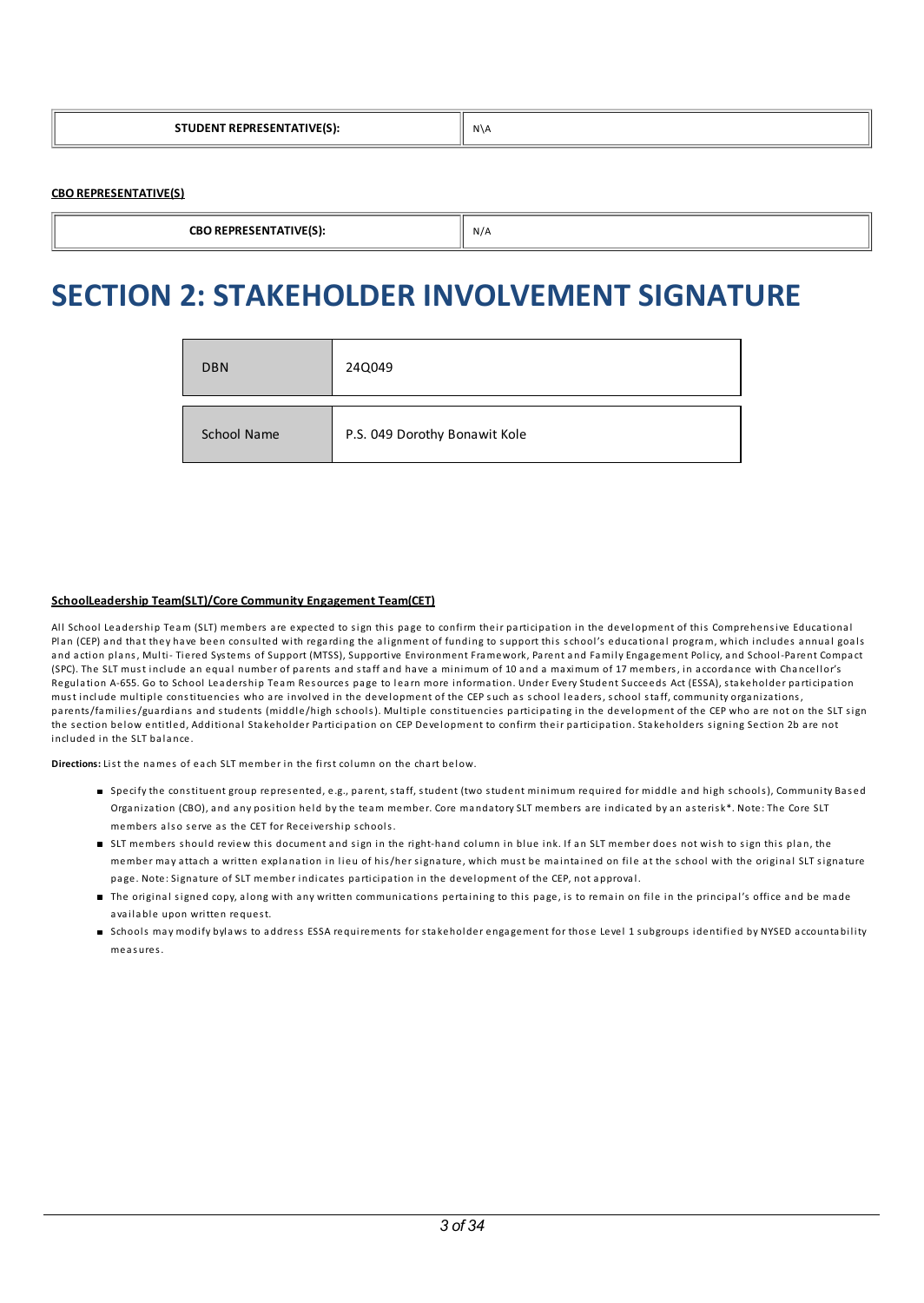|  | N\A |
|--|-----|
|--|-----|

## **CBO REPRESENTATIVE(S)**

```
CBO REPRESENTATIVE(S): \parallel N/A
```
## **SECTION 2:STAKEHOLDER INVOLVEMENT SIGNATURE**

| <b>DBN</b>  | 24Q049                        |
|-------------|-------------------------------|
| School Name | P.S. 049 Dorothy Bonawit Kole |

## **SchoolLeadership Team(SLT)/Core Community Engagement Team(CET)**

Al l School Lea ders hip Team (SLT) members are expected to sign this page to confirm their participation in the development of this Comprehensive Educational Plan (CEP) and that they have been consulted with regarding the alignment of funding to support this school's educational program, which includes annual goals and action plans, Multi- Tiered Systems of Support (MTSS), Supportive Environment Framework, Parent and Family Engagement Policy, and School-Parent Compact (SPC). The SLT must include an equal number of parents and staff and have a minimum of 10 and a maximum of 17 members, in accordance with Chancellor's Regulation A-655. Go to School Leadership Team Resources page to learn more information. Under Every Student Succeeds Act (ESSA), stakeholder participation must include multiple constituencies who are involved in the development of the CEP such as school leaders, school staff, community organizations, parents/families/guardians and students (middle/high schools). Multiple constituencies participating in the development of the CEP who are not on the SLT sign the section below entitled, Additional Stakeholder Participation on CEP Development to confirm their participation. Stakeholders signing Section 2b are not included in the SLT bala nce.

**Directions:** List the names of each SLT member in the first column on the chart below.

- Specify the constituent group represented, e.g., parent, staff, student (two student minimum required for middle and high schools), Community Based Organization (CBO), and any position held by the team member. Core mandatory SLT members are indicated by an asterisk\*. Note: The Core SLT members also serve as the CET for Receivership schools.
- If members should review this document and sign in the right-hand column in blue ink. If an SLT member does not wish to sign this plan, the member may attach a written explanation in lieu of his/her signature, which must be maintained on file at the school with the original SLT signature page. Note: Signature of SLT member indicates participation in the development of the CEP, not a pproval.
- The original signed copy, along with any written communications pertaining to this page, is to remain on file in the principal's office and be made available upon written request.
- Schools may modify bylaws to address ESSA requirements for stakeholder engagement for those Level 1 subgroups identified by NYSED accountability meas ures.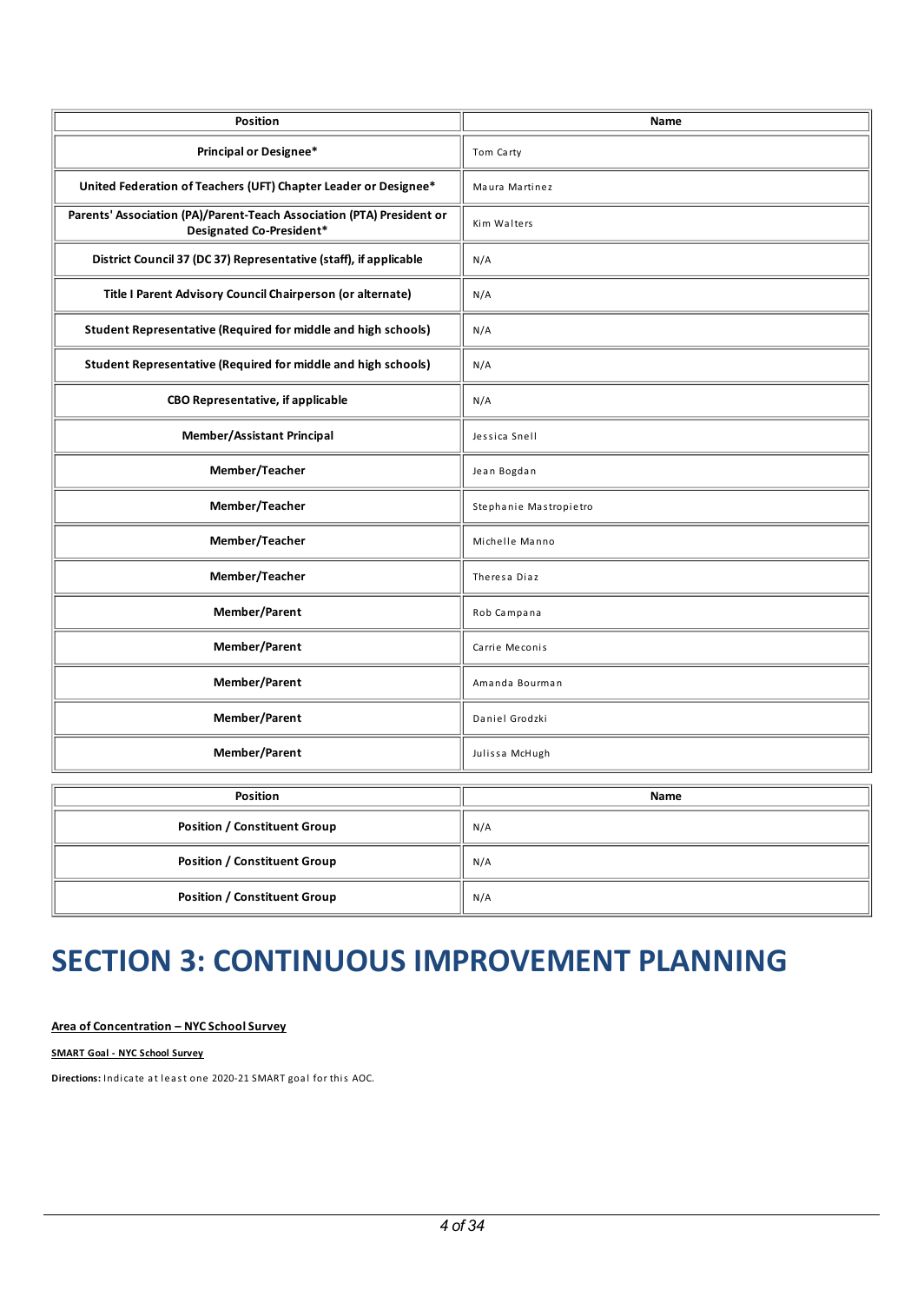| <b>Position</b>                                                                                   | Name                   |  |
|---------------------------------------------------------------------------------------------------|------------------------|--|
| Principal or Designee*                                                                            | Tom Carty              |  |
| United Federation of Teachers (UFT) Chapter Leader or Designee*                                   | Maura Martinez         |  |
| Parents' Association (PA)/Parent-Teach Association (PTA) President or<br>Designated Co-President* | Kim Walters            |  |
| District Council 37 (DC 37) Representative (staff), if applicable                                 | N/A                    |  |
| Title I Parent Advisory Council Chairperson (or alternate)                                        | N/A                    |  |
| Student Representative (Required for middle and high schools)                                     | N/A                    |  |
| <b>Student Representative (Required for middle and high schools)</b>                              | N/A                    |  |
| <b>CBO Representative, if applicable</b>                                                          | N/A                    |  |
| <b>Member/Assistant Principal</b>                                                                 | Jessica Snell          |  |
| Member/Teacher                                                                                    | Jean Bogdan            |  |
| Member/Teacher                                                                                    | Stephanie Mastropietro |  |
| Member/Teacher                                                                                    | Michelle Manno         |  |
| Member/Teacher                                                                                    | Theresa Diaz           |  |
| Member/Parent                                                                                     | Rob Campana            |  |
| Member/Parent                                                                                     | Carrie Meconis         |  |
| Member/Parent                                                                                     | Amanda Bourman         |  |
| Member/Parent                                                                                     | Daniel Grodzki         |  |
| Member/Parent                                                                                     | Julissa McHugh         |  |
|                                                                                                   |                        |  |
| <b>Position</b>                                                                                   | <b>Name</b>            |  |
|                                                                                                   |                        |  |

| POSItion                            | <b>Name</b> |
|-------------------------------------|-------------|
| <b>Position / Constituent Group</b> | N/A         |
| <b>Position / Constituent Group</b> | N/A         |
| <b>Position / Constituent Group</b> | N/A         |

# **SECTION 3: CONTINUOUSIMPROVEMENT PLANNING**

## **Area of Concentration – NYC SchoolSurvey**

**SMART Goal - NYC School Survey**

**Directions:** Indicate at least one 2020-21 SMART goal for this AOC.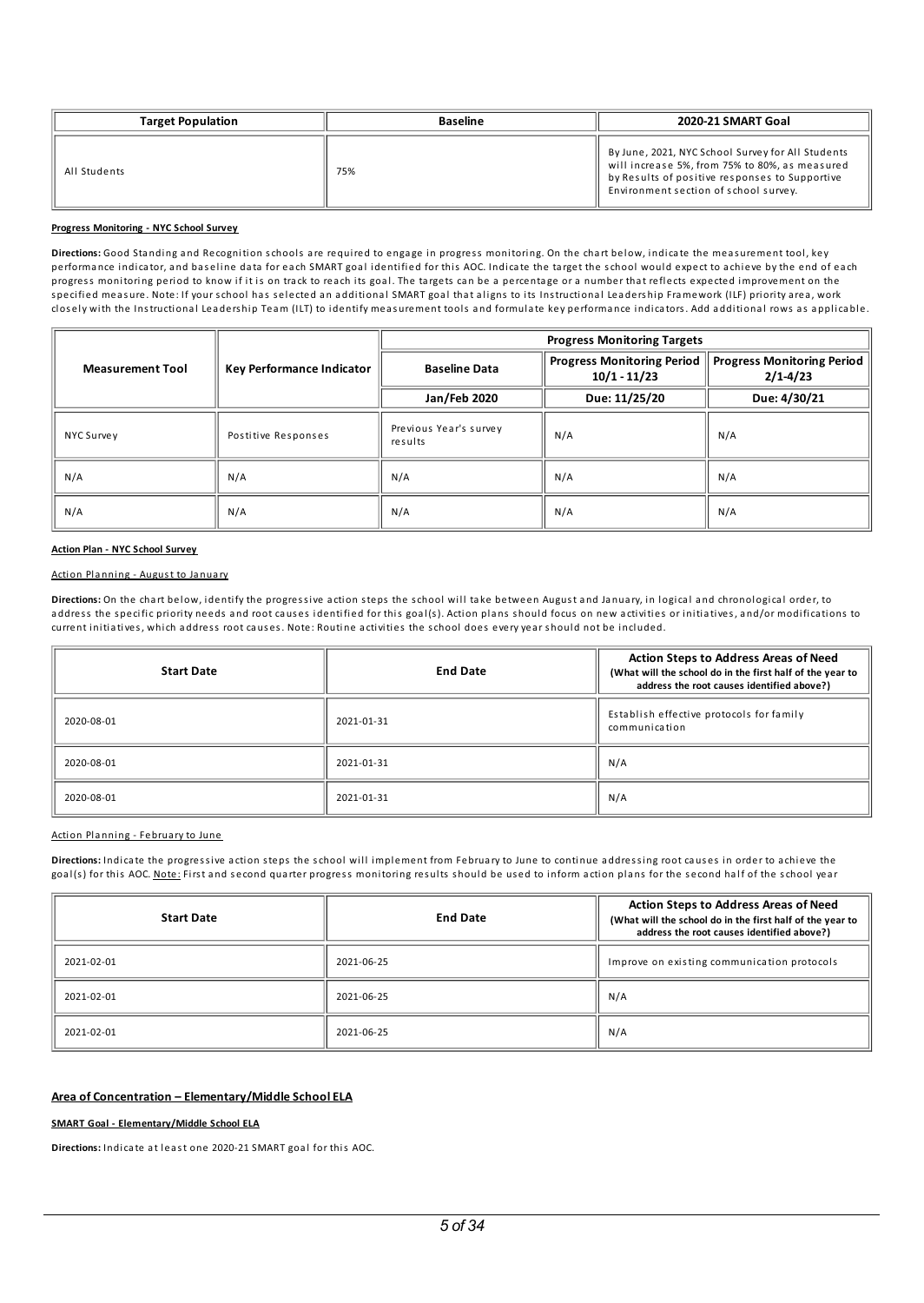| <b>Target Population</b> | <b>Baseline</b> | 2020-21 SMART Goal                                                                                                                                                                             |
|--------------------------|-----------------|------------------------------------------------------------------------------------------------------------------------------------------------------------------------------------------------|
| All Students             | 75%             | By June, 2021, NYC School Survey for All Students<br>will increase 5%, from 75% to 80%, as measured<br>by Results of positive responses to Supportive<br>Environment section of school survey. |

#### **Progress Monitoring - NYC School Survey**

Directions: Good Standing and Recognition schools are required to engage in progress monitoring. On the chart below, indicate the measurement tool, key performance indicator, and baseline data for each SMART goal identified for this AOC. Indicate the target the school would expect to achieve by the end of each progress monitoring period to know if it is on track to reach its goal. The targets ca n be a percentage or a number that reflects expected improvement on the s pecified meas ure. Note: If your school has s elected a n a dditional SMART goal that al igns to its Instructional Lea ders hip Framework (ILF) priority area, work closely with the Instructional Leadership Team (ILT) to identify measurement tools and formulate key performance indicators. Add additional rows as applicable.

|                                                      |                     | <b>Progress Monitoring Targets</b> |                                                     |                                                   |
|------------------------------------------------------|---------------------|------------------------------------|-----------------------------------------------------|---------------------------------------------------|
| <b>Measurement Tool</b><br>Key Performance Indicator |                     | <b>Baseline Data</b>               | <b>Progress Monitoring Period</b><br>$10/1 - 11/23$ | <b>Progress Monitoring Period</b><br>$2/1 - 4/23$ |
|                                                      |                     | Jan/Feb 2020                       | Due: 11/25/20                                       | Due: 4/30/21                                      |
| NYC Survey                                           | Postitive Responses | Previous Year's survey<br>results  | N/A                                                 | N/A                                               |
| N/A                                                  | N/A                 | N/A                                | N/A                                                 | N/A                                               |
| N/A                                                  | N/A                 | N/A                                | N/A                                                 | N/A                                               |

#### **Action Plan - NYC School Survey**

#### Action Pla nning - August to Ja nuary

Directions: On the chart below, identify the progressive action steps the school will take between August and January, in logical and chronological order, to address the specific priority needs and root causes identified for this goal(s). Action plans should focus on new activities or initiatives, and/or modifications to current initiatives, which address root causes. Note: Routine activities the school does every year should not be included.

| <b>Start Date</b> | <b>End Date</b> | <b>Action Steps to Address Areas of Need</b><br>(What will the school do in the first half of the year to<br>address the root causes identified above?) |
|-------------------|-----------------|---------------------------------------------------------------------------------------------------------------------------------------------------------|
| 2020-08-01        | 2021-01-31      | Establish effective protocols for family<br>communication                                                                                               |
| 2020-08-01        | 2021-01-31      | N/A                                                                                                                                                     |
| 2020-08-01        | 2021-01-31      | N/A                                                                                                                                                     |

#### Action Planning - February to June

Directions: Indicate the progressive action steps the school will implement from February to June to continue addressing root causes in order to achieve the goal(s) for this AOC. Note: First and second quarter progress monitoring results should be used to inform action plans for the second half of the school year

| <b>Start Date</b> | <b>End Date</b> | <b>Action Steps to Address Areas of Need</b><br>(What will the school do in the first half of the year to<br>address the root causes identified above?) |
|-------------------|-----------------|---------------------------------------------------------------------------------------------------------------------------------------------------------|
| 2021-02-01        | 2021-06-25      | Improve on existing communication protocols                                                                                                             |
| 2021-02-01        | 2021-06-25      | N/A                                                                                                                                                     |
| 2021-02-01        | 2021-06-25      | N/A                                                                                                                                                     |

#### **Area of Concentration – Elementary/Middle SchoolELA**

#### **SMART Goal - Elementary/Middle School ELA**

**Directions:** Indicate at least one 2020-21 SMART goal for this AOC.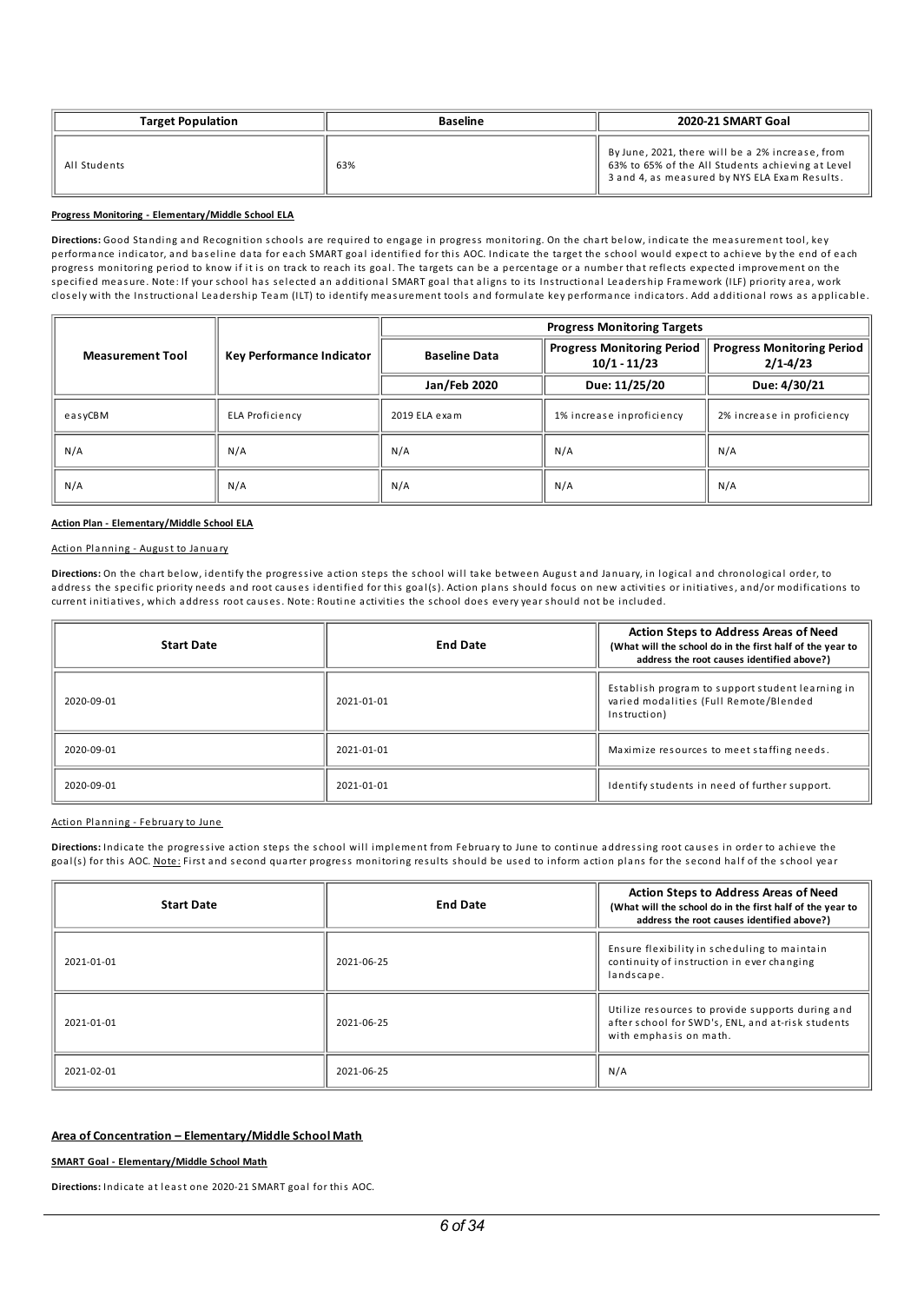| <b>Target Population</b> | <b>Baseline</b> | 2020-21 SMART Goal                                                                                                                                     |
|--------------------------|-----------------|--------------------------------------------------------------------------------------------------------------------------------------------------------|
| All Students             | 63%             | By June, 2021, there will be a 2% increase, from<br>63% to 65% of the All Students achieving at Level<br>3 and 4, as measured by NYS ELA Exam Results. |

#### **Progress Monitoring - Elementary/Middle School ELA**

Directions: Good Standing and Recognition schools are required to engage in progress monitoring. On the chart below, indicate the measurement tool, key performance indicator, and baseline data for each SMART goal identified for this AOC. Indicate the target the school would expect to achieve by the end of each progress monitoring period to know if it is on track to reach its goal. The targets ca n be a percentage or a number that reflects expected improvement on the s pecified meas ure. Note: If your school has s elected a n a dditional SMART goal that al igns to its Instructional Lea ders hip Framework (ILF) priority area, work closely with the Instructional Leadership Team (ILT) to identify measurement tools and formulate key performance indicators. Add additional rows as applicable.

|                         |                           | <b>Progress Monitoring Targets</b> |                                                     |                                                   |  |
|-------------------------|---------------------------|------------------------------------|-----------------------------------------------------|---------------------------------------------------|--|
| <b>Measurement Tool</b> | Key Performance Indicator | <b>Baseline Data</b>               | <b>Progress Monitoring Period</b><br>$10/1 - 11/23$ | <b>Progress Monitoring Period</b><br>$2/1 - 4/23$ |  |
|                         |                           | Jan/Feb 2020                       | Due: 11/25/20                                       | Due: 4/30/21                                      |  |
| easyCBM                 | ELA Proficiency           | 2019 ELA exam                      | 1% increase inproficiency                           | 2% increase in proficiency                        |  |
| N/A                     | N/A                       | N/A                                | N/A                                                 | N/A                                               |  |
| N/A                     | N/A                       | N/A                                | N/A                                                 | N/A                                               |  |

#### **Action Plan - Elementary/Middle School ELA**

#### Action Planning - August to January

Directions: On the chart below, identify the progressive action steps the school will take between August and January, in logical and chronological order, to address the specific priority needs and root causes identified for this goal(s). Action plans should focus on new activities or initiatives, and/or modifications to current initiatives, which address root causes. Note: Routine activities the school does every year should not be included.

| <b>Start Date</b> | <b>End Date</b> | <b>Action Steps to Address Areas of Need</b><br>(What will the school do in the first half of the year to<br>address the root causes identified above?) |
|-------------------|-----------------|---------------------------------------------------------------------------------------------------------------------------------------------------------|
| 2020-09-01        | 2021-01-01      | Establish program to support student learning in<br>varied modalities (Full Remote/Blended<br>Instruction)                                              |
| 2020-09-01        | 2021-01-01      | Maximize resources to meet staffing needs.                                                                                                              |
| 2020-09-01        | 2021-01-01      | Identify students in need of further support.                                                                                                           |

#### Action Planning - February to June

Directions: Indicate the progressive action steps the school will implement from February to June to continue addressing root causes in order to achieve the goal(s) for this AOC. Note: First and second quarter progress monitoring results should be used to inform action plans for the second half of the school year

| <b>Start Date</b> | <b>End Date</b> | <b>Action Steps to Address Areas of Need</b><br>(What will the school do in the first half of the year to<br>address the root causes identified above?) |
|-------------------|-----------------|---------------------------------------------------------------------------------------------------------------------------------------------------------|
| 2021-01-01        | 2021-06-25      | Ensure flexibility in scheduling to maintain<br>continuity of instruction in ever changing<br>landscape.                                                |
| 2021-01-01        | 2021-06-25      | Utilize resources to provide supports during and<br>after school for SWD's, ENL, and at-risk students<br>with emphasis on math.                         |
| 2021-02-01        | 2021-06-25      | N/A                                                                                                                                                     |

### **Area of Concentration – Elementary/Middle School Math**

#### **SMART Goal - Elementary/Middle School Math**

**Directions:** Indicate at least one 2020-21 SMART goal for this AOC.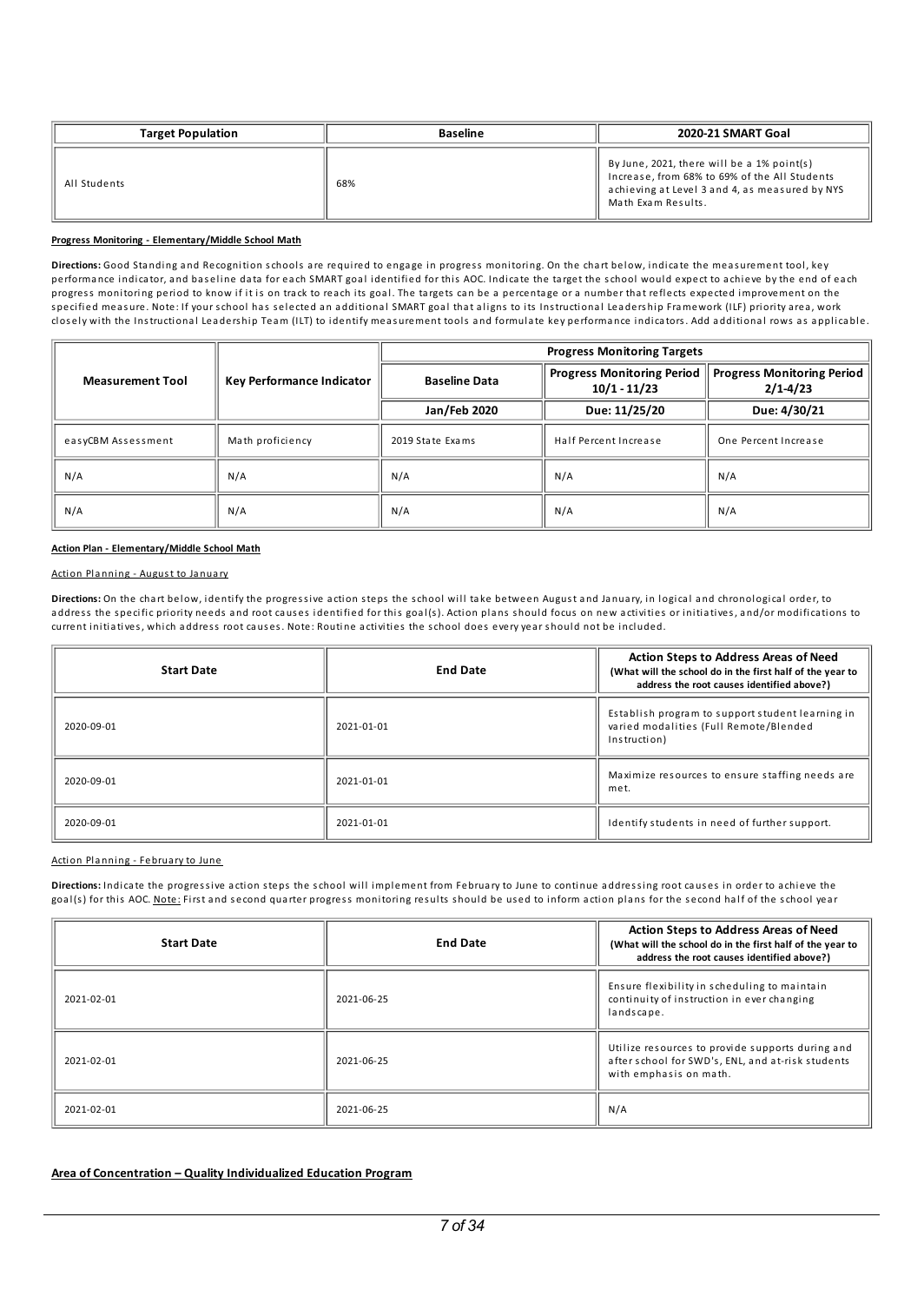| <b>Target Population</b> | <b>Baseline</b> | 2020-21 SMART Goal                                                                                                                                                  |  |
|--------------------------|-----------------|---------------------------------------------------------------------------------------------------------------------------------------------------------------------|--|
| All Students             | 68%             | By June, 2021, there will be a 1% point(s)<br>Increase, from 68% to 69% of the All Students<br>achieving at Level 3 and 4, as measured by NYS<br>Math Exam Results. |  |

### **Progress Monitoring - Elementary/Middle School Math**

Directions: Good Standing and Recognition schools are required to engage in progress monitoring. On the chart below, indicate the measurement tool, key performance indicator, and baseline data for each SMART goal identified for this AOC. Indicate the target the school would expect to achieve by the end of each progress monitoring period to know if it is on track to reach its goal. The targets ca n be a percentage or a number that reflects expected improvement on the specified measure. Note: If your school has selected an additional SMART goal that aligns to its Instructional Leadership Framework (ILF) priority area, work closely with the Instructional Leadership Team (ILT) to identify measurement tools and formulate key performance indicators. Add additional rows as applicable.

|                         |                           | <b>Progress Monitoring Targets</b> |                                                     |                                                   |
|-------------------------|---------------------------|------------------------------------|-----------------------------------------------------|---------------------------------------------------|
| <b>Measurement Tool</b> | Key Performance Indicator | <b>Baseline Data</b>               | <b>Progress Monitoring Period</b><br>$10/1 - 11/23$ | <b>Progress Monitoring Period</b><br>$2/1 - 4/23$ |
|                         |                           | Jan/Feb 2020                       | Due: 11/25/20                                       | Due: 4/30/21                                      |
| easyCBM Assessment      | Math proficiency          | 2019 State Exams                   | Half Percent Increase                               | One Percent Increase                              |
| N/A                     | N/A                       | N/A                                | N/A                                                 | N/A                                               |
| N/A                     | N/A                       | N/A                                | N/A                                                 | N/A                                               |

#### **Action Plan - Elementary/Middle School Math**

#### Action Planning - August to January

Directions: On the chart below, identify the progressive action steps the school will take between August and January, in logical and chronological order, to address the specific priority needs and root causes identified for this goal(s). Action plans should focus on new activities or initiatives, and/or modifications to current initiatives, which address root causes. Note: Routine activities the school does every year should not be included.

| <b>Start Date</b> | <b>End Date</b> | <b>Action Steps to Address Areas of Need</b><br>(What will the school do in the first half of the year to<br>address the root causes identified above?) |
|-------------------|-----------------|---------------------------------------------------------------------------------------------------------------------------------------------------------|
| 2020-09-01        | 2021-01-01      | Establish program to support student learning in<br>varied modalities (Full Remote/Blended<br>Instruction)                                              |
| 2020-09-01        | 2021-01-01      | Maximize resources to ensure staffing needs are<br>met.                                                                                                 |
| 2020-09-01        | 2021-01-01      | Identify students in need of further support.                                                                                                           |

### Action Planning - February to June

Directions: Indicate the progressive action steps the school will implement from February to June to continue addressing root causes in order to achieve the goal(s) for this AOC. Note: First and second quarter progress monitoring results should be used to inform action plans for the second half of the school year

| <b>Start Date</b> | <b>End Date</b> | <b>Action Steps to Address Areas of Need</b><br>(What will the school do in the first half of the year to<br>address the root causes identified above?) |
|-------------------|-----------------|---------------------------------------------------------------------------------------------------------------------------------------------------------|
| 2021-02-01        | 2021-06-25      | Ensure flexibility in scheduling to maintain<br>continuity of instruction in ever changing<br>landscape.                                                |
| 2021-02-01        | 2021-06-25      | Utilize resources to provide supports during and<br>after school for SWD's, ENL, and at-risk students<br>with emphasis on math.                         |
| 2021-02-01        | 2021-06-25      | N/A                                                                                                                                                     |

## **Area of Concentration – Quality Individualized Education Program**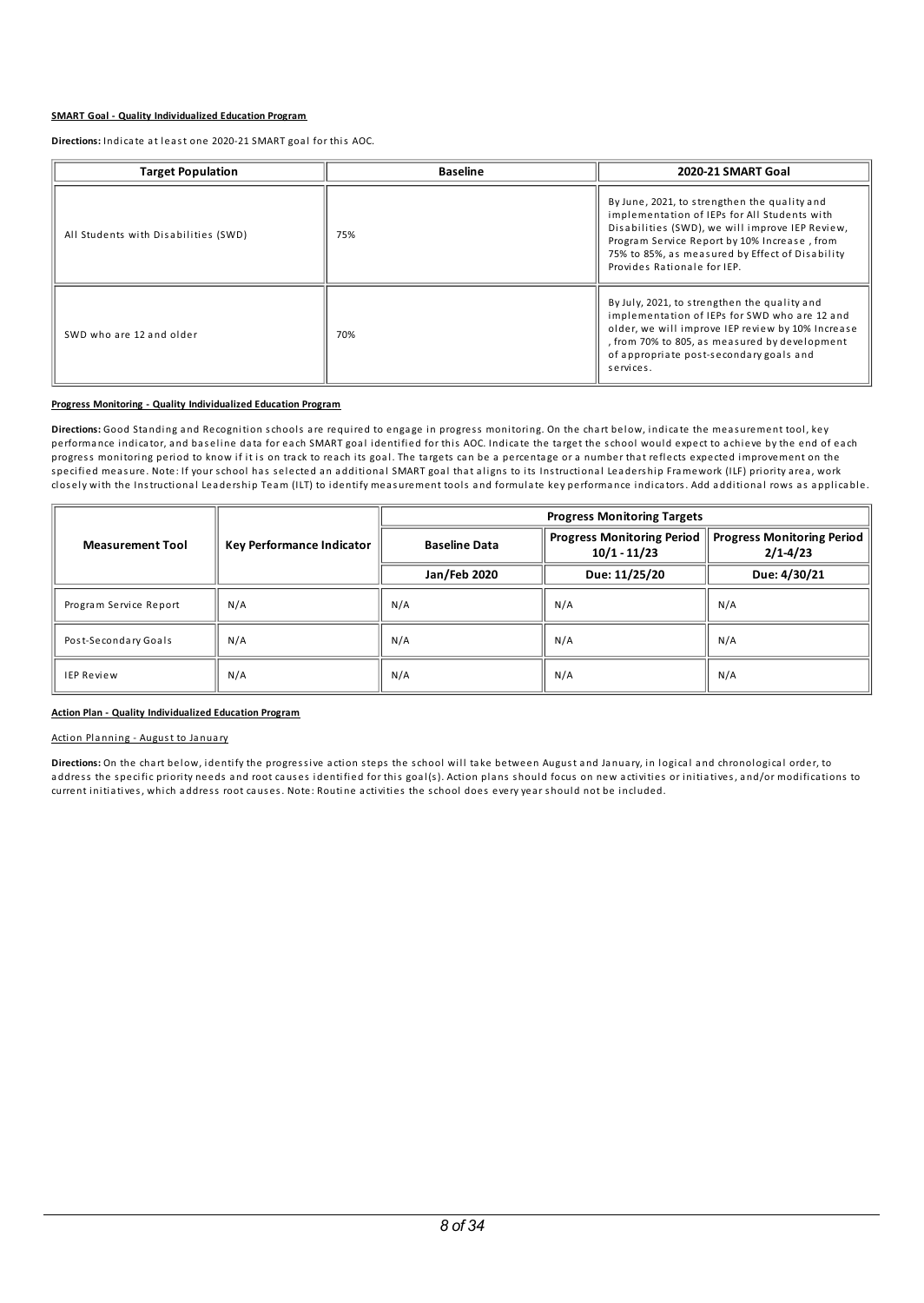#### **SMART Goal - Quality Individualized Education Program**

**Directions:** Indicate at least one 2020-21 SMART goal for this AOC.

| <b>Target Population</b>             | <b>Baseline</b> | 2020-21 SMART Goal                                                                                                                                                                                                                                                                |
|--------------------------------------|-----------------|-----------------------------------------------------------------------------------------------------------------------------------------------------------------------------------------------------------------------------------------------------------------------------------|
| All Students with Disabilities (SWD) | 75%             | By June, 2021, to strengthen the quality and<br>implementation of IEPs for All Students with<br>Disabilities (SWD), we will improve IEP Review,<br>Program Service Report by 10% Increase, from<br>75% to 85%, as measured by Effect of Disability<br>Provides Rationale for IEP. |
| SWD who are 12 and older             | 70%             | By July, 2021, to strengthen the quality and<br>implementation of IEPs for SWD who are 12 and<br>older, we will improve IEP review by 10% Increase<br>, from 70% to 805, as measured by development<br>of appropriate post-secondary goals and<br>services.                       |

#### **Progress Monitoring - Quality Individualized Education Program**

Directions: Good Standing and Recognition schools are required to engage in progress monitoring. On the chart below, indicate the measurement tool, key performance indicator, and baseline data for each SMART goal identified for this AOC. Indicate the target the school would expect to achieve by the end of each progress monitoring period to know if it is on track to reach its goal. The targets ca n be a percentage or a number that reflects expected improvement on the s pecified meas ure. Note: If your school has s elected a n a dditional SMART goal that al igns to its Instructional Lea ders hip Framework (ILF) priority area, work closely with the Instructional Leadership Team (ILT) to identify measurement tools and formulate key performance indicators. Add additional rows as applicable.

|                         |                           | <b>Progress Monitoring Targets</b> |                                                     |                                                   |
|-------------------------|---------------------------|------------------------------------|-----------------------------------------------------|---------------------------------------------------|
| <b>Measurement Tool</b> | Key Performance Indicator | <b>Baseline Data</b>               | <b>Progress Monitoring Period</b><br>$10/1 - 11/23$ | <b>Progress Monitoring Period</b><br>$2/1 - 4/23$ |
|                         |                           | Jan/Feb 2020                       | Due: 11/25/20                                       | Due: 4/30/21                                      |
| Program Service Report  | N/A                       | N/A                                | N/A                                                 | N/A                                               |
| Post-Secondary Goals    | N/A                       | N/A                                | N/A                                                 | N/A                                               |
| <b>IEP Review</b>       | N/A                       | N/A                                | N/A                                                 | N/A                                               |

#### **Action Plan - Quality Individualized Education Program**

### Action Planning - August to January

Directions: On the chart below, identify the progressive action steps the school will take between August and January, in logical and chronological order, to address the specific priority needs and root causes identified for this goal(s). Action plans should focus on new activities or initiatives, and/or modifications to current initiatives, which address root causes. Note: Routine activities the school does every year should not be included.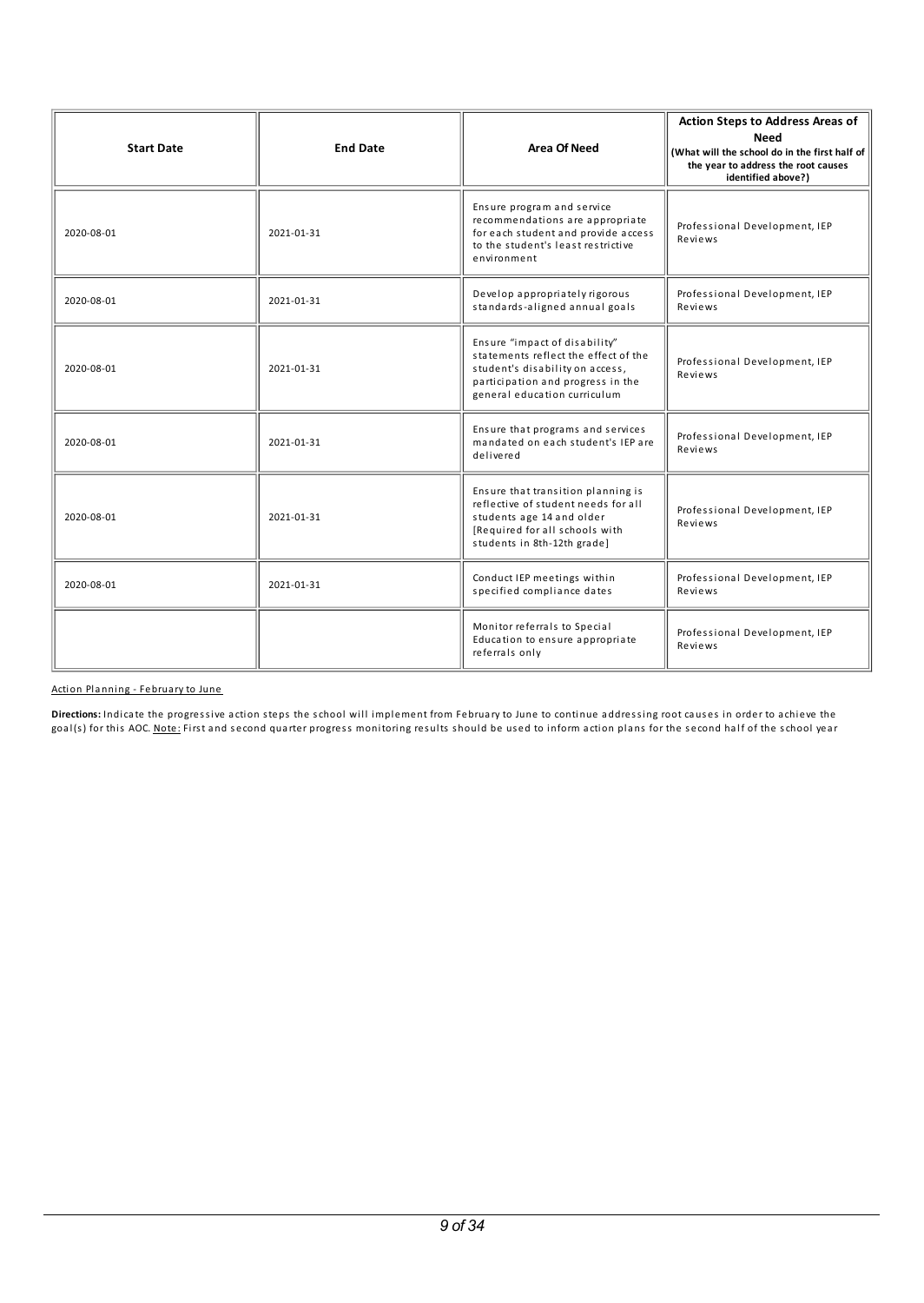| <b>Start Date</b> | <b>End Date</b> | <b>Area Of Need</b>                                                                                                                                                           | <b>Action Steps to Address Areas of</b><br>Need<br>(What will the school do in the first half of<br>the year to address the root causes<br>identified above?) |
|-------------------|-----------------|-------------------------------------------------------------------------------------------------------------------------------------------------------------------------------|---------------------------------------------------------------------------------------------------------------------------------------------------------------|
| 2020-08-01        | 2021-01-31      | Ensure program and service<br>recommendations are appropriate<br>for each student and provide access<br>to the student's least restrictive<br>environment                     | Professional Development, IEP<br>Reviews                                                                                                                      |
| 2020-08-01        | 2021-01-31      | Develop appropriately rigorous<br>standards-aligned annual goals                                                                                                              | Professional Development, IEP<br>Reviews                                                                                                                      |
| 2020-08-01        | 2021-01-31      | Ensure "impact of disability"<br>statements reflect the effect of the<br>student's disability on access,<br>participation and progress in the<br>general education curriculum | Professional Development, IEP<br>Reviews                                                                                                                      |
| 2020-08-01        | 2021-01-31      | Ensure that programs and services<br>mandated on each student's IEP are<br>delivered                                                                                          | Professional Development, IEP<br>Reviews                                                                                                                      |
| 2020-08-01        | 2021-01-31      | Ensure that transition planning is<br>reflective of student needs for all<br>students age 14 and older<br>[Required for all schools with<br>students in 8th-12th grade]       | Professional Development, IEP<br>Reviews                                                                                                                      |
| 2020-08-01        | 2021-01-31      | Conduct IEP meetings within<br>specified compliance dates                                                                                                                     | Professional Development, IEP<br>Reviews                                                                                                                      |
|                   |                 | Monitor referrals to Special<br>Education to ensure appropriate<br>referrals only                                                                                             | Professional Development, IEP<br>Reviews                                                                                                                      |

Action Planning - February to June

Directions: Indicate the progressive action steps the school will implement from February to June to continue addressing root causes in order to achieve the goal(s) for this AOC. Note: First and second quarter progress monitoring results should be used to inform action plans for the second half of the school year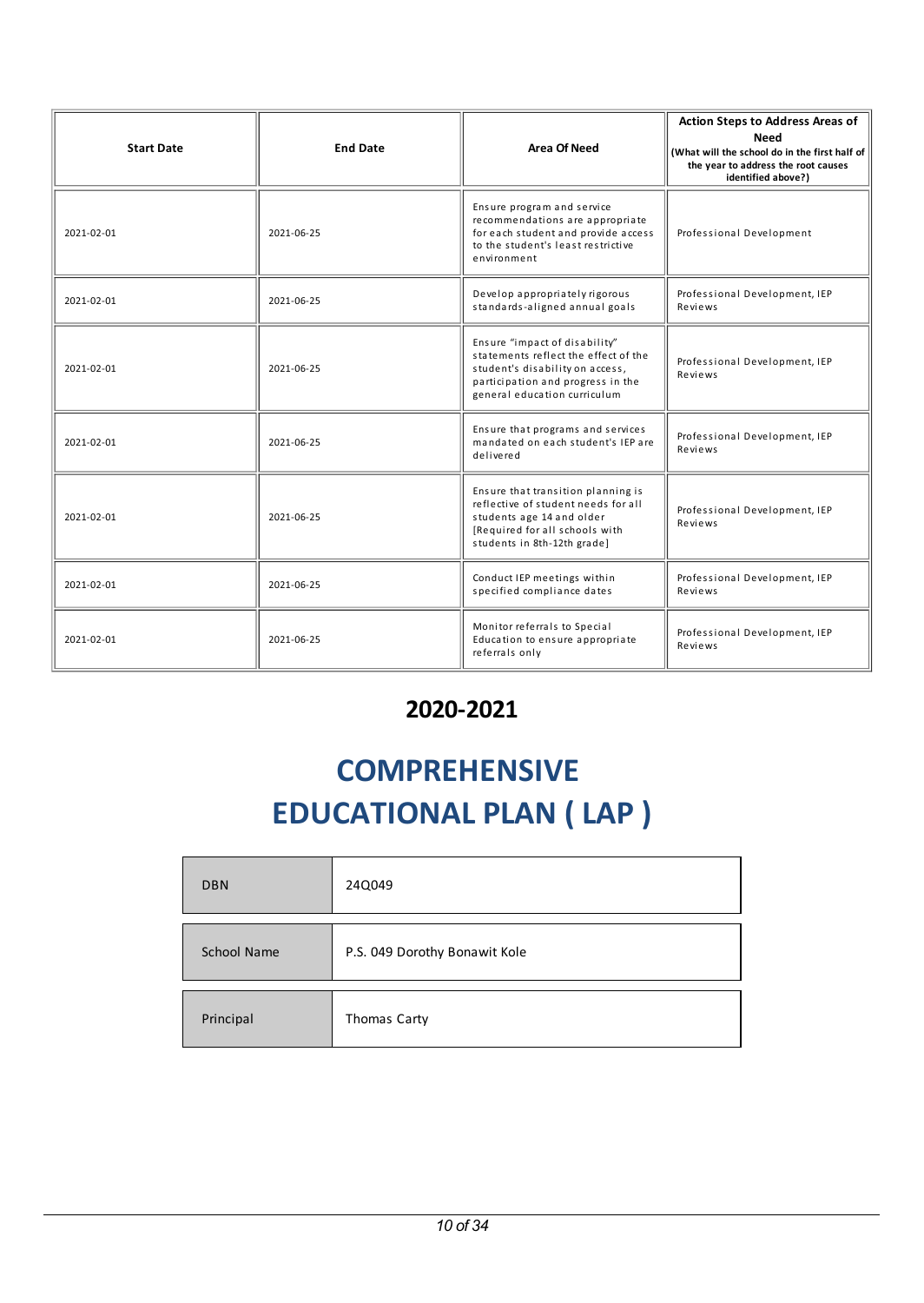| <b>Start Date</b> | <b>End Date</b> | <b>Area Of Need</b>                                                                                                                                                           | <b>Action Steps to Address Areas of</b><br><b>Need</b><br>(What will the school do in the first half of<br>the year to address the root causes<br>identified above?) |
|-------------------|-----------------|-------------------------------------------------------------------------------------------------------------------------------------------------------------------------------|----------------------------------------------------------------------------------------------------------------------------------------------------------------------|
| 2021-02-01        | 2021-06-25      | Ensure program and service<br>recommendations are appropriate<br>for each student and provide access<br>to the student's least restrictive<br>environment                     | Professional Development                                                                                                                                             |
| 2021-02-01        | 2021-06-25      | Develop appropriately rigorous<br>standards-aligned annual goals                                                                                                              | Professional Development, IEP<br>Reviews                                                                                                                             |
| 2021-02-01        | 2021-06-25      | Ensure "impact of disability"<br>statements reflect the effect of the<br>student's disability on access,<br>participation and progress in the<br>general education curriculum | Professional Development, IEP<br>Reviews                                                                                                                             |
| 2021-02-01        | 2021-06-25      | Ensure that programs and services<br>mandated on each student's IEP are<br>delivered                                                                                          | Professional Development, IEP<br>Reviews                                                                                                                             |
| 2021-02-01        | 2021-06-25      | Ensure that transition planning is<br>reflective of student needs for all<br>students age 14 and older<br>[Required for all schools with<br>students in 8th-12th grade]       | Professional Development, IEP<br>Reviews                                                                                                                             |
| 2021-02-01        | 2021-06-25      | Conduct IEP meetings within<br>specified compliance dates                                                                                                                     | Professional Development, IEP<br>Reviews                                                                                                                             |
| 2021-02-01        | 2021-06-25      | Monitor referrals to Special<br>Education to ensure appropriate<br>referrals only                                                                                             | Professional Development, IEP<br>Reviews                                                                                                                             |

## **2020-2021**

# **COMPREHENSIVE EDUCATIONAL PLAN ( LAP )**

| <b>DBN</b>  | 24Q049                        |
|-------------|-------------------------------|
| School Name | P.S. 049 Dorothy Bonawit Kole |
| Principal   | Thomas Carty                  |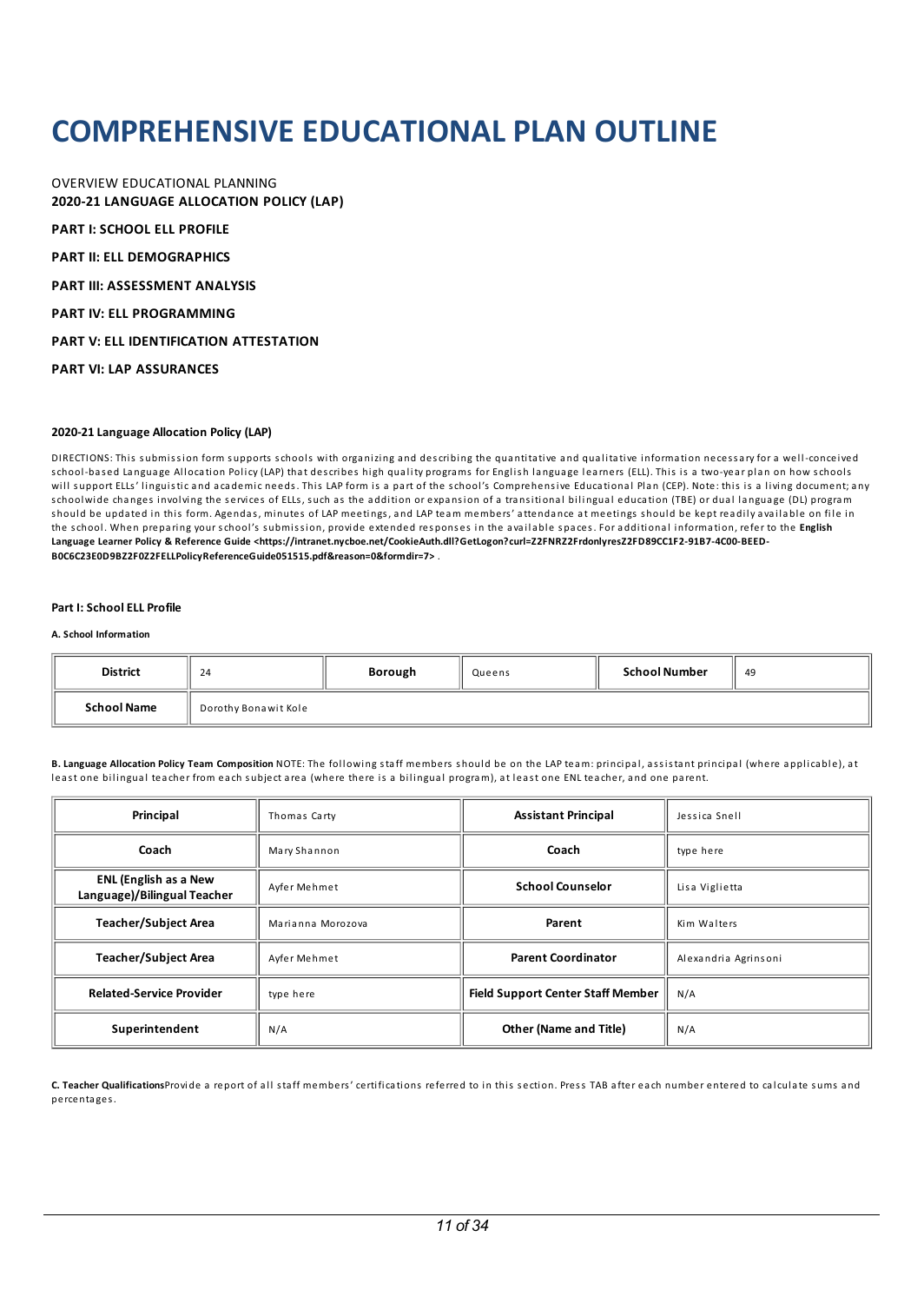## **COMPREHENSIVEEDUCATIONAL PLAN OUTLINE**

OVERVIEW EDUCATIONAL PLANNING **2020-21 LANGUAGE ALLOCATION POLICY (LAP)**

**PART I: SCHOOL ELL PROFILE**

**PART II: ELL DEMOGRAPHICS** 

**PART III: ASSESSMENT ANALYSIS**

**PART IV: ELL PROGRAMMING** 

**PART V:ELL IDENTIFICATION ATTESTATION**

**PART VI: LAP ASSURANCES**

#### **2020-21 Language Allocation Policy (LAP)**

DIRECTIONS: This submission form supports schools with organizing and describing the quantitative and qualitative information necessary for a well-conceived school-based Language Allocation Policy (LAP) that describes high quality programs for English language learners (ELL). This is a two-year plan on how schools will support ELLs' linguistic and academic needs. This LAP form is a part of the school's Comprehensive Educational Plan (CEP). Note: this is a living document; any schoolwide changes involving the services of ELLs, such as the addition or expansion of a transitional bilingual education (TBE) or dual language (DL) program should be updated in this form. Agendas, minutes of LAP meetings, and LAP team members' attendance at meetings should be kept readily available on file in the school. When preparing your school's s ubmission, provide extended res pons es in the avai la ble s paces. For a dditional information, refer to the **English Language Learner Policy & Reference Guide <https://intranet.nycboe.net/CookieAuth.dll?GetLogon?curl=Z2FNRZ2FrdonlyresZ2FD89CC1F2-91B7-4C00-BEED-B0C6C23E0D9BZ2F0Z2FELLPolicyReferenceGuide051515.pdf&reason=0&formdir=7>** .

#### **Part I: School ELL Profile**

#### **A. School Information**

| <b>District</b>    | 24                   | Borough | Queens | <b>School Number</b> | 49 |
|--------------------|----------------------|---------|--------|----------------------|----|
| <b>School Name</b> | Dorothy Bonawit Kole |         |        |                      |    |

B. Language Allocation Policy Team Composition NOTE: The following staff members should be on the LAP team: principal, assistant principal (where applicable), at least one bilingual teacher from each subject area (where there is a bilingual program), at least one ENL teacher, and one parent.

| Principal                                                   | Thomas Carty      | <b>Assistant Principal</b>               | Jessica Snell        |
|-------------------------------------------------------------|-------------------|------------------------------------------|----------------------|
| Coach                                                       | Mary Shannon      | Coach                                    | type here            |
| <b>ENL (English as a New</b><br>Language)/Bilingual Teacher | Ayfer Mehmet      | <b>School Counselor</b>                  | Lisa Viglietta       |
| <b>Teacher/Subject Area</b>                                 | Marianna Morozova | Parent                                   | Kim Walters          |
| <b>Teacher/Subject Area</b>                                 | Ayfer Mehmet      | <b>Parent Coordinator</b>                | Alexandria Agrinsoni |
| <b>Related-Service Provider</b>                             | type here         | <b>Field Support Center Staff Member</b> | N/A                  |
| Superintendent                                              | N/A               | <b>Other (Name and Title)</b>            | N/A                  |

**C. Teacher Qualifications**Provide a report of al l staff members' certifications referred to in this s ection. Press TAB after each number entered to calculate s ums a nd percentages.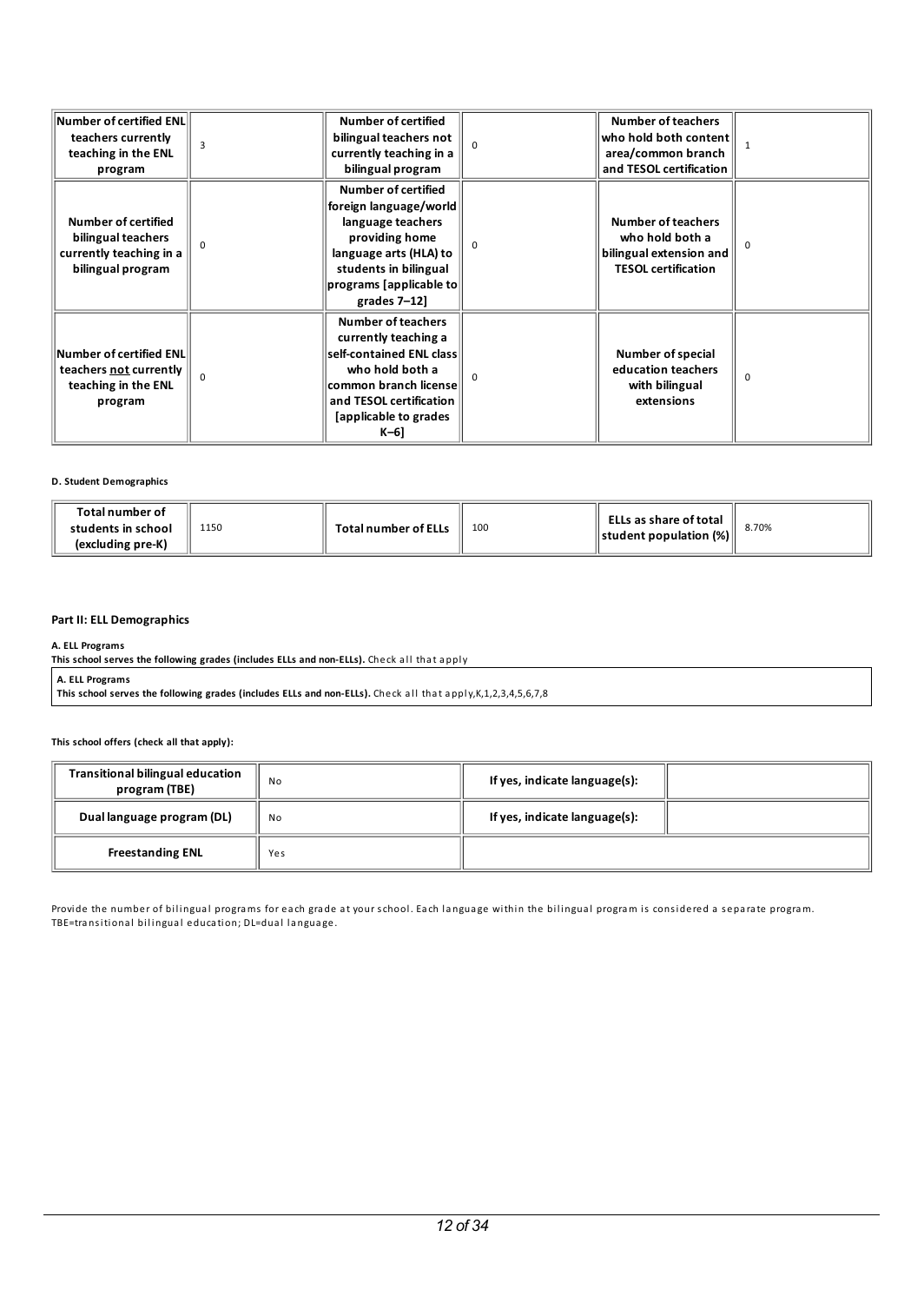| $\left\vert$ Number of certified ENL $\right\vert$<br>teachers currently<br>teaching in the ENL<br>program |          | <b>Number of certified</b><br>bilingual teachers not<br>currently teaching in a<br>bilingual program                                                                                                |          | <b>Number of teachers</b><br>who hold both content<br>area/common branch<br>and TESOL certification   |          |
|------------------------------------------------------------------------------------------------------------|----------|-----------------------------------------------------------------------------------------------------------------------------------------------------------------------------------------------------|----------|-------------------------------------------------------------------------------------------------------|----------|
| Number of certified<br>bilingual teachers<br>currently teaching in a<br>bilingual program                  | $\Omega$ | <b>Number of certified</b><br> foreign language/world <br>language teachers<br>providing home<br>language arts (HLA) to<br>students in bilingual<br>$ $ programs [applicable to $ $<br>grades 7-12] | $\Omega$ | <b>Number of teachers</b><br>who hold both a<br>bilingual extension and<br><b>TESOL certification</b> | $\Omega$ |
| $\sf{Number\,of\,certified\;FNL}$<br>teachers not currently<br>teaching in the ENL<br>program              |          | <b>Number of teachers</b><br>currently teaching a<br>self-contained ENL class<br>who hold both a<br>common branch license<br>and TESOL certification<br>[applicable to grades]<br>K-6]              |          | <b>Number of special</b><br>education teachers<br>with bilingual<br>extensions                        | $\Omega$ |

## **D. Student Demographics**

| Total number of<br>1150<br>students in school<br>(excluding pre-K) | Total number of ELLs | 10 <sup>c</sup> | ELLs as share of total<br>$\parallel$ student population (%) $\parallel$ | 8.70% |
|--------------------------------------------------------------------|----------------------|-----------------|--------------------------------------------------------------------------|-------|
|--------------------------------------------------------------------|----------------------|-----------------|--------------------------------------------------------------------------|-------|

### **Part II: ELL Demographics**

**A. ELL Programs**

**This school serves the following grades (includes ELLs and non-ELLs).** Check al l that a pply

**A. ELL Programs**

**This school serves the following grades (includes ELLs and non-ELLs).** Check al l that a pply,K,1,2,3,4,5,6,7,8

### **This school offers (check all that apply):**

| <b>Transitional bilingual education</b><br>program (TBE) | No  | If yes, indicate language(s): |  |
|----------------------------------------------------------|-----|-------------------------------|--|
| Dual language program (DL)                               | No  | If yes, indicate language(s): |  |
| <b>Freestanding ENL</b>                                  | Yes |                               |  |

Provide the number of bilingual programs for each grade at your school. Each language within the bilingual program is considered a separate program. TBE=transitional bilingual education; DL=dual language.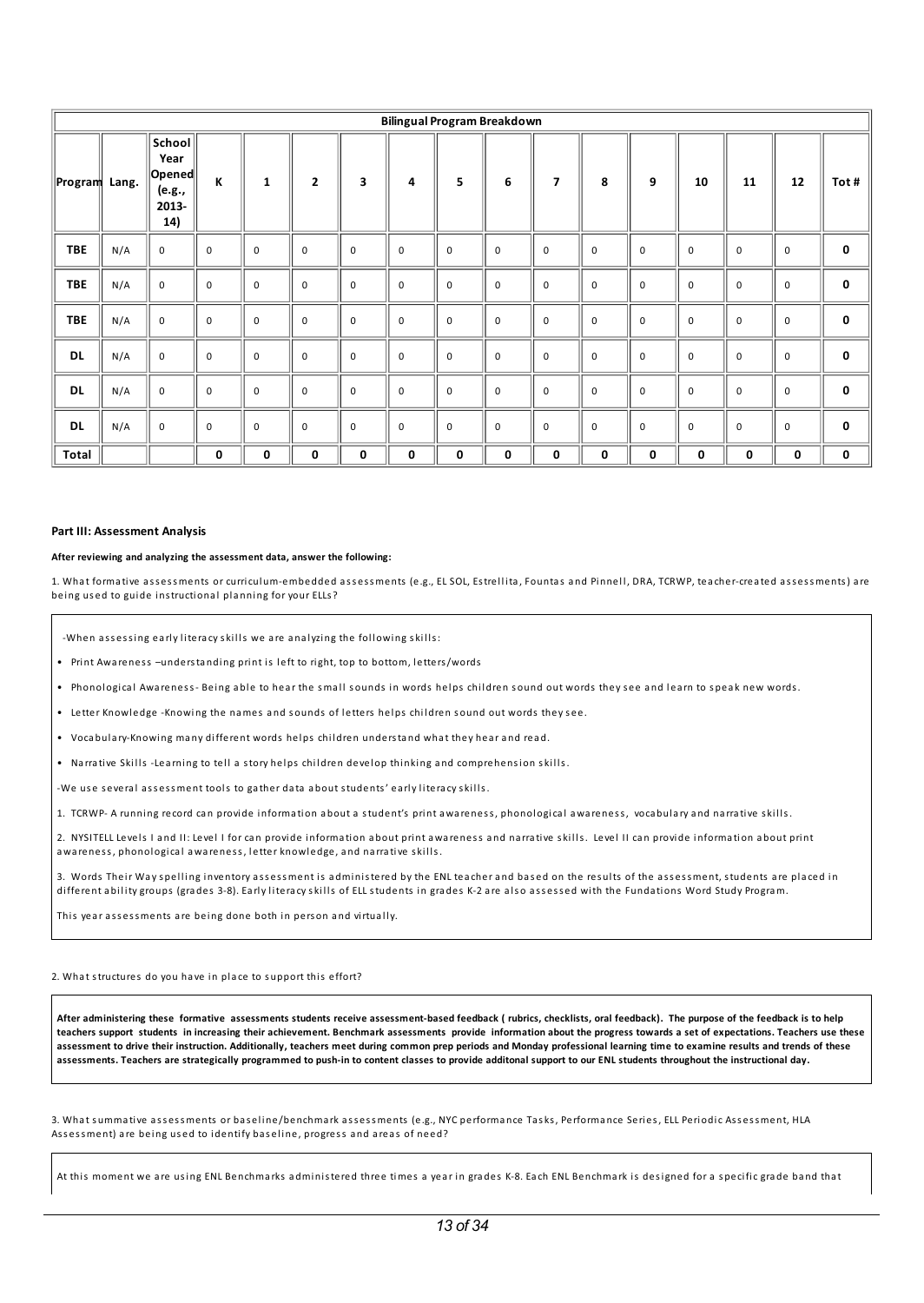|               | <b>Bilingual Program Breakdown</b> |                                                       |             |              |              |             |             |             |             |                |             |             |             |             |             |             |
|---------------|------------------------------------|-------------------------------------------------------|-------------|--------------|--------------|-------------|-------------|-------------|-------------|----------------|-------------|-------------|-------------|-------------|-------------|-------------|
| Program Lang. |                                    | School<br>Year<br>  Opened <br>(e.g.,<br>2013-<br>14) | К           | $\mathbf{1}$ | $\mathbf{2}$ | 3           | 4           | 5           | 6           | $\overline{7}$ | 8           | 9           | 10          | 11          | 12          | Tot#        |
| <b>TBE</b>    | N/A                                | $\mathsf 0$                                           | 0           | $\mathsf 0$  | $\mathbf 0$  | $\mathbf 0$ | $\mathbf 0$ | $\mathsf 0$ | $\mathsf 0$ | $\mathbf 0$    | $\mathbf 0$ | $\mathbf 0$ | $\mathsf 0$ | $\mathbf 0$ | $\mathsf 0$ | $\bf{0}$    |
| <b>TBE</b>    | N/A                                | $\mathbf 0$                                           | 0           | $\mathbf 0$  | $\mathbf 0$  | $\mathbf 0$ | $\mathbf 0$ | $\mathsf 0$ | $\mathbf 0$ | $\mathbf 0$    | $\mathbf 0$ | $\mathsf 0$ | $\mathsf 0$ | $\mathbf 0$ | $\pmb{0}$   | $\bf{0}$    |
| <b>TBE</b>    | N/A                                | $\mathbf 0$                                           | $\pmb{0}$   | $\mathbf 0$  | $\mathbf 0$  | $\mathbf 0$ | $\mathbf 0$ | $\pmb{0}$   | $\mathbf 0$ | $\mathbf 0$    | $\mathbf 0$ | $\mathbf 0$ | $\mathbf 0$ | $\mathbf 0$ | $\pmb{0}$   | $\mathbf 0$ |
| <b>DL</b>     | N/A                                | $\mathsf 0$                                           | 0           | $\mathsf 0$  | $\mathbf 0$  | $\mathbf 0$ | 0           | $\mathsf 0$ | $\mathsf 0$ | $\mathbf 0$    | $\mathbf 0$ | 0           | $\mathsf 0$ | $\mathbf 0$ | $\mathsf 0$ | 0           |
| <b>DL</b>     | N/A                                | $\mathbf 0$                                           | $\mathbf 0$ | $\mathbf 0$  | 0            | $\mathbf 0$ | $\mathbf 0$ | $\mathbf 0$ | $\mathbf 0$ | 0              | $\mathbf 0$ | $\mathbf 0$ | $\mathbf 0$ | $\mathbf 0$ | 0           | $\mathbf 0$ |
| <b>DL</b>     | N/A                                | $\mathbf 0$                                           | 0           | $\mathsf 0$  | $\pmb{0}$    | $\mathbf 0$ | $\mathbf 0$ | $\mathbf 0$ | $\mathbf 0$ | $\mathbf 0$    | $\mathbf 0$ | $\mathsf 0$ | $\mathbf 0$ | $\mathbf 0$ | $\pmb{0}$   | $\mathbf 0$ |
| <b>Total</b>  |                                    |                                                       | $\bf{0}$    | 0            | 0            | 0           | 0           | 0           | 0           | 0              | 0           | 0           | 0           | 0           | 0           | 0           |

#### **Part III: Assessment Analysis**

#### **After reviewing and analyzing the assessment data, answer the following:**

1. What formative assessments or curriculum-embedded assessments (e.g., EL SOL, Estrellita, Fountas and Pinnell, DRA, TCRWP, teacher-created assessments) are being used to guide instructional planning for your ELLs?

-When assessing early literacy skills we are analyzing the following skills:

• Print Awareness –understa nding print is left to right, top to bottom, letters/words

• Phonological Awareness- Being able to hear the small sounds in words helps children sound out words they see and learn to speak new words.

• Letter Knowledge -Knowing the names and sounds of letters helps children sound out words they see.

• Voca bulary-Knowing ma ny different words helps chi ldren understa nd what they hear a nd rea d.

• Narrative Skills -Learning to tell a story helps children develop thinking and comprehension skills.

-We use several assessment tools to gather data about students' early literacy skills.

1. TCRWP- A running record can provide information about a student's print awareness, phonological awareness, vocabulary and narrative skills.

2. NYSITELL Levels I and II: Level I for can provide information about print awareness and narrative skills. Level II can provide information about print awareness, phonological awareness, letter knowledge, and narrative skills.

3. Words Their Way spelling inventory assessment is administered by the ENL teacher and based on the results of the assessment, students are placed in different ability groups (grades 3-8). Early literacy skills of ELL students in grades K-2 are also assessed with the Fundations Word Study Program.

This year assessments are being done both in person and virtually.

2. What structures do you have in place to support this effort?

After administering these formative assessments students receive assessment-based feedback (rubrics, checklists, oral feedback). The purpose of the feedback is to help teachers support students in increasing their achievement. Benchmark assessments provide information about the progress towards a set of expectations. Teachers use these assessment to drive their instruction. Additionally, teachers meet during common prep periods and Monday professional learning time to examine results and trends of these assessments. Teachers are strategically programmed to push-in to content classes to provide additonal support to our ENL students throughout the instructional day.

3. What summative assessments or baseline/benchmark assessments (e.g., NYC performance Tasks, Performance Series, ELL Periodic Assessment, HLA Assessment) are being used to identify baseline, progress and areas of need?

At this moment we are using ENL Benchmarks administered three times a year in grades K-8. Each ENL Benchmark is designed for a specific grade band that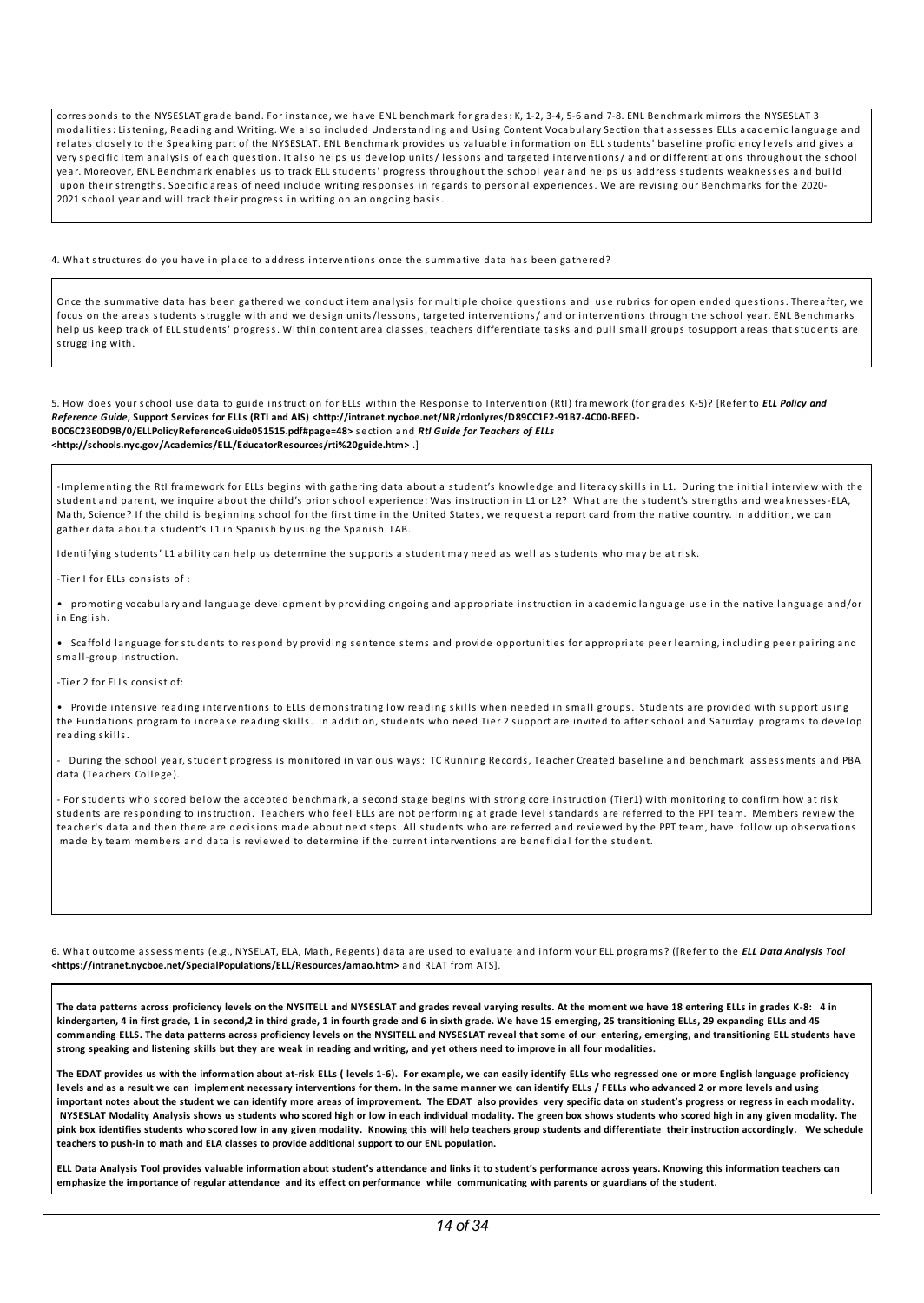corresponds to the NYSESLAT grade band. For instance, we have ENL benchmark for grades: K, 1-2, 3-4, 5-6 and 7-8. ENL Benchmark mirrors the NYSESLAT 3 modalities: Listening, Reading and Writing. We also included Understanding and Using Content Vocabulary Section that assesses ELLs academic language and relates closely to the Speaking part of the NYSESLAT. ENL Benchmark provides us valuable information on ELL students' baseline proficiency levels and gives a very specific item analysis of each question. It also helps us develop units/lessons and targeted interventions/ and or differentiations throughout the school year. Moreover, ENL Benchmark enables us to track ELL students' progress throughout the school year and helps us address students weaknesses and build upon their strengths. Specific areas of need include writing responses in regards to personal experiences. We are revising our Benchmarks for the 2020-2021 school year and will track their progress in writing on an ongoing basis.

#### 4. What structures do you have in place to address interventions once the summative data has been gathered?

Once the summative data has been gathered we conduct item analysis for multiple choice questions and use rubrics for open ended questions. Thereafter, we focus on the areas students struggle with and we design units/lessons, targeted interventions/ and or interventions through the school year. ENL Benchmarks help us keep track of ELL students' progress. Within content area classes, teachers differentiate tasks and pull small groups tosupport areas that students are struggling with.

5. How does your school use data to guide instruction for ELLs within the Response to Intervention (RtI) framework (for grades K-5)? [Refer to *ELL Policy and Reference Guide***, Support Services for ELLs (RTI and AIS) <http://intranet.nycboe.net/NR/rdonlyres/D89CC1F2-91B7-4C00-BEED-B0C6C23E0D9B/0/ELLPolicyReferenceGuide051515.pdf#page=48>** s ection a nd *RtI Guide for Teachers of ELLs* **<http://schools.nyc.gov/Academics/ELL/EducatorResources/rti%20guide.htm>** .]

-Implementing the RtI framework for ELLs begins with gathering data about a student's knowledge and literacy skills in L1. During the initial interview with the student and parent, we inquire about the child's prior school experience: Was instruction in L1 or L2? What are the student's strengths and weaknesses-ELA, Math, Science? If the child is beginning school for the first time in the United States, we request a report card from the native country. In addition, we can gather data about a student's L1 in Spanish by using the Spanish LAB.

Identifying students' L1 ability can help us determine the supports a student may need as well as students who may be at risk.

-Tier I for ELLs consists of :

• promoting vocabulary and language development by providing ongoing and appropriate instruction in academic language use in the native language and/or in English.

• Scaffold language for students to respond by providing sentence stems and provide opportunities for appropriate peer learning, including peer pairing and small-group instruction

-Tier 2 for ELLs consist of:

• Provide intensive reading interventions to ELLs demonstrating low reading skills when needed in small groups. Students are provided with support using the Fundations program to increase reading skills. In addition, students who need Tier 2 support are invited to after school and Saturday programs to develop reading skills.

.<br>During the school year, student progress is monitored in various ways: TC Running Records, Teacher Created baseline and benchmark assessments and PBA data (Teachers College).

- For students who scored below the accepted benchmark, a second stage begins with strong core instruction (Tier1) with monitoring to confirm how at risk students are res ponding to instruction. Teachers who feel ELLs are not performing at gra de level sta ndards are referred to the PPT team. Members review the teacher's data and then there are decisions made about next steps. All students who are referred and reviewed by the PPT team, have follow up observations ma de by team members a nd data is reviewed to determine if the current interventions are beneficial for the student.

6. What outcome ass essments (e.g., NYSELAT, ELA, Math, Regents) data are us ed to evaluate a nd inform your ELL programs? ([Refer to the *ELL Data Analysis Tool* **<https://intranet.nycboe.net/SpecialPopulations/ELL/Resources/amao.htm>** a nd RLAT from ATS].

The data patterns across proficiency levels on the NYSITELL and NYSESLAT and grades reveal varying results. At the moment we have 18 entering ELLs in grades K-8: 4 in kindergarten, 4 in first grade, 1 in second,2 in third grade, 1 in fourth grade and 6 in sixth grade. We have 15 emerging, 25 transitioning ELLs, 29 expanding ELLs and 45 commanding ELLS. The data patterns across proficiency levels on the NYSITELL and NYSESLAT reveal that some of our entering, emerging, and transitioning ELL students have strong speaking and listening skills but they are weak in reading and writing, and yet others need to improve in all four modalities.

The EDAT provides us with the information about at-risk ELLs (levels 1-6). For example, we can easily identify ELLs who regressed one or more English language proficiency levels and as a result we can implement necessary interventions for them. In the same manner we can identify ELLs / FELLs who advanced 2 or more levels and using important notes about the student we can identify more areas of improvement. The EDAT also provides very specific data on student's progress or regress in each modality. NYSESLAT Modality Analysis shows us students who scored high or low in each individual modality. The green box shows students who scored high in any given modality. The pink box identifies students who scored low in any given modality. Knowing this will help teachers group students and differentiate their instruction accordingly. We schedule **teachers to push-in to math and ELA classes to provide additional support to our ENL population.**

ELL Data Analysis Tool provides valuable information about student's attendance and links it to student's performance across years. Knowing this information teachers can emphasize the importance of regular attendance and its effect on performance while communicating with parents or guardians of the student.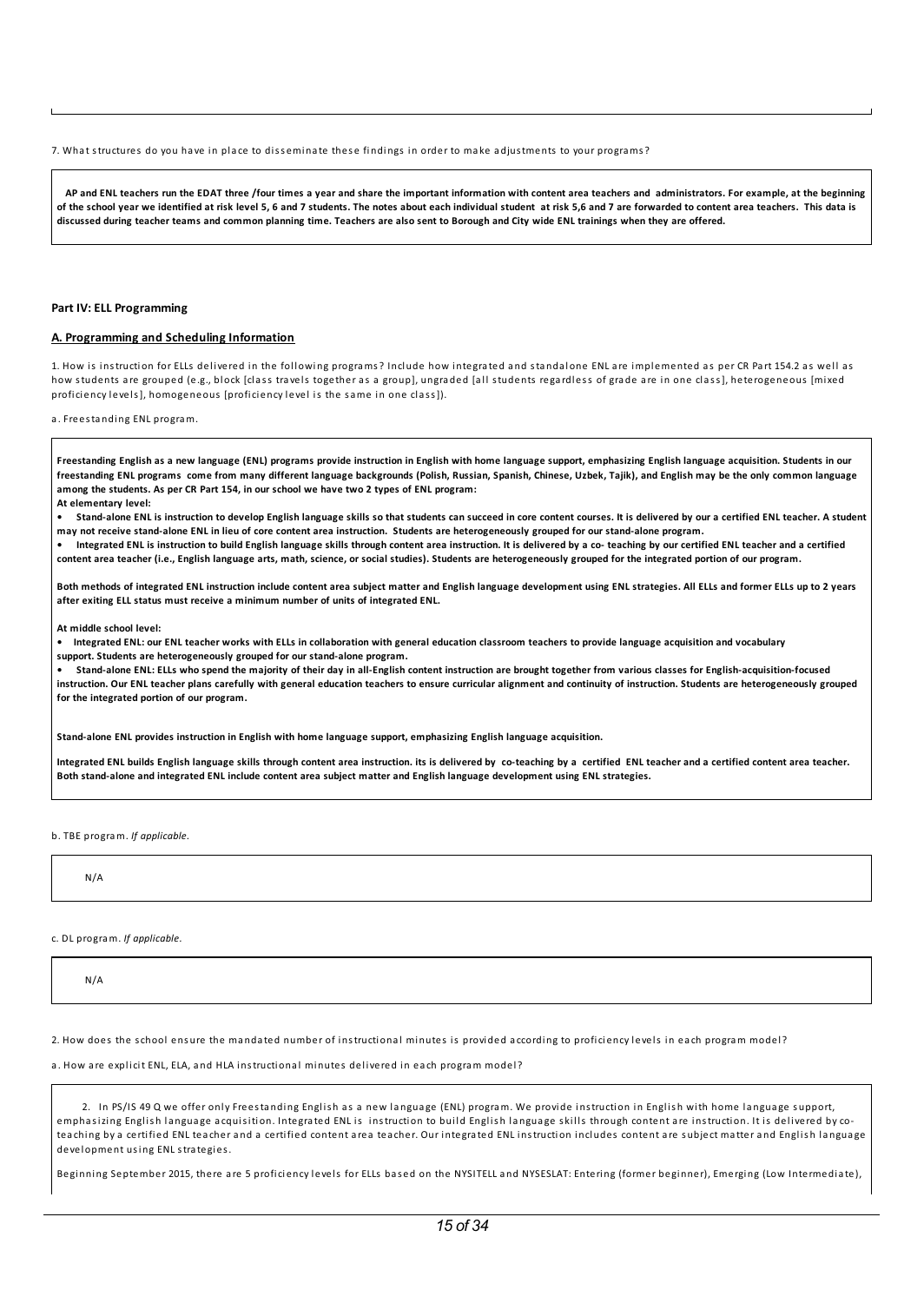7. What structures do you have in place to disseminate these findings in order to make adjustments to your programs?

AP and ENL teachers run the EDAT three /four times a year and share the important information with content area teachers and administrators. For example, at the beginning of the school vear we identified at risk level 5, 6 and 7 students. The notes about each individual student at risk 5.6 and 7 are forwarded to content area teachers. This data is discussed during teacher teams and common planning time. Teachers are also sent to Borough and City wide ENL trainings when they are offered.

#### **Part IV: ELL Programming**

#### **A. Programming and Scheduling Information**

1. How is instruction for ELLs del ivered in the fol lowing programs? Include how integrated a nd sta ndalone ENL are implemented as per CR Part 154.2 as wel l as how students are grouped (e.g., block [class travels together as a group], ungraded [all students regardless of grade are in one class], heterogeneous [mixed proficiency levels], homogeneous [proficiency level is the same in one class]).

a. Freesta nding ENL program.

Freestanding English as a new language (ENL) programs provide instruction in English with home language support, emphasizing English language acquisition. Students in our freestanding ENL programs come from many different language backgrounds (Polish, Russian, Spanish, Chinese, Uzbek, Tajik), and English may be the only common language **among the students. As per CR Part 154, in our school we have two 2 types of ENL program:**

**At elementary level:**

Stand-alone ENL is instruction to develop English language skills so that students can succeed in core content courses. It is delivered by our a certified ENL teacher. A student may not receive stand-alone ENL in lieu of core content area instruction. Students are heterogeneously grouped for our stand-alone program.

Integrated ENL is instruction to build English language skills through content area instruction. It is delivered by a co- teaching by our certified ENL teacher and a certified content area teacher (i.e., English language arts, math, science, or social studies). Students are heterogeneously grouped for the integrated portion of our program.

Both methods of integrated ENL instruction include content area subject matter and English language development using ENL strategies. All ELLs and former ELLs up to 2 years **after exiting ELL status must receive a minimum number of units of integrated ENL.**

**At middle school level:**

Integrated ENL: our ENL teacher works with ELLs in collaboration with general education classroom teachers to provide language acquisition and vocabulary **support. Students are heterogeneously grouped for our stand-alone program.**

Stand-alone ENL: ELLs who spend the majority of their day in all-English content instruction are brought together from various classes for English-acquisition-focused instruction. Our ENL teacher plans carefully with general education teachers to ensure curricular alignment and continuity of instruction. Students are heterogeneously grouped **for the integrated portion of our program.**

**Stand-alone ENL provides instruction in English with home language support, emphasizing English language acquisition.**

Integrated ENL builds English language skills through content area instruction, its is delivered by co-teaching by a certified ENL teacher and a certified content area teacher. Both stand-alone and integrated ENL include content area subject matter and English language development using ENL strategies.

b. TBE program. *If applicable.*

N/A

c. DL program. *If applicable.*

N/A

2. How does the school ensure the mandated number of instructional minutes is provided according to proficiency levels in each program model?

a. How are explicit FNL, ELA, and HLA instructional minutes delivered in each program model?

2. In PS/IS 49 Q we offer only Freestanding English as a new language (ENL) program. We provide instruction in English with home language support, emphasizing English language acquisition. Integrated ENL is instruction to build English language skills through content are instruction. It is delivered by coteaching by a certified ENL teacher and a certified content area teacher. Our integrated ENL instruction includes content are subject matter and English language development using ENL strategies.

Beginning September 2015, there are 5 proficiency levels for ELLs bas ed on the NYSITELL a nd NYSESLAT: Entering (former beginner), Emerging (Low Intermediate),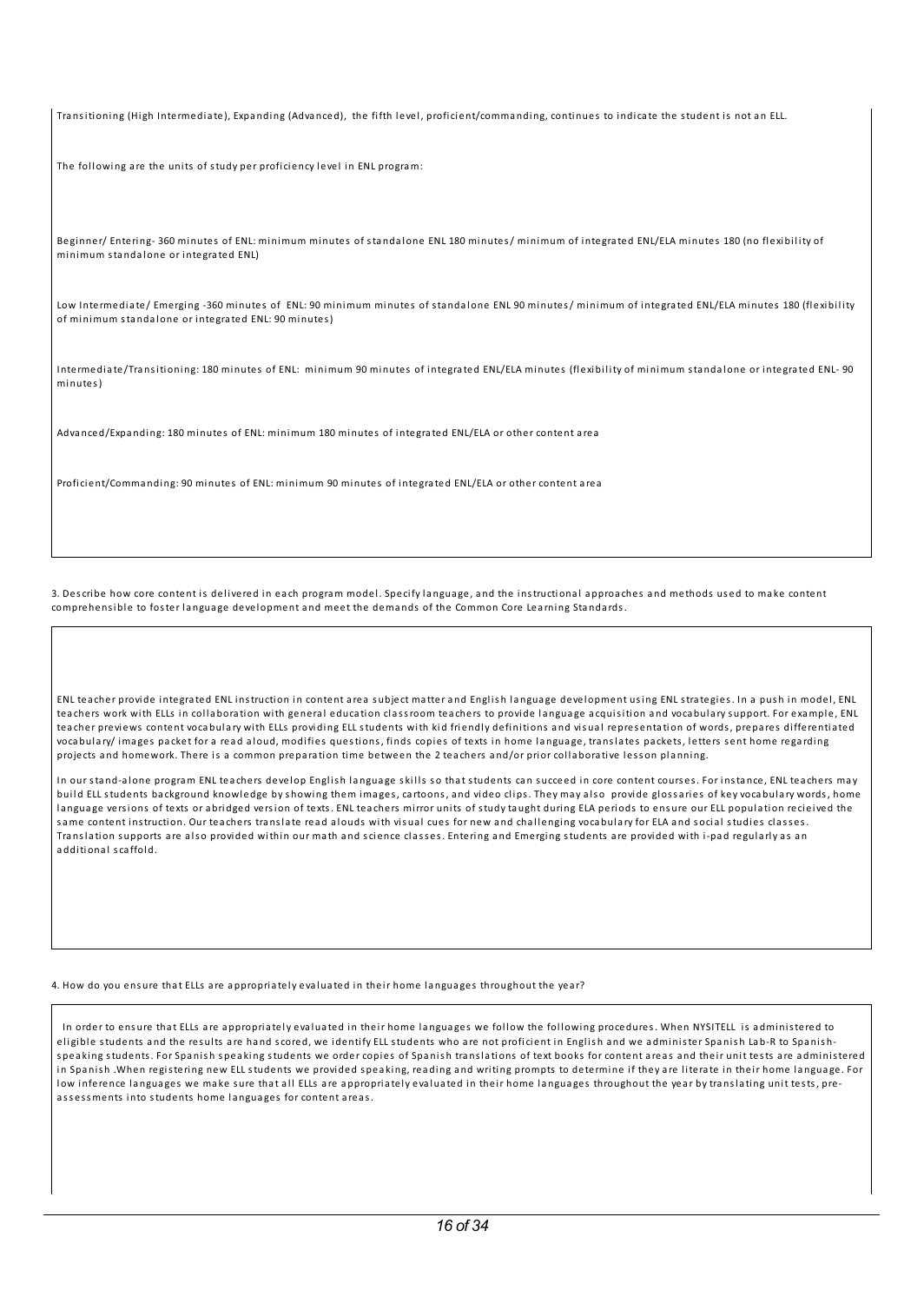Transitioning (High Intermediate), Expanding (Advanced), the fifth level, proficient/commanding, continues to indicate the student is not an ELL.

The following are the units of study per proficiency level in ENL program:

Beginner/ Entering- 360 minutes of ENL: minimum minutes of standalone ENL 180 minutes/ minimum of integrated ENL/ELA minutes 180 (no flexibility of minimum sta ndalone or integrated ENL)

Low Intermediate/ Emerging -360 minutes of ENL: 90 minimum minutes of standalone ENL 90 minutes/ minimum of integrated ENL/ELA minutes 180 (flexibility of minimum sta ndalone or integrated ENL: 90 minutes)

Intermediate/Transitioning: 180 minutes of ENL: minimum 90 minutes of integrated ENL/ELA minutes (flexibility of minimum standalone or integrated ENL- 90 minutes)

Adva nced/Expa nding: 180 minutes of ENL: minimum 180 minutes of integrated ENL/ELA or other content area

Proficient/Comma nding: 90 minutes of ENL: minimum 90 minutes of integrated ENL/ELA or other content area

3. Describe how core content is del ivered in each program model. Specify la nguage, a nd the instructional a pproaches a nd methods us ed to make content comprehensible to foster language development and meet the demands of the Common Core Learning Standards.

ENL teacher provide integrated ENL instruction in content area subject matter and English language development using ENL strategies. In a push in model, ENL teachers work with ELLs in collaboration with general education classroom teachers to provide language acquisition and vocabulary support. For example, ENL teacher previews content voca bulary with ELLs providing ELL students with kid friendly definitions a nd vis ual repres entation of words, prepares differentiated vocabulary/ images packet for a read aloud, modifies questions, finds copies of texts in home language, translates packets, letters sent home regarding projects and homework. There is a common preparation time between the 2 teachers and/or prior collaborative lesson planning.

In our stand-alone program ENL teachers develop English language skills so that students can succeed in core content courses. For instance, ENL teachers may build ELL students background knowledge by showing them images, cartoons, and video clips. They may also provide glossaries of key vocabulary words, home language versions of texts or abridged version of texts. ENL teachers mirror units of study taught during ELA periods to ensure our ELL population recieived the same content instruction. Our teachers translate read alouds with visual cues for new and challenging vocabulary for ELA and social studies classes. Translation supports are also provided within our math and science classes. Entering and Emerging students are provided with i-pad regularly as an a dditional scaffold.

4. How do you ensure that ELLs are appropriately evaluated in their home languages throughout the year?

In order to ensure that ELLs are appropriately evaluated in their home languages we follow the following procedures. When NYSITELL is administered to eligible students and the results are hand scored, we identify ELL students who are not proficient in English and we administer Spanish Lab-R to Spanishspeaking students. For Spanish speaking students we order copies of Spanish translations of text books for content areas and their unit tests are administered in Spanish .When registering new ELL students we provided speaking, reading and writing prompts to determine if they are literate in their home language. For low inference languages we make sure that all ELLs are appropriately evaluated in their home languages throughout the year by translating unit tests, preassessments into students home languages for content areas.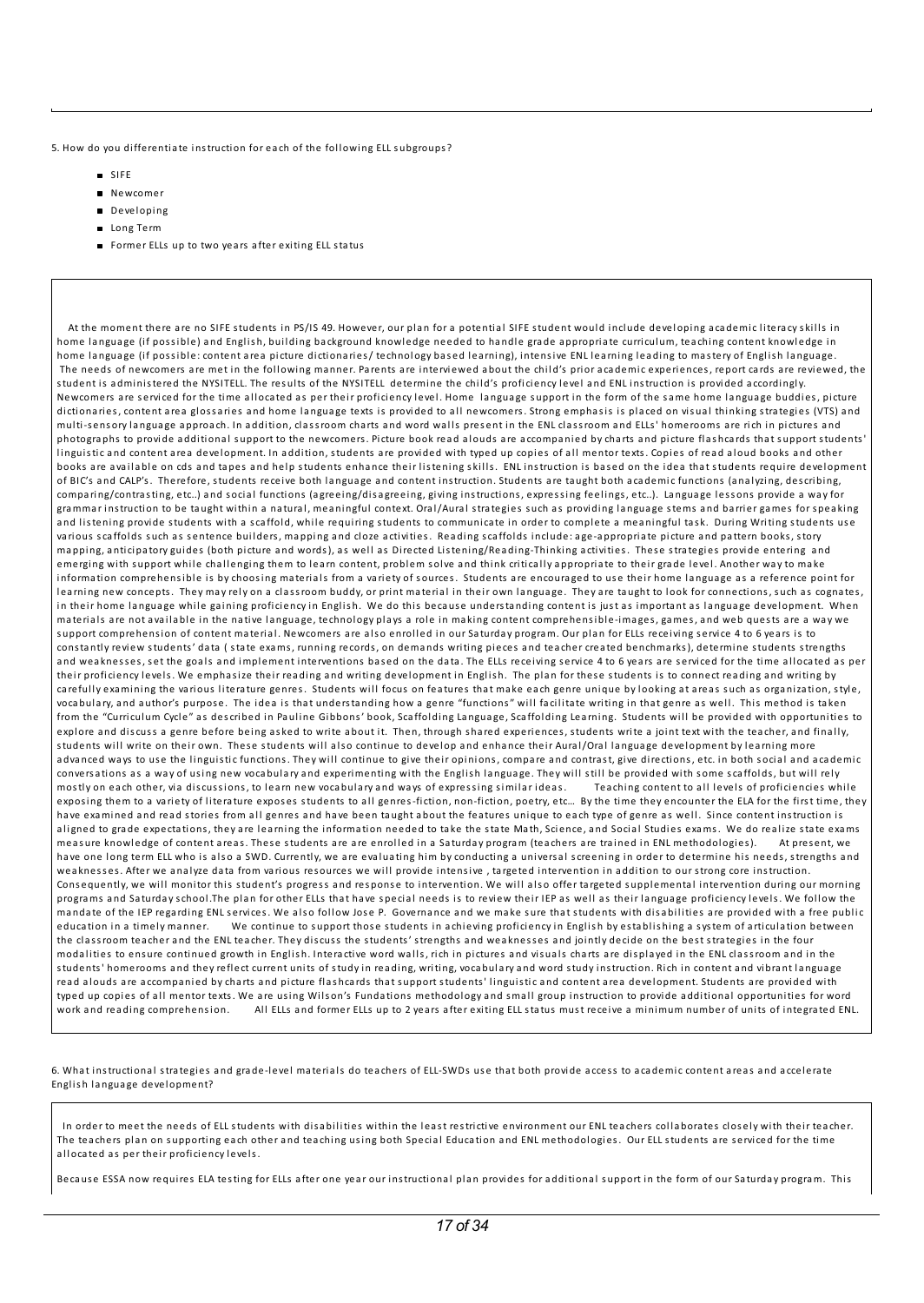5. How do you differentiate instruction for each of the following ELL subgroups?

- SIFE
- **Newcomer**
- Developing
- **Long Term**
- **Former ELLs up to two years after exiting ELL status**

At the moment there are no SIFE students in PS/IS 49. However, our plan for a potential SIFE student would include developing academic literacy skills in home language (if possible) and English, building background knowledge needed to handle grade appropriate curriculum, teaching content knowledge in home language (if possible: content area picture dictionaries/ technology based learning), intensive ENL learning leading to mastery of English language. The needs of newcomers are met in the following manner. Parents are interviewed about the child's prior academic experiences, report cards are reviewed, the student is a dministered the NYSITELL. The res ults of the NYSITELL determine the chi ld's proficiency level a nd ENL instruction is provided accordingly. Newcomers are serviced for the time allocated as per their proficiency level. Home language support in the form of the same home language buddies, picture dictionaries, content area glossaries and home language texts is provided to all newcomers. Strong emphasis is placed on visual thinking strategies (VTS) and multi-sensory language approach. In addition, classroom charts and word walls present in the ENL classroom and ELLs' homerooms are rich in pictures and photographs to provide additional support to the newcomers. Picture book read alouds are accompanied by charts and picture flashcards that support students' linguistic and content area development. In addition, students are provided with typed up copies of all mentor texts. Copies of read aloud books and other books are available on cds and tapes and help students enhance their listening skills. ENL instruction is based on the idea that students require development of BIC's and CALP's. Therefore, students receive both language and content instruction. Students are taught both academic functions (analyzing, describing, comparing/contrasting, etc..) a nd s ocial functions (agreeing/disagreeing, giving instructions, expressing feel ings, etc..). La nguage less ons provide a way for grammar instruction to be taught within a natural, meaningful context. Oral/Aural strategies such as providing language stems and barrier games for speaking and listening provide students with a scaffold, while requiring students to communicate in order to complete a meaningful task. During Writing students use various scaffolds such as sentence builders, mapping and cloze activities. Reading scaffolds include: age-appropriate picture and pattern books, story mapping, anticipatory guides (both picture and words), as well as Directed Listening/Reading-Thinking activities. These strategies provide entering and emerging with support while challenging them to learn content, problem solve and think critically appropriate to their grade level. Another way to make information comprehensible is by choosing materials from a variety of sources. Students are encouraged to use their home language as a reference point for learning new concepts. They may rely on a classroom buddy, or print material in their own language. They are taught to look for connections, such as cognates, in their home language while gaining proficiency in English. We do this because understanding content is just as important as language development. When materials are not available in the native language, technology plays a role in making content comprehensible-images, games, and web quests are a way we support comprehension of content material. Newcomers are also enrolled in our Saturday program. Our plan for ELLs receiving service 4 to 6 years is to consta ntly review students' data ( state exams, running records, on dema nds writing pieces a nd teacher created benchmarks), determine students strengths and weaknesses, set the goals and implement interventions based on the data. The ELLs receiving service 4 to 6 years are serviced for the time allocated as per their proficiency levels. We emphasize their reading and writing development in English. The plan for these students is to connect reading and writing by carefully examining the various literature genres. Students will focus on features that make each genre unique by looking at areas such as organization, style, vocabulary, and author's purpose. The idea is that understanding how a genre "functions" will facilitate writing in that genre as well. This method is taken from the "Curriculum Cycle" as described in Pauline Gibbons' book, Scaffolding Language, Scaffolding Learning. Students will be provided with opportunities to explore and discuss a genre before being asked to write about it. Then, through shared experiences, students write a joint text with the teacher, and finally, students will write on their own. These students will also continue to develop and enhance their Aural/Oral language development by learning more advanced ways to use the linguistic functions. They will continue to give their opinions, compare and contrast, give directions, etc. in both social and academic conversations as a way of using new vocabulary and experimenting with the English language. They will still be provided with some scaffolds, but will rely<br>mostly on each other, via discussions, to learn new vocabulary and mostly on each other, via discussions, to learn new vocabulary and ways of expressing similar ideas. exposing them to a variety of literature exposes students to all genres-fiction, non-fiction, poetry, etc... By the time they encounter the ELA for the first time, they have examined and read stories from all genres and have been taught about the features unique to each type of genre as well. Since content instruction is aligned to grade expectations, they are learning the information needed to take the state Math, Science, and Social Studies exams. We do realize state exams<br>measure knowledge of content areas. These students are are enroll measure knowledge of content areas. These students are are enrolled in a Saturday program (teachers are trained in ENL methodologies). have one long term ELL who is also a SWD. Currently, we are evaluating him by conducting a universal screening in order to determine his needs, strengths and weaknesses. After we analyze data from various resources we will provide intensive, targeted intervention in addition to our strong core instruction. Consequently, we will monitor this student's progress and response to intervention. We will also offer targeted supplemental intervention during our morning programs and Saturday school.The plan for other ELLs that have special needs is to review their IEP as well as their language proficiency levels. We follow the mandate of the IEP regarding ENL services. We also follow Jose P. Governance and we make sure that students with disabilities are provided with a free public education in a timely manner. We continue to support those students in achieving proficiency in English by establishing a system of articulation between the classroom teacher and the ENL teacher. They discuss the students' strengths and weaknesses and jointly decide on the best strategies in the four modalities to ensure continued growth in English. Interactive word walls, rich in pictures and visuals charts are displayed in the ENL classroom and in the students' homerooms and they reflect current units of study in reading, writing, vocabulary and word study instruction. Rich in content and vibrant language read alouds are accompanied by charts and picture flashcards that support students' linguistic and content area development. Students are provided with typed up copies of al l mentor texts. We are using Wi ls on's Fundations methodology a nd smal l group instruction to provide a dditional opportunities for word work and reading comprehension. All ELLs and former ELLs up to 2 years after exiting ELL status must receive a minimum number of units of integrated ENL.

6. What instructional strategies a nd gra de-level materials do teachers of ELL-SWDs us e that both provide access to aca demic content areas a nd accelerate English language development?

In order to meet the needs of ELL students with disabilities within the least restrictive environment our ENL teachers collaborates closely with their teacher. The teachers plan on supporting each other and teaching using both Special Education and ENL methodologies. Our ELL students are serviced for the time al located as per their proficiency levels.

Because ESSA now requires ELA testing for ELLs after one year our instructional plan provides for additional support in the form of our Saturday program. This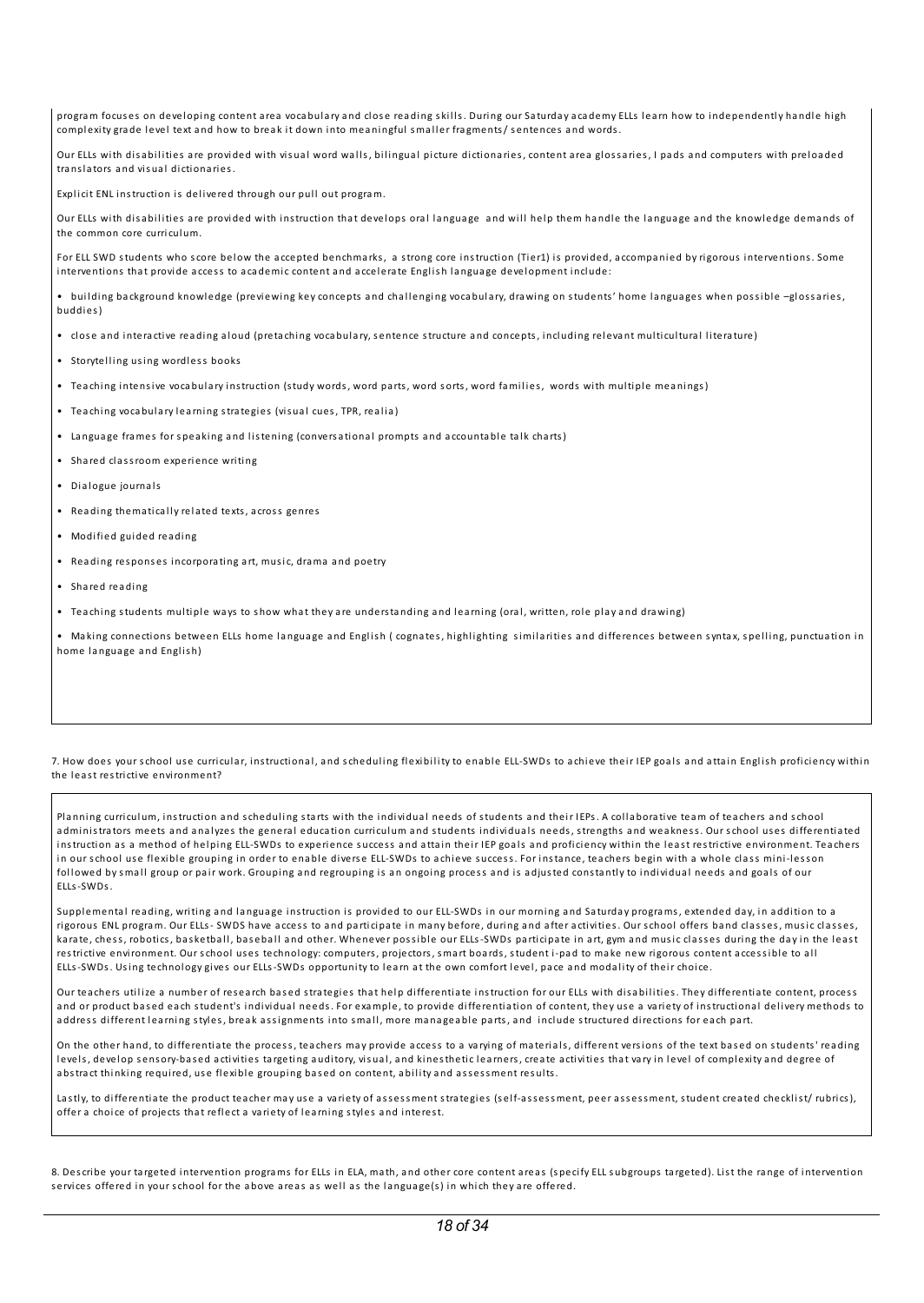program focuses on developing content area vocabulary and close reading skills. During our Saturday academy ELLs learn how to independently handle high complexity grade level text and how to break it down into meaningful smaller fragments/ sentences and words.

Our ELLs with disabilities are provided with visual word walls, bilingual picture dictionaries, content area glossaries, I pads and computers with preloaded tra nslators a nd vis ual dictionaries.

Explicit ENL instruction is delivered through our pull out program.

Our ELLs with disabilities are provided with instruction that develops oral language and will help them handle the language and the knowledge demands of the common core curriculum.

For ELL SWD students who score below the accepted benchmarks, a strong core instruction (Tier1) is provided, accompa nied by rigorous interventions. Some interventions that provide access to academic content and accelerate English language development include:

• bui lding background knowledge (previewing key concepts a nd chal lenging voca bulary, drawing on students' home la nguages when possible –glossaries, buddies)

- close and interactive reading aloud (pretaching vocabulary, sentence structure and concepts, including relevant multicultural literature)
- Storytelling using wordless books
- Teaching intensive vocabulary instruction (study words, word parts, word sorts, word families, words with multiple meanings)
- Teaching vocabulary learning strategies (visual cues, TPR, realia)
- Language frames for speaking and listening (conversational prompts and accountable talk charts)
- Shared classroom experience writing
- Dialogue journals
- Rea ding thematical ly related texts, across genres
- Modified guided rea ding
- Reading responses incorporating art, music, drama and poetry
- Shared rea ding
- Teaching students multiple ways to show what they are understanding and learning (oral, written, role play and drawing)

• Making connections between ELLs home language and English ( cognates, highlighting similarities and differences between syntax, spelling, punctuation in home language and English)

#### 7. How does your school use curricular, instructional, and scheduling flexibility to enable ELL-SWDs to achieve their IEP goals and attain English proficiency within the least restrictive environment?

Planning curriculum, instruction and scheduling starts with the individual needs of students and their IEPs. A collaborative team of teachers and school administrators meets and analyzes the general education curriculum and students individuals needs, strengths and weakness. Our school uses differentiated instruction as a method of helping ELL-SWDs to experience success and attain their IEP goals and proficiency within the least restrictive environment. Teachers in our school use flexible grouping in order to enable diverse ELL-SWDs to achieve success. For instance, teachers begin with a whole class mini-lesson followed by small group or pair work. Grouping and regrouping is an ongoing process and is adjusted constantly to individual needs and goals of our ELLs-SWDs.

Supplemental reading, writing and language instruction is provided to our ELL-SWDs in our morning and Saturday programs, extended day, in addition to a rigorous ENL program. Our ELLs- SWDS have access to and participate in many before, during and after activities. Our school offers band classes, music classes, karate, chess, robotics, basketball, baseball and other. Whenever possible our ELLs-SWDs participate in art, gym and music classes during the day in the least restrictive environment. Our school uses technology: computers, projectors, smart boards, student i-pad to make new rigorous content accessible to all ELLs-SWDs. Using technology gives our ELLs-SWDs opportunity to learn at the own comfort level, pace a nd modal ity of their choice.

Our teachers utilize a number of research based strategies that help differentiate instruction for our ELLs with disabilities. They differentiate content, process and or product based each student's individual needs. For example, to provide differentiation of content, they use a variety of instructional delivery methods to address different learning styles, break assignments into small, more manageable parts, and include structured directions for each part.

On the other hand, to differentiate the process, teachers may provide access to a varying of materials, different versions of the text based on students' reading levels, develop sensory-based activities targeting auditory, visual, and kinesthetic learners, create activities that vary in level of complexity and degree of abstract thinking required, use flexible grouping based on content, ability and assessment results.

Lastly, to differentiate the product teacher may use a variety of assessment strategies (self-assessment, peer assessment, student created checklist/ rubrics), offer a choice of projects that reflect a variety of learning styles a nd interest.

8. Describe your targeted intervention programs for ELLs in ELA, math, and other core content areas (specify ELL subgroups targeted). List the range of intervention services offered in your school for the above areas as well as the language(s) in which they are offered.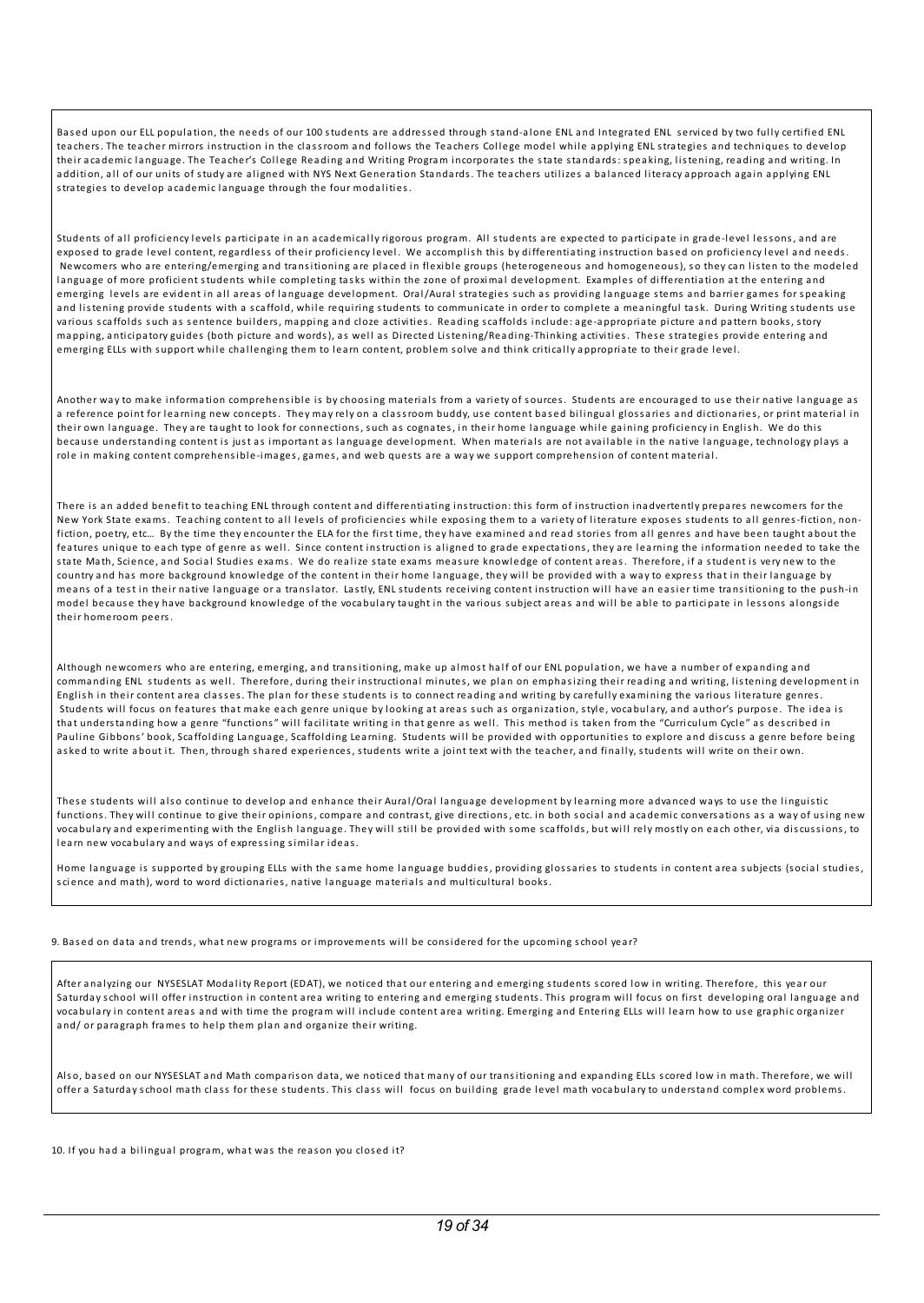Based upon our ELL population, the needs of our 100 students are addressed through stand-alone ENL and Integrated ENL serviced by two fully certified ENL teachers. The teacher mirrors instruction in the classroom and follows the Teachers College model while applying ENL strategies and techniques to develop their academic language. The Teacher's College Reading and Writing Program incorporates the state standards: speaking, listening, reading and writing. In addition, all of our units of study are aligned with NYS Next Generation Standards. The teachers utilizes a balanced literacy approach again applying ENL strategies to develop aca demic la nguage through the four modal ities.

Students of all proficiency levels participate in an academically rigorous program. All students are expected to participate in grade-level lessons, and are exposed to grade level content, regardless of their proficiency level. We accomplish this by differentiating instruction based on proficiency level and needs. Newcomers who are entering/emerging a nd tra nsitioning are placed in flexible groups (heterogeneous a nd homogeneous), s o they ca n l isten to the modeled language of more proficient students while completing tasks within the zone of proximal development. Examples of differentiation at the entering and emerging levels are evident in all areas of language development. Oral/Aural strategies such as providing language stems and barrier games for speaking and listening provide students with a scaffold, while requiring students to communicate in order to complete a meaningful task. During Writing students use various scaffolds such as sentence builders, mapping and cloze activities. Reading scaffolds include: age-appropriate picture and pattern books, story ma pping, anticipatory guides (both picture and words), as well as Directed Listening/Reading-Thinking activities. These strategies provide entering and emerging ELLs with support while challenging them to learn content, problem solve and think critically appropriate to their grade level.

Another way to make information comprehensible is by choosing materials from a variety of sources. Students are encouraged to use their native language as a reference point for learning new concepts. They may rely on a classroom buddy, use content based bilingual glossaries and dictionaries, or print material in their own language. They are taught to look for connections, such as cognates, in their home language while gaining proficiency in English. We do this because understanding content is just as important as language development. When materials are not available in the native language, technology plays a role in making content comprehensible-images, games, a nd web quests are a way we s upport comprehension of content material.

There is a n a dded benefit to teaching ENL through content a nd differentiating instruction: this form of instruction ina dvertently prepares newcomers for the New York State exams. Teaching content to all levels of proficiencies while exposing them to a variety of literature exposes students to all genres-fiction, nonfiction, poetry, etc... By the time they encounter the ELA for the first time, they have examined and read stories from all genres and have been taught about the features unique to each type of genre as well. Since content instruction is aligned to grade expectations, they are learning the information needed to take the state Math, Science, a nd Social Studies exams. We do real ize state exams meas ure knowledge of content areas. Therefore, if a student is very new to the country and has more background knowledge of the content in their home language, they will be provided with a way to express that in their language by means of a test in their native language or a translator. Lastly, ENL students receiving content instruction will have an easier time transitioning to the push-in model because they have background knowledge of the vocabulary taught in the various subject areas and will be able to participate in lessons alongside their homeroom peers.

Although newcomers who are entering, emerging, and transitioning, make up almost half of our ENL population, we have a number of expanding and commanding ENL students as well. Therefore, during their instructional minutes, we plan on emphasizing their reading and writing, listening development in English in their content area classes. The plan for these students is to connect reading and writing by carefully examining the various literature genres. Students will focus on features that make each genre unique by looking at areas such as organization, style, vocabulary, and author's purpose. The idea is that understanding how a genre "functions" will facilitate writing in that genre as well. This method is taken from the "Curriculum Cycle" as described in Pauline Gibbons' book, Scaffolding Language, Scaffolding Learning. Students will be provided with opportunities to explore and discuss a genre before being asked to write about it. Then, through shared experiences, students write a joint text with the teacher, and finally, students will write on their own.

These students will also continue to develop and enhance their Aural/Oral language development by learning more advanced ways to use the linguistic functions. They will continue to give their opinions, compare and contrast, give directions, etc. in both social and academic conversations as a way of using new voca bulary and experimenting with the English language. They will still be provided with some scaffolds, but will rely mostly on each other, via discussions, to learn new voca bulary a nd ways of expressing simi lar ideas.

Home language is supported by grouping ELLs with the same home language buddies, providing glossaries to students in content area subjects (social studies, science and math), word to word dictionaries, native language materials and multicultural books.

9. Based on data and trends, what new programs or improvements will be considered for the upcoming school year?

After analyzing our NYSESLAT Modality Report (EDAT), we noticed that our entering and emerging students scored low in writing. Therefore, this year our Saturday school will offer instruction in content area writing to entering and emerging students. This program will focus on first developing oral language and vocabulary in content areas and with time the program will include content area writing. Emerging and Entering ELLs will learn how to use graphic organizer and/ or paragraph frames to help them plan and organize their writing.

Also, based on our NYSESLAT and Math comparison data, we noticed that many of our transitioning and expanding ELLs scored low in math. Therefore, we will offer a Saturday school math class for these students. This class will focus on building grade level math vocabulary to understand complex word problems.

10. If you had a bilingual program, what was the reason you closed it?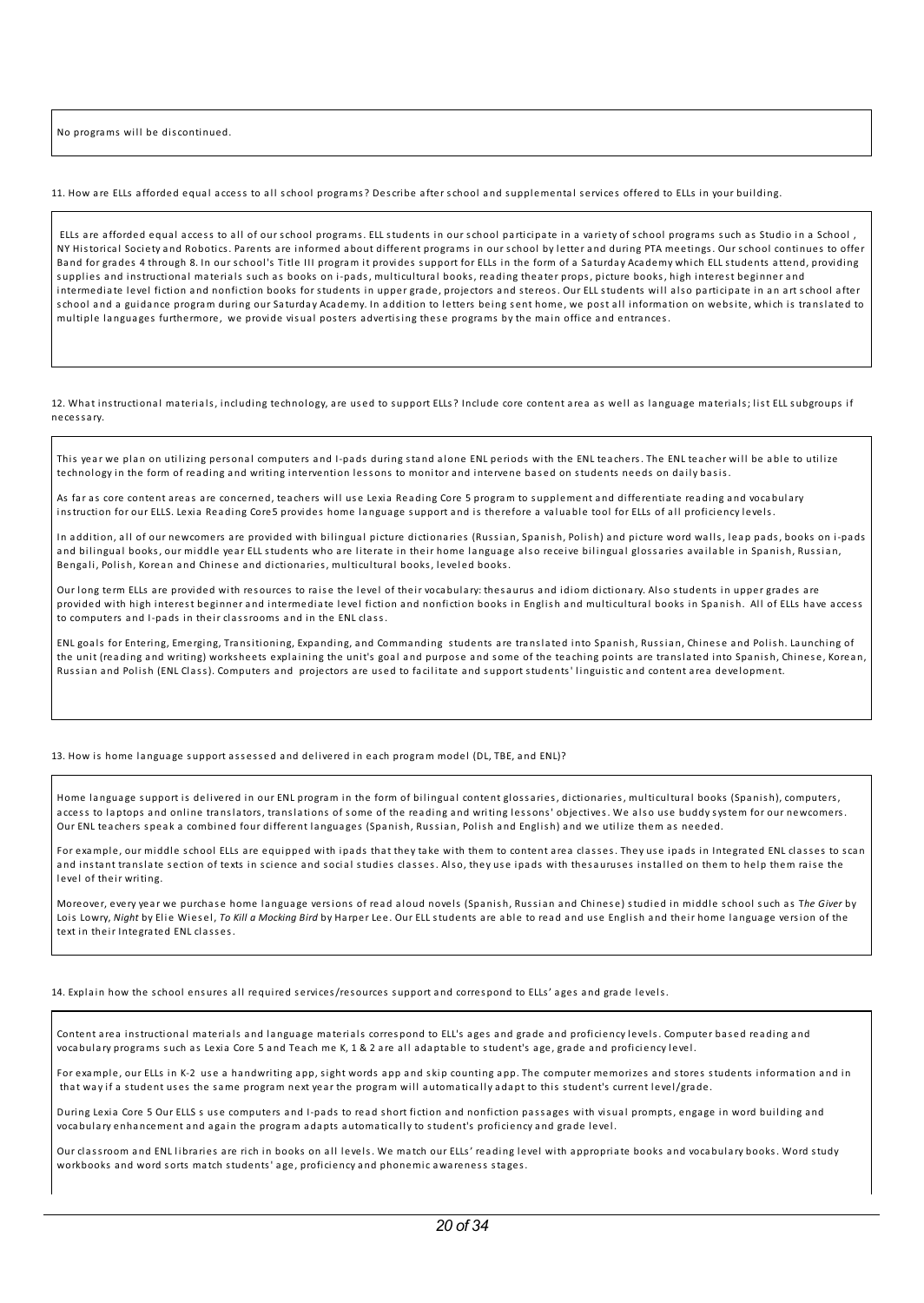No programs will be discontinued

11. How are ELLs afforded equal access to al l school programs? Describe after school a nd s upplemental s ervices offered to ELLs in your bui lding.

ELLs are afforded equal access to al l of our school programs. ELL students in our school participate in a variety of school programs s uch as Studio in a School , NY Historical Society and Robotics. Parents are informed about different programs in our school by letter and during PTA meetings. Our school continues to offer Band for grades 4 through 8. In our school's Title III program it provides support for ELLs in the form of a Saturday Academy which ELL students attend, providing supplies and instructional materials such as books on i-pads, multicultural books, reading theater props, picture books, high interest beginner and intermediate level fiction and nonfiction books for students in upper grade, projectors and stereos. Our ELL students will also participate in an art school after school and a guidance program during our Saturday Academy. In addition to letters being sent home, we post all information on website, which is translated to multiple languages furthermore, we provide visual posters advertising these programs by the main office and entrances.

12. What instructional materials, including technology, are used to support ELLs? Include core content area as well as language materials; list ELL subgroups if necessary.

This year we plan on utilizing personal computers and I-pads during stand alone ENL periods with the ENL teachers. The ENL teacher will be able to utilize technology in the form of reading and writing intervention lessons to monitor and intervene based on students needs on daily basis.

As far as core content areas are concerned, teachers will use Lexia Reading Core 5 program to supplement and differentiate reading and vocabulary instruction for our ELLS. Lexia Reading Core5 provides home language support and is therefore a valuable tool for ELLs of all proficiency levels.

In addition, all of our newcomers are provided with bilingual picture dictionaries (Russian, Spanish, Polish) and picture word walls, leap pads, books on i-pads and bilingual books, our middle year ELL students who are literate in their home language also receive bilingual glossaries available in Spanish, Russian, Bengali, Polish, Korean and Chinese and dictionaries, multicultural books, leveled books.

Our long term ELLs are provided with resources to raise the level of their vocabulary: thesaurus and idiom dictionary. Also students in upper grades are provided with high interest beginner and intermediate level fiction and nonfiction books in English and multicultural books in Spanish. All of ELLs have access to computers a nd I-pa ds in their classrooms a nd in the ENL class.

ENL goals for Entering, Emerging, Transitioning, Expanding, and Commanding students are translated into Spanish, Russian, Chinese and Polish. Launching of the unit (reading and writing) works heets explaining the unit's goal and purpose and some of the teaching points are translated into Spanish, Chinese, Korean, Russian and Polish (ENL Class). Computers and projectors are used to facilitate and support students' linguistic and content area development.

13. How is home language support assessed and delivered in each program model (DL, TBE, and ENL)?

Home language support is delivered in our ENL program in the form of bilingual content glossaries, dictionaries, multicultural books (Spanish), computers, access to laptops and online translators, translations of some of the reading and writing lessons' objectives. We also use buddy system for our newcomers. Our ENL teachers speak a combined four different languages (Spanish, Russian, Polish and English) and we utilize them as needed.

For example, our middle school ELLs are equipped with ipads that they take with them to content area classes. They use ipads in Integrated ENL classes to scan and instant translate section of texts in science and social studies classes. Also, they use ipads with thesauruses installed on them to help them raise the level of their writing.

Moreover, every year we purchase home language versions of read aloud novels (Spanish, Russian and Chinese) studied in middle school such as The Giver by Lois Lowry, *Night* by Elie Wiesel, *To Kill a Mocking Bird* by Harper Lee. Our ELL students are able to read and use English and their home language version of the text in their Integrated ENL class es.

14. Explain how the school ensures all required services/resources support and correspond to ELLs' ages and grade levels.

Content area instructional materials and language materials correspond to ELL's ages and grade and proficiency levels. Computer based reading and voca bulary programs s uch as Lexia Core 5 a nd Teach me K, 1 & 2 are al l a da pta ble to student's age, gra de a nd proficiency level.

For example, our ELLs in K-2 use a handwriting app, sight words app and skip counting app. The computer memorizes and stores students information and in that way if a student uses the same program next year the program will automatically adapt to this student's current level/grade.

During Lexia Core 5 Our ELLS s use computers and I-pads to read short fiction and nonfiction passages with visual prompts, engage in word building and voca bulary enha ncement a nd again the program a da pts a utomatical ly to student's proficiency a nd gra de level.

Our classroom and ENL libraries are rich in books on all levels. We match our ELLs' reading level with appropriate books and vocabulary books. Word study workbooks a nd word s orts match students' age, proficiency a nd phonemic awareness stages.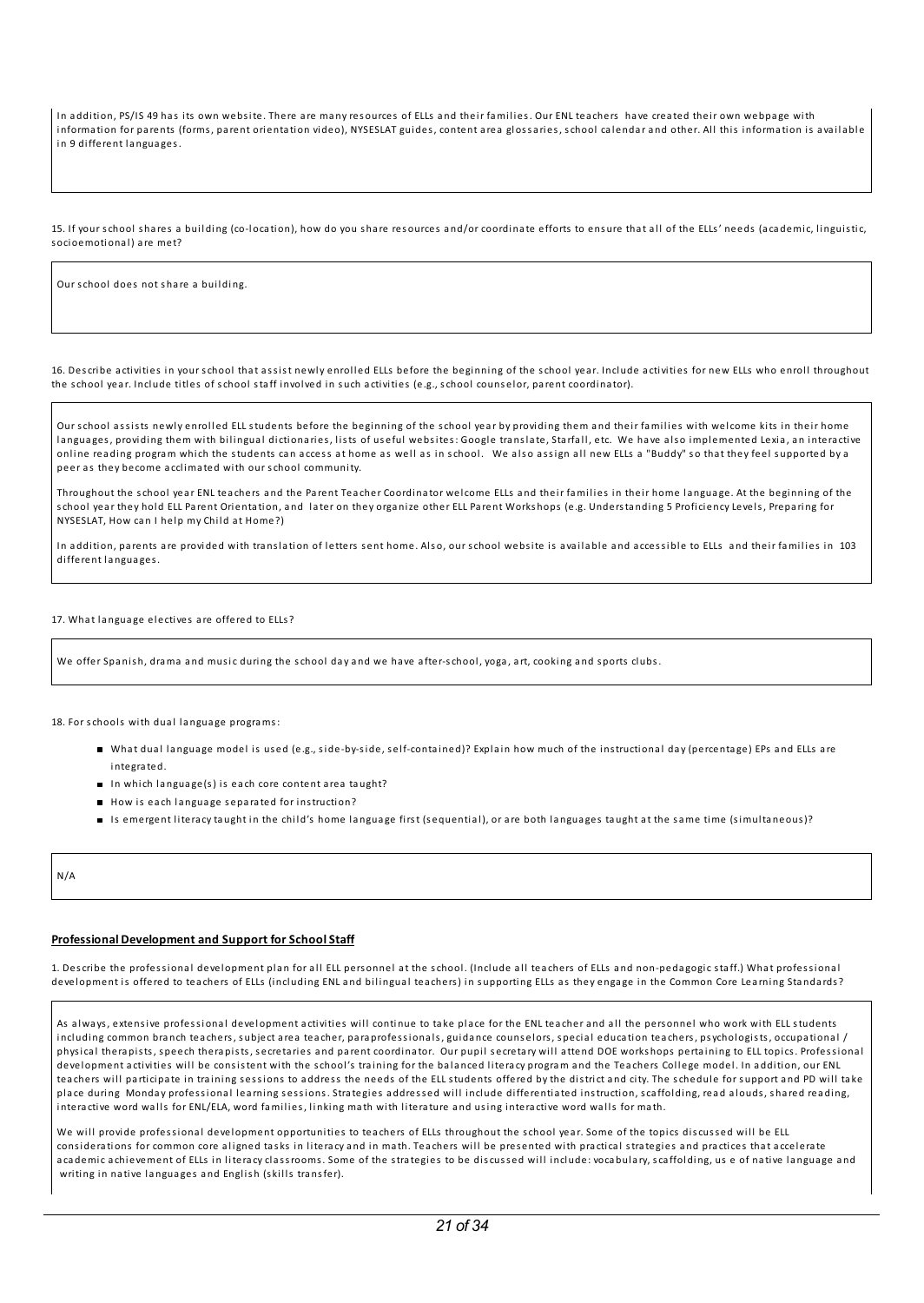In addition, PS/IS 49 has its own website. There are many resources of ELLs and their families. Our ENL teachers have created their own webpage with information for parents (forms, parent orientation video), NYSESLAT guides, content area glossaries, school calendar a nd other. Al l this information is avai la ble in 9 different la nguages.

15. If your school shares a building (co-location), how do you share resources and/or coordinate efforts to ensure that all of the ELLs' needs (academic, linguistic, s ocioemotional) are met?

Our school does not s hare a bui lding.

16. Describe activities in your school that assist newly enrolled ELLs before the beginning of the school year. Include activities for new ELLs who enroll throughout the school year. Include titles of school staff involved in such activities (e.g., school counselor, parent coordinator).

Our school assists newly enrolled ELL students before the beginning of the school year by providing them and their families with welcome kits in their home languages, providing them with bilingual dictionaries, lists of useful websites: Google translate, Starfall, etc. We have also implemented Lexia, an interactive online reading program which the students can access at home as well as in school. We also assign all new ELLs a "Buddy" so that they feel supported by a peer as they become acclimated with our school community.

Throughout the school year ENL teachers and the Parent Teacher Coordinator welcome ELLs and their families in their home language. At the beginning of the school year they hold ELL Parent Orientation, and later on they organize other ELL Parent Workshops (e.g. Understanding 5 Proficiency Levels, Preparing for NYSESLAT, How can I help my Child at Home?)

In addition, parents are provided with translation of letters sent home. Also, our school website is available and accessible to ELLs and their families in 103 different la nguages.

17. What la nguage electives are offered to ELLs?

We offer Spanish, drama and music during the school day and we have after-school, yoga, art, cooking and sports clubs.

18. For schools with dual language programs:

- What dual language model is used (e.g., side-by-side, self-contained)? Explain how much of the instructional day (percentage) EPs and ELLs are integrated.
- In which la nguage(s) is each core content area ta ught?
- How is each language separated for instruction?
- Is emergent literacy taught in the child's home language first (sequential), or are both languages taught at the same time (simultaneous)?

N/A

#### **Professional Development and Support for School Staff**

1. Describe the professional development plan for all ELL personnel at the school. (Include all teachers of ELLs and non-pedagogic staff.) What professional development is offered to teachers of ELLs (including ENL and bilingual teachers) in supporting ELLs as they engage in the Common Core Learning Standards?

As always, extensive professional development activities will continue to take place for the ENL teacher and all the personnel who work with ELL students including common branch teachers, subject area teacher, paraprofessionals, guidance counselors, special education teachers, psychologists, occupational / physical therapists, speech therapists, secretaries and parent coordinator. Our pupil secretary will attend DOE workshops pertaining to ELL topics. Professional development activities will be consistent with the school's training for the balanced literacy program and the Teachers College model. In addition, our ENL teachers will participate in training sessions to address the needs of the ELL students offered by the district and city. The schedule for support and PD will take place during Monday professional learning sessions. Strategies addressed will include differentiated instruction, scaffolding, read alouds, shared reading, interactive word walls for ENL/ELA, word families, linking math with literature and using interactive word walls for math.

We will provide professional development opportunities to teachers of ELLs throughout the school year. Some of the topics discussed will be ELL considerations for common core aligned tasks in literacy and in math. Teachers will be presented with practical strategies and practices that accelerate academic achievement of ELLs in literacy classrooms. Some of the strategies to be discussed will include: vocabulary, scaffolding, us e of native language and writing in native languages and English (skills transfer).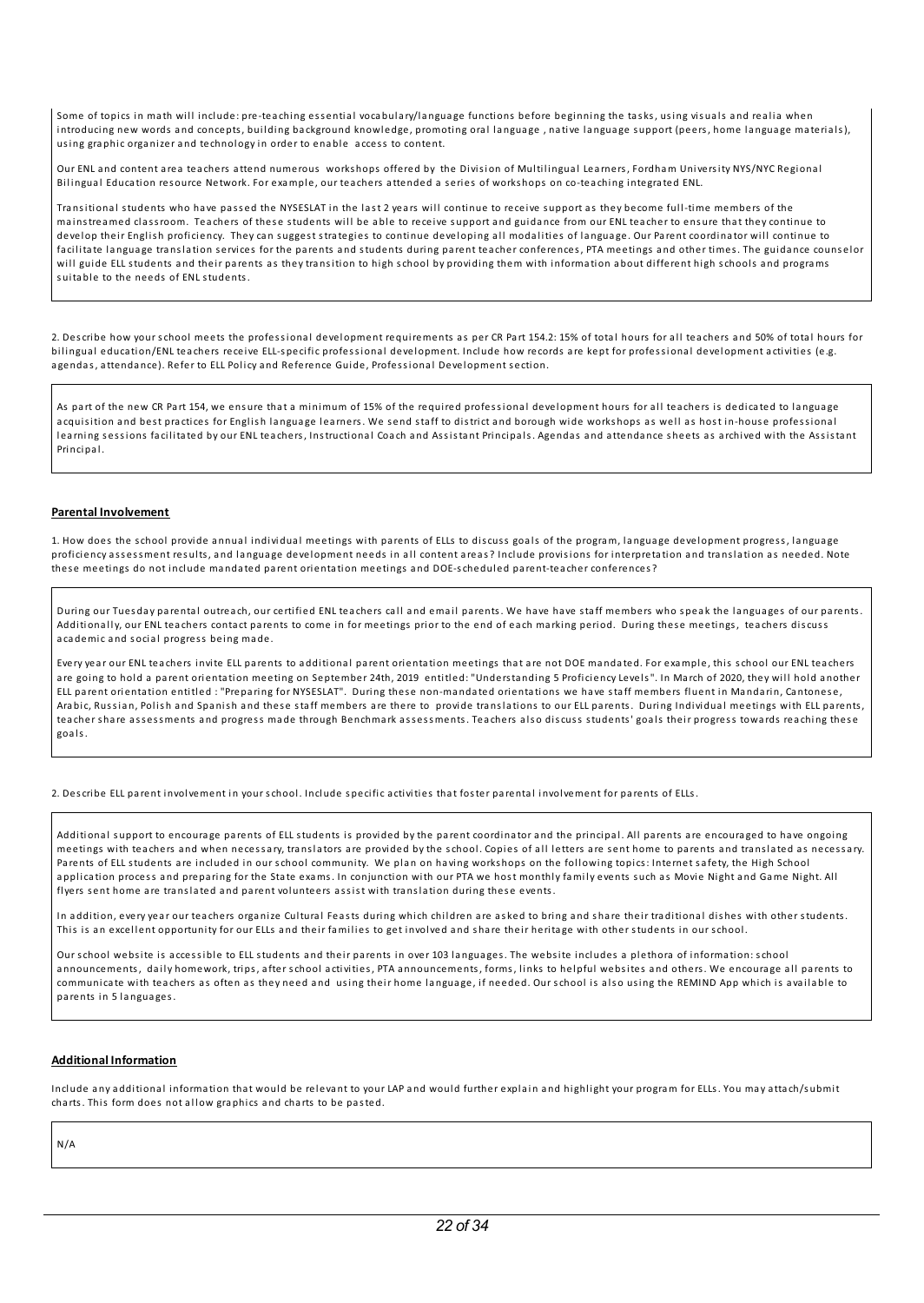Some of topics in math will include: pre-teaching essential vocabulary/language functions before beginning the tasks, using visuals and realia when introducing new words and concepts, building background knowledge, promoting oral language, native language support (peers, home language materials), using gra phic orga nizer a nd technology in order to ena ble access to content.

Our ENL and content area teachers attend numerous workshops offered by the Division of Multilingual Learners, Fordham University NYS/NYC Regional Bilingual Education resource Network. For example, our teachers attended a series of workshops on co-teaching integrated ENL.

Transitional students who have passed the NYSESLAT in the last 2 years will continue to receive support as they become full-time members of the mainstreamed classroom. Teachers of these students will be able to receive support and guidance from our ENL teacher to ensure that they continue to develop their English proficiency. They can suggest strategies to continue developing all modalities of language. Our Parent coordinator will continue to facilitate language translation services for the parents and students during parent teacher conferences, PTA meetings and other times. The guidance counselor will guide ELL students and their parents as they transition to high school by providing them with information about different high schools and programs s uita ble to the needs of ENL students.

2. Describe how your school meets the professional development requirements as per CR Part 154.2: 15% of total hours for al l teachers a nd 50% of total hours for bilingual education/ENL teachers receive ELL-specific professional development. Include how records are kept for professional development activities (e.g. agendas, attendance). Refer to ELL Policy and Reference Guide, Professional Development section.

As part of the new CR Part 154, we ensure that a minimum of 15% of the required professional development hours for all teachers is dedicated to language acquisition and best practices for English language learners. We send staff to district and borough wide workshops as well as host in-house professional learning sessions facilitated by our ENL teachers, Instructional Coach and Assistant Principals. Agendas and attendance sheets as archived with the Assistant Principal.

#### **Parental Involvement**

1. How does the school provide a nnual individual meetings with parents of ELLs to discuss goals of the program, la nguage development progress, la nguage proficiency assessment results, and language development needs in all content areas? Include provisions for interpretation and translation as needed. Note these meetings do not include mandated parent orientation meetings and DOE-scheduled parent-teacher conferences?

During our Tues day parental outreach, our certified ENL teachers cal l a nd emai l parents. We have have staff members who s peak the la nguages of our parents. Additionally, our ENL teachers contact parents to come in for meetings prior to the end of each marking period. During these meetings, teachers discuss aca demic a nd s ocial progress being ma de.

Every year our ENL teachers invite ELL parents to a dditional parent orientation meetings that are not DOE ma ndated. For example, this school our ENL teachers are going to hold a parent orientation meeting on September 24th, 2019 entitled: "Understanding 5 Proficiency Levels". In March of 2020, they will hold another ELL parent orientation entitled : "Preparing for NYSESLAT". During these non-mandated orientations we have staff members fluent in Mandarin, Cantonese, Arabic, Russian, Polish and Spanish and these staff members are there to provide translations to our ELL parents. During Individual meetings with ELL parents, teacher share assessments and progress made through Benchmark assessments. Teachers also discuss students' goals their progress towards reaching these goals.

2. Describe ELL parent involvement in your school. Include s pecific activities that foster parental involvement for parents of ELLs.

Additional support to encourage parents of ELL students is provided by the parent coordinator and the principal. All parents are encouraged to have ongoing meetings with teachers and when necessary, translators are provided by the school. Copies of all letters are sent home to parents and translated as necessary. Parents of ELL students are included in our school community. We plan on having workshops on the following topics: Internet safety, the High School application process and preparing for the State exams. In conjunction with our PTA we host monthly family events such as Movie Night and Game Night. All flyers sent home are translated and parent volunteers assist with translation during these events.

In addition, every year our teachers organize Cultural Feasts during which children are asked to bring and share their traditional dishes with other students. This is an excellent opportunity for our ELLs and their families to get involved and share their heritage with other students in our school.

Our school website is accessible to ELL students and their parents in over 103 languages. The website includes a plethora of information: school announcements, daily homework, trips, after school activities, PTA announcements, forms, links to helpful websites and others. We encourage all parents to communicate with teachers as often as they need and using their home language, if needed. Our school is also using the REMIND App which is available to parents in 5 la nguages.

#### **Additional Information**

Include any additional information that would be relevant to your LAP and would further explain and highlight your program for ELLs. You may attach/submit charts. This form does not allow graphics and charts to be pasted.

## N/A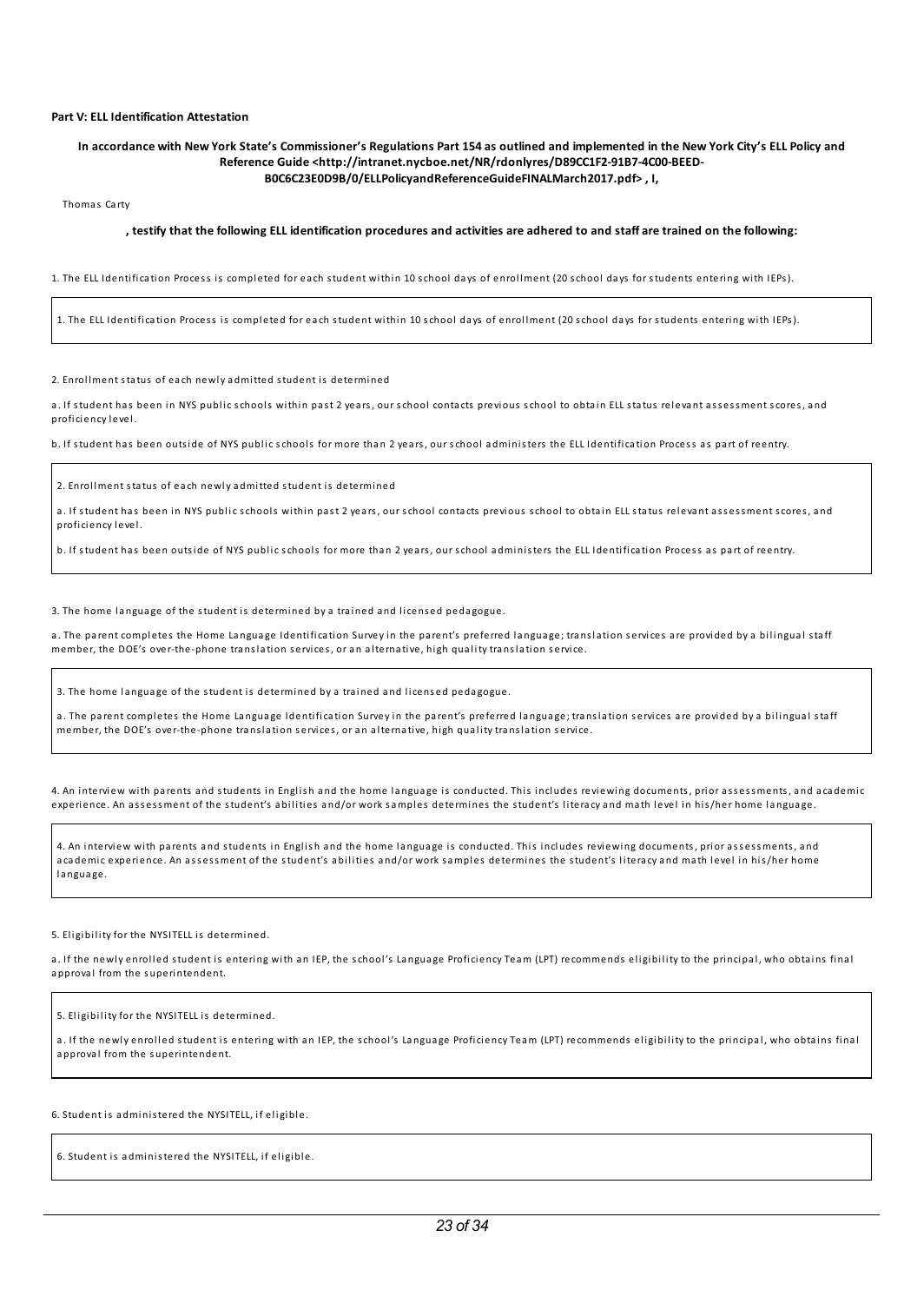#### **Part V:ELL Identification Attestation**

#### In accordance with New York State's Commissioner's Regulations Part 154 as outlined and implemented in the New York City's ELL Policy and **Reference Guide <http://intranet.nycboe.net/NR/rdonlyres/D89CC1F2-91B7-4C00-BEED-B0C6C23E0D9B/0/ELLPolicyandReferenceGuideFINALMarch2017.pdf> , I,**

Thomas Carty

#### , testify that the following ELL identification procedures and activities are adhered to and staff are trained on the following:

1. The ELL Identification Process is completed for each student within 10 school days of enrol lment (20 school days for students entering with IEPs).

1. The ELL Identification Process is completed for each student within 10 school days of enrol lment (20 school days for students entering with IEPs).

2. Enrollment status of each newly admitted student is determined

a. If student has been in NYS public schools within past 2 years, our school contacts previous school to obtain ELL status relevant assessment scores, and proficiency level.

b. If student has been outside of NYS public schools for more than 2 years, our school administers the ELL Identification Process as part of reentry.

2. Enrollment status of each newly admitted student is determined

a. If student has been in NYS public schools within past 2 years, our school contacts previous school to obtain ELL status relevant assessment scores, and proficiency level.

b. If student has been outside of NYS public schools for more than 2 years, our school administers the ELL Identification Process as part of reentry.

3. The home language of the student is determined by a trained and licensed pedagogue.

a. The parent completes the Home Language Identification Survey in the parent's preferred language; translation services are provided by a bilingual staff member, the DOE's over-the-phone translation services, or an alternative, high quality translation service.

3. The home language of the student is determined by a trained and licensed pedagogue.

a. The parent completes the Home Language Identification Survey in the parent's preferred language; translation services are provided by a bilingual staff member, the DOE's over-the-phone translation services, or an alternative, high quality translation service.

4. An interview with parents and students in English and the home language is conducted. This includes reviewing documents, prior assessments, and academic experience. An assessment of the student's abilities and/or work samples determines the student's literacy and math level in his/her home language.

4. An interview with parents and students in English and the home language is conducted. This includes reviewing documents, prior assessments, and academic experience. An assessment of the student's abilities and/or work samples determines the student's literacy and math level in his/her home la nguage.

#### 5. Eligibility for the NYSITELL is determined.

a. If the newly enrolled student is entering with an IEP, the school's Language Proficiency Team (LPT) recommends eligibility to the principal, who obtains final a pproval from the s uperintendent.

5. Eligibility for the NYSITELL is determined.

a. If the newly enrolled student is entering with an IEP, the school's Language Proficiency Team (LPT) recommends eligibility to the principal, who obtains final approval from the superintendent.

6. Student is a dministered the NYSITELL, if el igible.

6. Student is a dministered the NYSITELL, if el igible.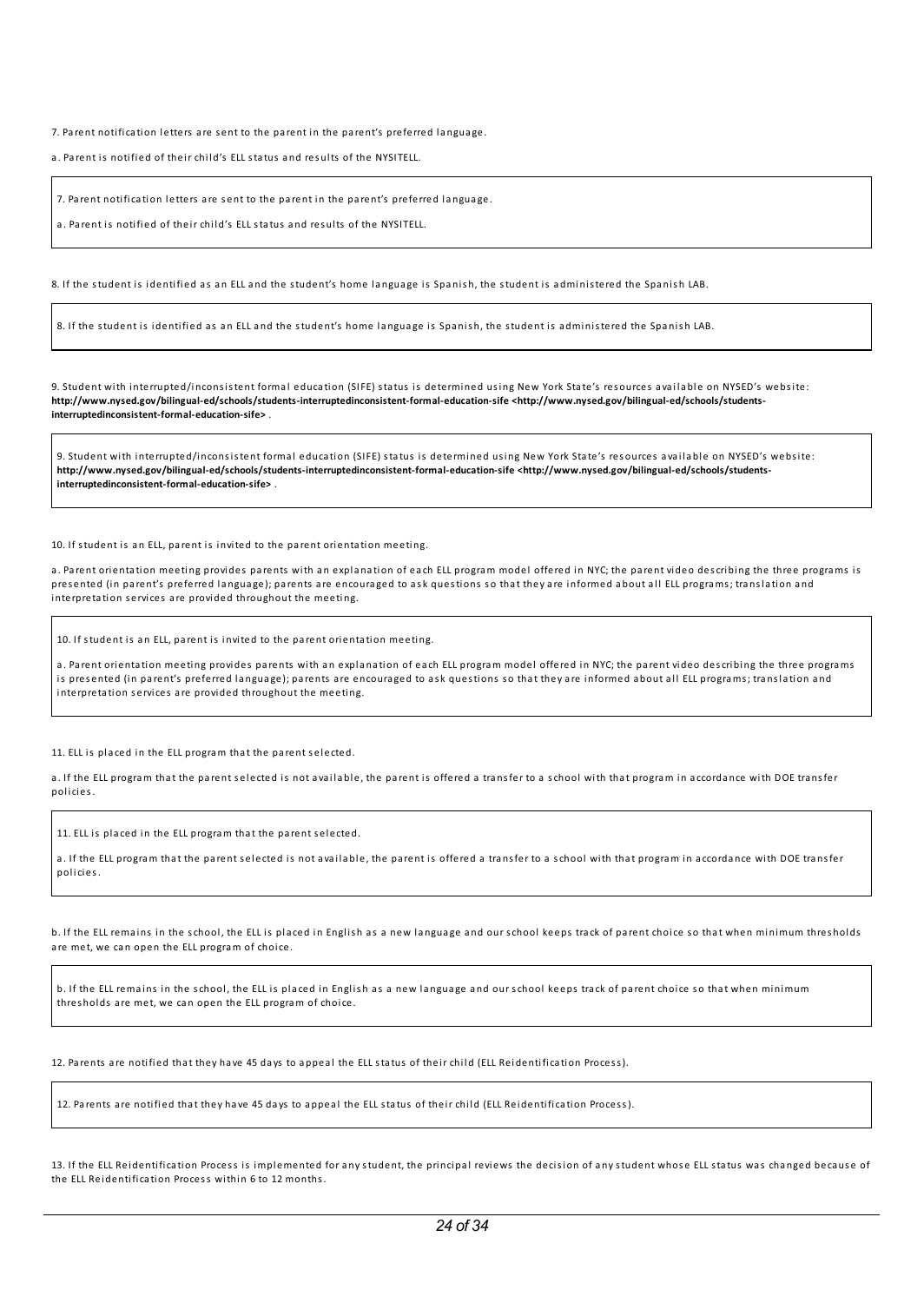7. Parent notification letters are sent to the parent in the parent's preferred language.

a. Parent is notified of their chi ld's ELL status a nd res ults of the NYSITELL.

7. Parent notification letters are sent to the parent in the parent's preferred language.

a. Parent is notified of their chi ld's ELL status a nd res ults of the NYSITELL.

8. If the student is identified as an ELL and the student's home language is Spanish, the student is administered the Spanish LAB.

8. If the student is identified as an ELL and the student's home language is Spanish, the student is administered the Spanish LAB.

9. Student with interrupted/inconsistent formal education (SIFE) status is determined using New York State's resources available on NYSED's website: **http://www.nysed.gov/bilingual-ed/schools/students-interruptedinconsistent-formal-education-sife <http://www.nysed.gov/bilingual-ed/schools/studentsinterruptedinconsistent-formal-education-sife>** .

9. Student with interrupted/inconsistent formal education (SIFE) status is determined using New York State's resources available on NYSED's website: **http://www.nysed.gov/bilingual-ed/schools/students-interruptedinconsistent-formal-education-sife <http://www.nysed.gov/bilingual-ed/schools/studentsinterruptedinconsistent-formal-education-sife>** .

10. If student is an ELL, parent is invited to the parent orientation meeting.

a. Parent orientation meeting provides parents with an explanation of each ELL program model offered in NYC; the parent video describing the three programs is presented (in parent's preferred language); parents are encouraged to ask questions so that they are informed about all ELL programs; translation and interpretation services are provided throughout the meeting.

10. If student is an ELL, parent is invited to the parent orientation meeting.

a. Parent orientation meeting provides parents with an explanation of each ELL program model offered in NYC; the parent video describing the three programs is presented (in parent's preferred language); parents are encouraged to ask questions so that they are informed about all ELL programs; translation and interpretation services are provided throughout the meeting.

11. ELL is placed in the ELL program that the parent selected.

a. If the ELL program that the parent selected is not available, the parent is offered a transfer to a school with that program in accordance with DOE transfer pol icies.

11. ELL is placed in the ELL program that the parent selected.

a. If the ELL program that the parent selected is not available, the parent is offered a transfer to a school with that program in accordance with DOE transfer policies.

b. If the ELL remains in the school, the ELL is placed in English as a new language and our school keeps track of parent choice so that when minimum thresholds are met, we can open the ELL program of choice.

b. If the ELL remains in the school, the ELL is placed in English as a new language and our school keeps track of parent choice so that when minimum thresholds are met, we can open the ELL program of choice.

12. Parents are notified that they have 45 days to appeal the ELL status of their child (ELL Reidentification Process).

12. Parents are notified that they have 45 days to a ppeal the ELL status of their chi ld (ELL Reidentification Process).

13. If the ELL Reidentification Process is implemented for any student, the principal reviews the decision of any student whose ELL status was changed because of the ELL Reidentification Process within 6 to 12 months.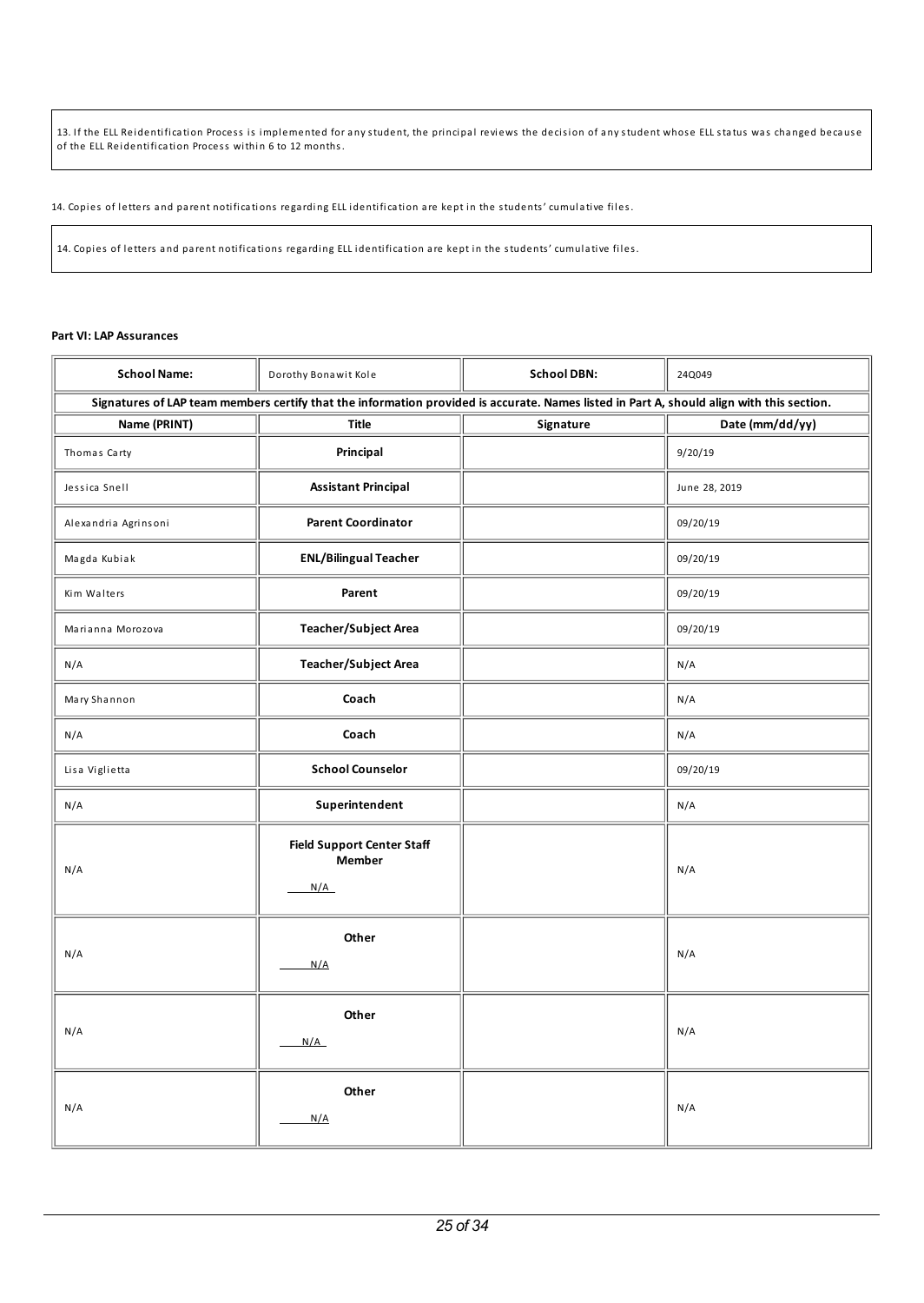13. If the ELL Reidentification Process is implemented for any student, the principal reviews the decision of any student whose ELL status was changed because of the ELL Reidentification Process within 6 to 12 months.

14. Copies of letters and parent notifications regarding ELL identification are kept in the students' cumulative files.

14. Copies of letters a nd parent notifications regarding ELL identification are kept in the students' cumulative fi les.

## **Part VI: LAP Assurances**

| <b>School Name:</b>  | Dorothy Bonawit Kole                                                                                                                      | <b>School DBN:</b> | 24Q049          |
|----------------------|-------------------------------------------------------------------------------------------------------------------------------------------|--------------------|-----------------|
|                      | Signatures of LAP team members certify that the information provided is accurate. Names listed in Part A, should align with this section. |                    |                 |
| Name (PRINT)         | <b>Title</b>                                                                                                                              | Signature          | Date (mm/dd/yy) |
| Thomas Carty         | Principal                                                                                                                                 |                    | 9/20/19         |
| Jessica Snell        | <b>Assistant Principal</b>                                                                                                                |                    | June 28, 2019   |
| Alexandria Agrinsoni | <b>Parent Coordinator</b>                                                                                                                 |                    | 09/20/19        |
| Magda Kubiak         | <b>ENL/Bilingual Teacher</b>                                                                                                              |                    | 09/20/19        |
| Kim Walters          | Parent                                                                                                                                    |                    | 09/20/19        |
| Marianna Morozova    | <b>Teacher/Subject Area</b>                                                                                                               |                    | 09/20/19        |
| N/A                  | <b>Teacher/Subject Area</b>                                                                                                               |                    | N/A             |
| Mary Shannon         | Coach                                                                                                                                     |                    | N/A             |
| N/A                  | Coach                                                                                                                                     |                    | N/A             |
| Lisa Viglietta       | <b>School Counselor</b>                                                                                                                   |                    | 09/20/19        |
| N/A                  | Superintendent                                                                                                                            |                    | N/A             |
| N/A                  | <b>Field Support Center Staff</b><br><b>Member</b><br>N/A                                                                                 |                    | N/A             |
| N/A                  | Other<br>N/A                                                                                                                              |                    | N/A             |
| N/A                  | Other<br>N/A                                                                                                                              |                    | N/A             |
| N/A                  | Other<br>N/A                                                                                                                              |                    | N/A             |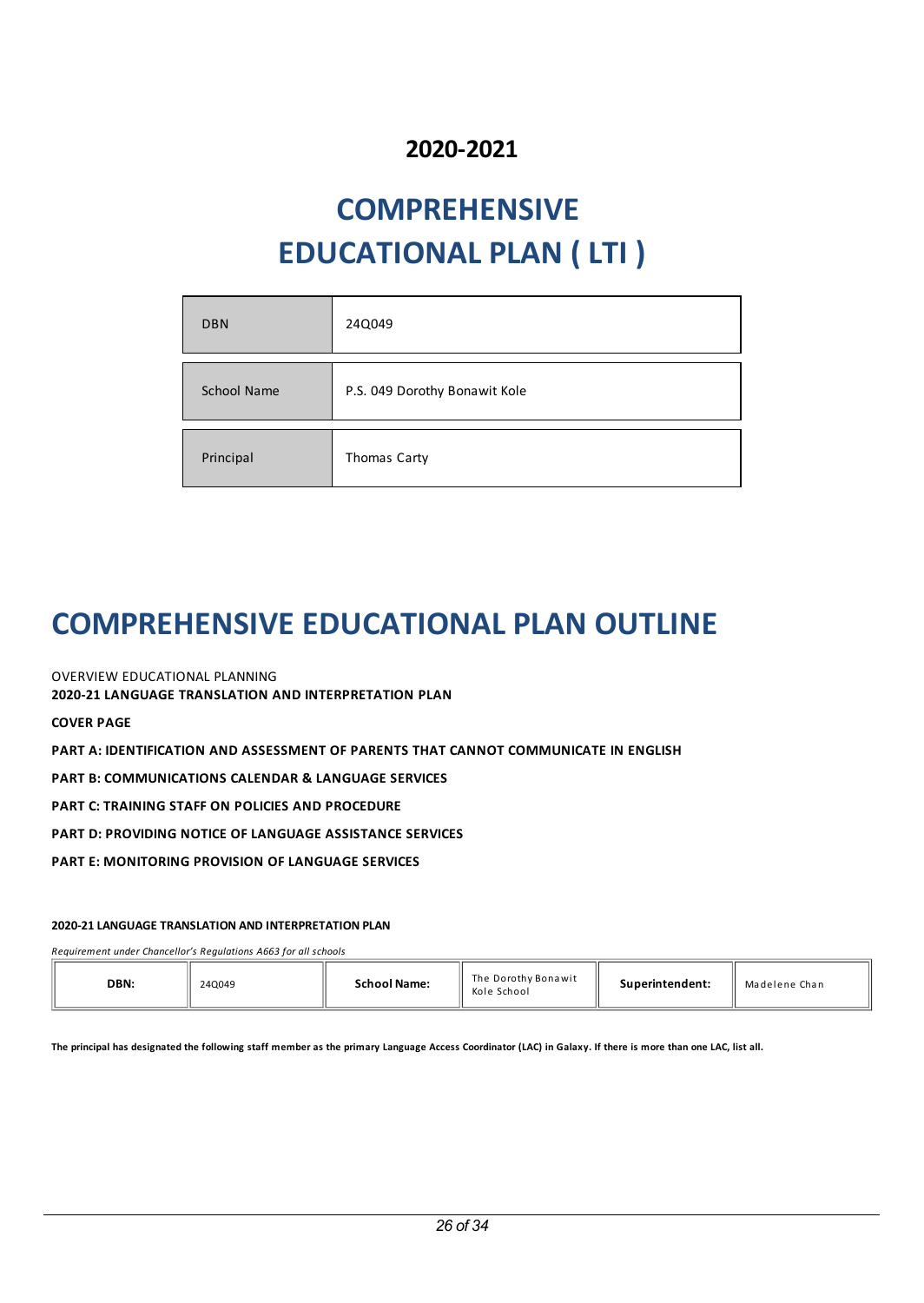## **2020-2021**

# **COMPREHENSIVE EDUCATIONAL PLAN ( LTI )**

| <b>DBN</b>         | 24Q049                        |
|--------------------|-------------------------------|
|                    |                               |
| <b>School Name</b> | P.S. 049 Dorothy Bonawit Kole |
|                    |                               |
| Principal          | Thomas Carty                  |

## **COMPREHENSIVEEDUCATIONAL PLAN OUTLINE**

OVERVIEW EDUCATIONAL PLANNING

**2020-21 LANGUAGE TRANSLATION AND INTERPRETATION PLAN**

**COVER PAGE**

**PART A: IDENTIFICATION AND ASSESSMENT OF PARENTS THAT CANNOT COMMUNICATE IN ENGLISH**

**PART B: COMMUNICATIONS CALENDAR & LANGUAGE SERVICES**

**PART C: TRAINING STAFF ON POLICIES AND PROCEDURE**

**PART D: PROVIDING NOTICE OF LANGUAGE ASSISTANCE SERVICES**

**PART E: MONITORING PROVISION OF LANGUAGE SERVICES**

## **2020-21 LANGUAGE TRANSLATION AND INTERPRETATION PLAN**

*Requirement under Chancellor's Regulations A663 for all schools*

The principal has designated the following staff member as the primary Language Access Coordinator (LAC) in Galaxy. If there is more than one LAC, list all.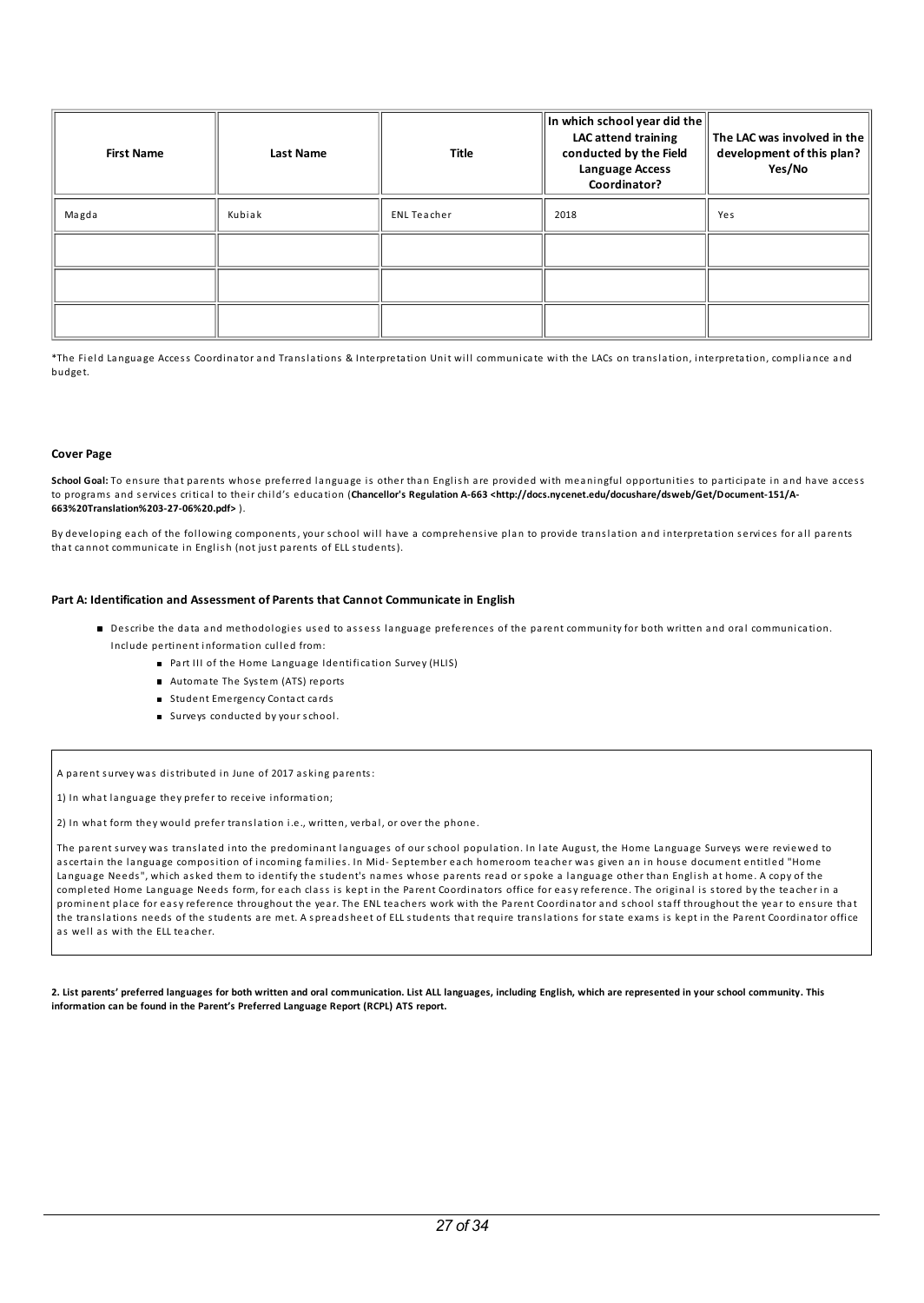| <b>First Name</b> | <b>Last Name</b> | $\ $ In which school year did the $\ $<br>Title |      | The LAC was involved in the<br>development of this plan?<br>Yes/No |
|-------------------|------------------|-------------------------------------------------|------|--------------------------------------------------------------------|
| Magda             | Kubiak           | <b>ENL Teacher</b>                              | 2018 | Yes                                                                |
|                   |                  |                                                 |      |                                                                    |
|                   |                  |                                                 |      |                                                                    |
|                   |                  |                                                 |      |                                                                    |

\*The Field Language Access Coordinator and Translations & Interpretation Unit will communicate with the LACs on translation, interpretation, compliance and budget.

#### **Cover Page**

School Goal: To ensure that parents whose preferred language is other than English are provided with meaningful opportunities to participate in and have access to programs a nd s ervices critical to their chi ld's education (**Chancellor's Regulation A-663 <http://docs.nycenet.edu/docushare/dsweb/Get/Document-151/A-663%20Translation%203-27-06%20.pdf>** ).

By developing each of the following components, your school will have a comprehensive plan to provide translation and interpretation services for all parents that cannot communicate in English (not just parents of ELL students).

### **Part A: Identification and Assessment of Parents that Cannot Communicate in English**

- Describe the data and methodologies used to assess language preferences of the parent community for both written and oral communication. Include pertinent information culled from:
	- Part III of the Home Language Identification Survey (HLIS)
	- Automate The System (ATS) reports
	- Student Emergency Contact cards
	- Surveys conducted by your school.

A parent s urvey was distributed in June of 2017 asking parents:

1) In what language they prefer to receive information;

2) In what form they would prefer tra nslation i.e., written, verbal, or over the phone.

The parent survey was translated into the predominant languages of our school population. In late August, the Home Language Surveys were reviewed to ascertain the language composition of incoming families. In Mid-September each homeroom teacher was given an in house document entitled "Home Language Needs", which asked them to identify the student's names whose parents read or spoke a language other than English at home. A copy of the completed Home La nguage Needs form, for each class is kept in the Parent Coordinators office for easy reference. The original is stored by the teacher in a prominent place for easy reference throughout the year. The ENL teachers work with the Parent Coordinator a nd school staff throughout the year to ens ure that the tra nslations needs of the students are met. A s prea ds heet of ELL students that require tra nslations for state exams is kept in the Parent Coordinator office as well as with the ELL teacher.

2. List parents' preferred languages for both written and oral communication. List ALL languages, including English, which are represented in your school community. This **information can be found in the Parent's Preferred Language Report (RCPL) ATS report.**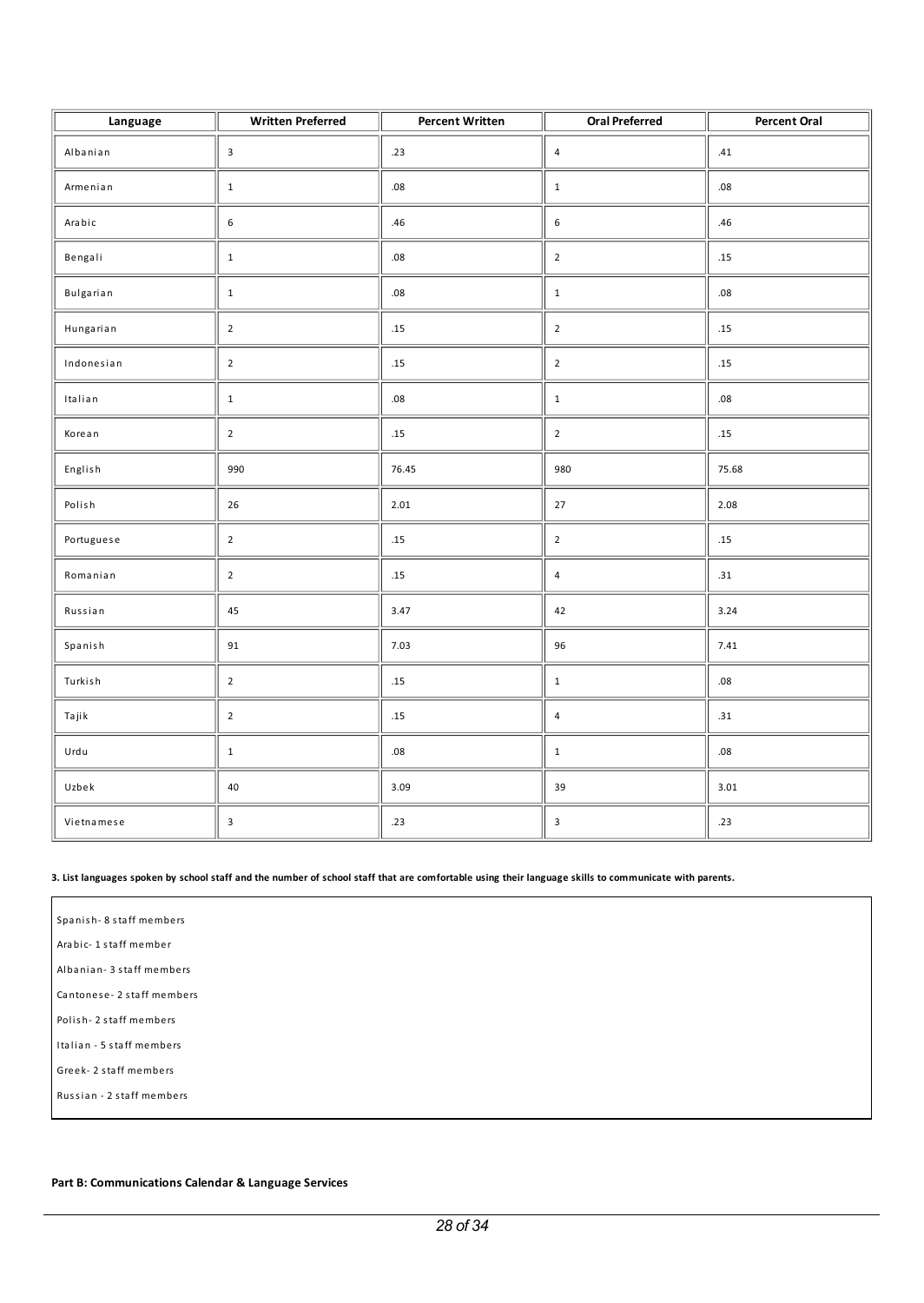| Language   | <b>Written Preferred</b>  | <b>Percent Written</b> | <b>Oral Preferred</b> | <b>Percent Oral</b> |
|------------|---------------------------|------------------------|-----------------------|---------------------|
| Albanian   | $\overline{\mathbf{3}}$   | .23                    | $\overline{4}$        | .41                 |
| Armenian   | $\,1\,$                   | .08                    | $\mathbf 1$           | .08                 |
| Arabic     | $\,$ 6 $\,$               | .46                    | $\boldsymbol{6}$      | .46                 |
| Bengali    | $\,1\,$                   | .08                    | $\overline{2}$        | $.15\,$             |
| Bulgarian  | $\mathbf 1$               | .08                    | $\mathbf{1}$          | .08                 |
| Hungarian  | $\overline{2}$            | .15                    | $\overline{2}$        | .15                 |
| Indonesian | $\overline{2}$            | .15                    | $\overline{2}$        | .15                 |
| Italian    | $\,1\,$                   | .08                    | $\,1\,$               | $.08\,$             |
| Korean     | $\overline{2}$            | .15                    | $\overline{2}$        | .15                 |
| English    | 990                       | 76.45                  | 980                   | 75.68               |
| Polish     | 26                        | 2.01                   | 27                    | 2.08                |
| Portuguese | $\overline{2}$            | $.15\,$                | $\overline{2}$        | .15                 |
| Romanian   | $\mathbf 2$               | $.15\,$                | $\sqrt{4}$            | .31                 |
| Russian    | 45                        | 3.47                   | 42                    | 3.24                |
| Spanish    | 91                        | 7.03                   | 96                    | 7.41                |
| Turkish    | $\overline{2}$            | $.15\,$                | $\mathbf 1$           | $.08\,$             |
| Tajik      | $\overline{2}$            | .15                    | $\overline{4}$        | .31                 |
| Urdu       | $\mathbf 1$               | .08                    | $\mathbf 1$           | .08                 |
| Uzbek      | 40                        | 3.09                   | 39                    | 3.01                |
| Vietnamese | $\ensuremath{\mathsf{3}}$ | .23                    | 3                     | .23                 |

### 3. List languages spoken by school staff and the number of school staff that are comfortable using their language skills to communicate with parents.

Spa nis h- 8 staff members Ara bic- 1 staff member

Alba nia n- 3 staff members

Ca ntones e- 2 staff members

Polish-2 staff members

Italian - 5 staff members

Greek- 2 staff members

Russia n - 2 staff members

## **Part B: Communications Calendar & Language Services**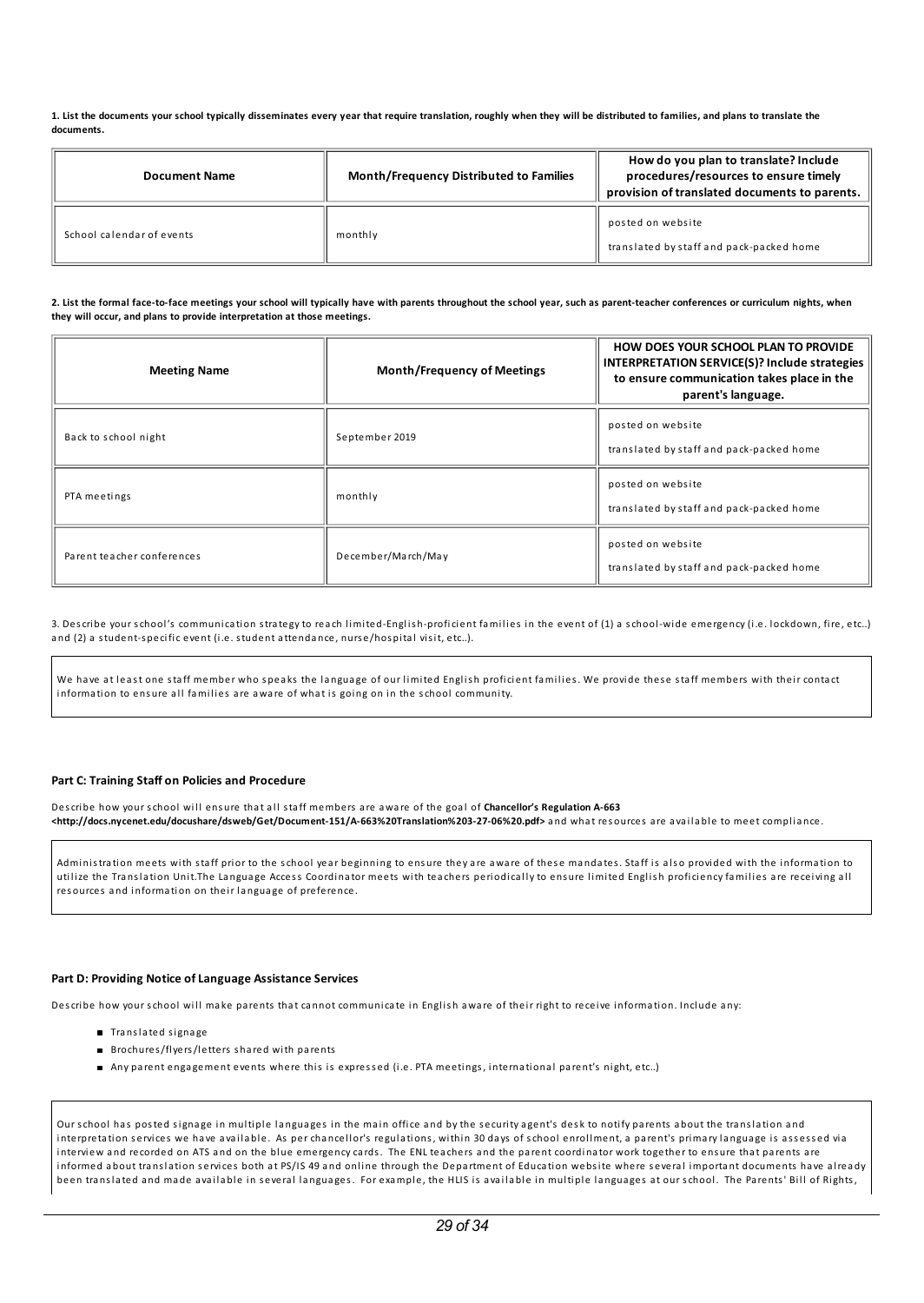1. List the documents your school typically disseminates every year that require translation, roughly when they will be distributed to families, and plans to translate the **documents.**

| <b>Document Name</b>      | <b>Month/Frequency Distributed to Families</b> | How do you plan to translate? Include<br>procedures/resources to ensure timely<br>provision of translated documents to parents. |
|---------------------------|------------------------------------------------|---------------------------------------------------------------------------------------------------------------------------------|
| School calendar of events | monthly                                        | posted on website<br>translated by staff and pack-packed home                                                                   |

2. List the formal face-to-face meetings your school will typically have with parents throughout the school year, such as parent-teacher conferences or curriculum nights, when **they will occur, and plans to provide interpretation at those meetings.**

| <b>Meeting Name</b>        | <b>Month/Frequency of Meetings</b> | <b>HOW DOES YOUR SCHOOL PLAN TO PROVIDE</b><br>INTERPRETATION SERVICE(S)? Include strategies<br>to ensure communication takes place in the<br>parent's language. |
|----------------------------|------------------------------------|------------------------------------------------------------------------------------------------------------------------------------------------------------------|
| Back to school night       | September 2019                     | posted on website<br>translated by staff and pack-packed home                                                                                                    |
| PTA meetings               | monthly                            | posted on website<br>translated by staff and pack-packed home                                                                                                    |
| Parent teacher conferences | December/March/May                 | posted on website<br>translated by staff and pack-packed home                                                                                                    |

3. Describe your school's communication strategy to reach limited-English-proficient families in the event of (1) a school-wide emergency (i.e. lockdown, fire, etc..) and (2) a student-specific event (i.e. student attendance, nurse/hospital visit, etc..).

We have at least one staff member who speaks the language of our limited English proficient families. We provide these staff members with their contact information to ensure all families are aware of what is going on in the school community.

## **Part C: Training Staff on Policies and Procedure**

Describe how your school will ensure that all staff members are aware of the goal of Chancellor's Regulation A-663 **<http://docs.nycenet.edu/docushare/dsweb/Get/Document-151/A-663%20Translation%203-27-06%20.pdf>** a nd what res ources are avai la ble to meet compl ia nce.

Administration meets with staff prior to the school year beginning to ensure they are aware of these mandates. Staff is also provided with the information to utilize the Translation Unit.The Language Access Coordinator meets with teachers periodically to ensure limited English proficiency families are receiving all res ources a nd information on their la nguage of preference.

#### **Part D: Providing Notice ofLanguage Assistance Services**

Describe how your school will make parents that cannot communicate in English aware of their right to receive information. Include any:

- Translated signage
- Brochures/flyers/letters shared with parents
- Any parent engagement events where this is express ed (i.e. PTA meetings, international parent's night, etc..)

Our school has posted signage in multiple languages in the main office and by the security agent's desk to notify parents about the translation and interpretation services we have available. As per chancellor's regulations, within 30 days of school enrollment, a parent's primary language is assessed via interview and recorded on ATS and on the blue emergency cards. The ENL teachers and the parent coordinator work together to ensure that parents are informed about translation services both at PS/IS 49 and online through the Department of Education website where several important documents have already been translated and made available in several languages. For example, the HLIS is available in multiple languages at our school. The Parents' Bill of Rights,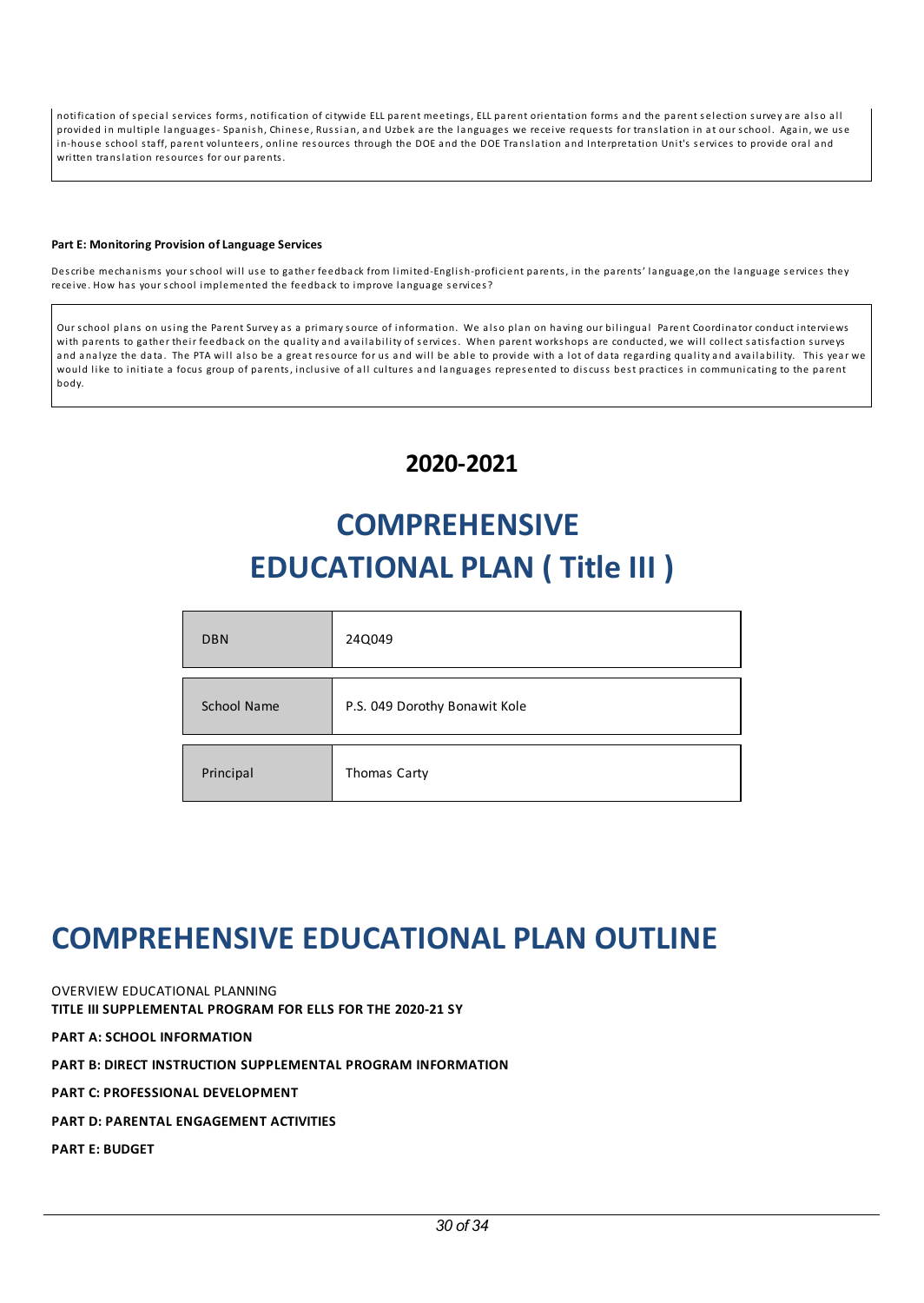notification of special services forms, notification of citywide ELL parent meetings, ELL parent orientation forms and the parent selection survey are also all provided in multiple languages- Spanish, Chinese, Russian, and Uzbek are the languages we receive requests for translation in at our school. Again, we use in-house school staff, parent volunteers, online resources through the DOE and the DOE Translation and Interpretation Unit's services to provide oral and written translation resources for our parents.

### **PartE: Monitoring Provision ofLanguage Services**

Describe mechanisms your school will use to gather feedback from limited-English-proficient parents, in the parents' language, on the language services they receive. How has your school implemented the feedback to improve language services?

Our school plans on using the Parent Survey as a primary source of information. We also plan on having our bilingual Parent Coordinator conduct interviews with parents to gather their feedback on the quality and availability of services. When parent workshops are conducted, we will collect satisfaction surveys and analyze the data. The PTA will also be a great resource for us and will be able to provide with a lot of data regarding quality and availability. This year we would like to initiate a focus group of parents, inclusive of all cultures and languages represented to discuss best practices in communicating to the parent body.

## **2020-2021**

# **COMPREHENSIVE EDUCATIONAL PLAN ( Title III )**

| <b>DBN</b>  | 24Q049                        |
|-------------|-------------------------------|
| School Name | P.S. 049 Dorothy Bonawit Kole |
| Principal   | Thomas Carty                  |

## **COMPREHENSIVEEDUCATIONAL PLAN OUTLINE**

OVERVIEW EDUCATIONAL PLANNING **TITLE III SUPPLEMENTAL PROGRAM FOR ELLS FOR THE 2020-21 SY PART A: SCHOOL INFORMATION**

**PART B: DIRECT INSTRUCTION SUPPLEMENTAL PROGRAM INFORMATION**

**PART C: PROFESSIONAL DEVELOPMENT**

**PART D: PARENTAL ENGAGEMENT ACTIVITIES**

**PART E: BUDGET**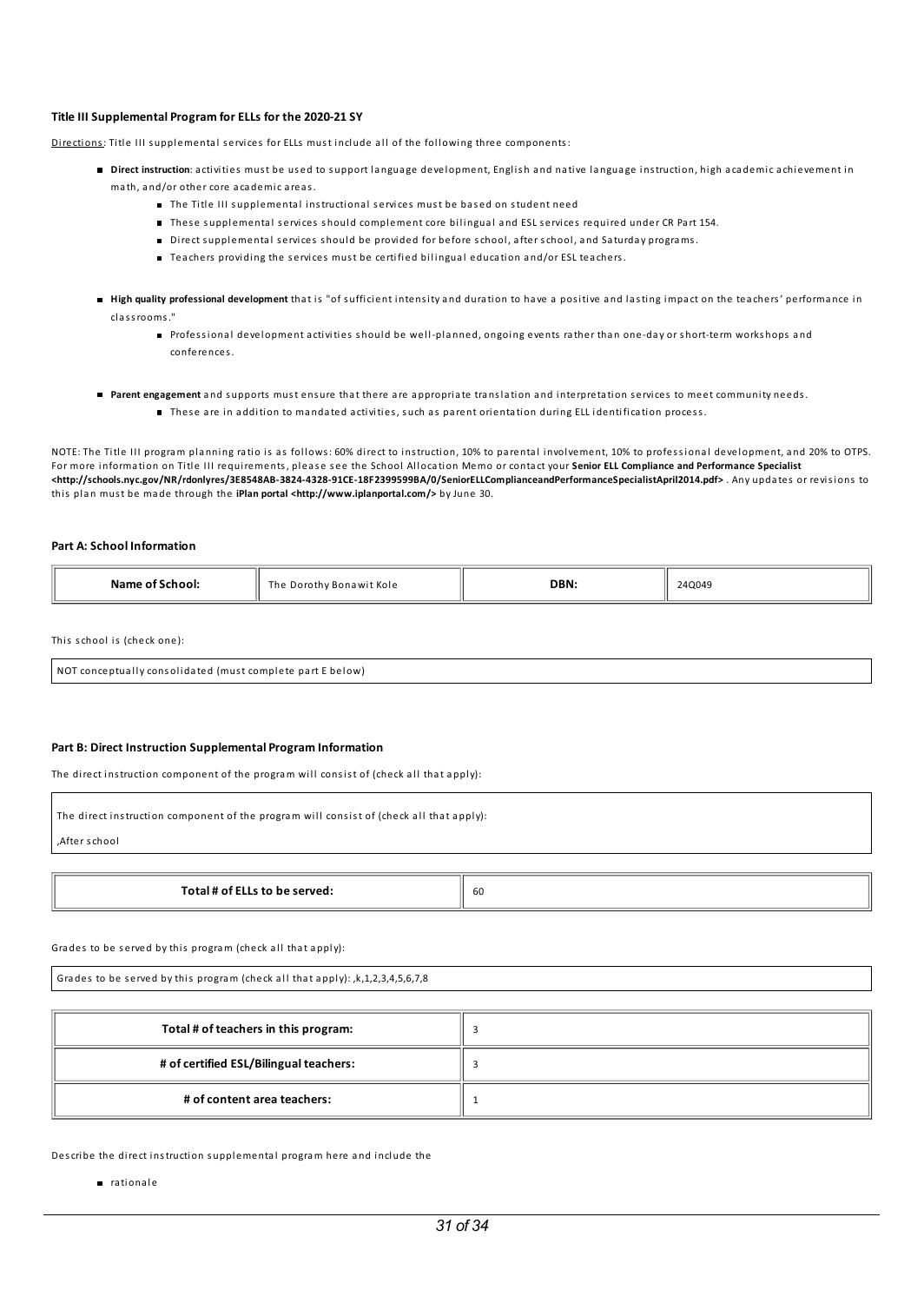#### **Title III Supplemental ProgramforELLs for the 2020-21 SY**

Directions: Title III supplemental services for ELLs must include all of the following three components:

- **Direct instruction**: activities must be used to support language development, English and native language instruction, high academic achievement in math, a nd/or other core aca demic areas.
	- The Title III supplemental instructional services must be based on student need
	- These supplemental services should complement core bilingual and ESL services required under CR Part 154.
	- Direct s upplemental s ervices s hould be provided for before school, after school, a nd Saturday programs.
	- $\blacksquare$  Teachers providing the services must be certified bilingual education and/or ESL teachers.
- **High quality professional development** that is "of s ufficient intensity a nd duration to have a positive a nd lasting impact on the teachers' performa nce in classrooms."
	- Professional development activities should be well-planned, ongoing events rather than one-day or short-term workshops and conferences.
- **Parent engagement** and supports must ensure that there are appropriate translation and interpretation services to meet community needs.
	- These are in addition to mandated activities, such as parent orientation during ELL identification process.

NOTE: The Title III program planning ratio is as follows: 60% direct to instruction, 10% to parental involvement, 10% to professional development, and 20% to OTPS. For more information on Title III requirements, pleas e s ee the School Al location Memo or contact your **Senior ELL Compliance and Performance Specialist <http://schools.nyc.gov/NR/rdonlyres/3E8548AB-3824-4328-91CE-18F2399599BA/0/SeniorELLComplianceandPerformanceSpecialistApril2014.pdf>** . Any updates or revisions to this pla n must be ma de through the **iPlan portal <http://www.iplanportal.com/>** by June 30.

#### **Part A:School Information**

| SCNOOI:<br>. | e Dorothy Bonawit Kole<br>The<br>. | DBN: | 240049<br>____ |
|--------------|------------------------------------|------|----------------|
|              |                                    |      |                |

This school is (check one):

NOT conceptually consolidated (must complete part E below)

#### **Part B: Direct Instruction Supplemental Program Information**

The direct instruction component of the program will consist of (check all that apply):

| The direct instruction component of the program will consist of (check all that apply): |    |  |
|-----------------------------------------------------------------------------------------|----|--|
| After school,                                                                           |    |  |
|                                                                                         |    |  |
| Total # of ELLs to be served:                                                           | 60 |  |

Grades to be served by this program (check all that apply):

Grades to be served by this program (check all that apply):  $k$ , 1, 2, 3, 4, 5, 6, 7, 8

| Total # of teachers in this program:   |  |
|----------------------------------------|--|
| # of certified ESL/Bilingual teachers: |  |
| # of content area teachers:            |  |

Describe the direct instruction s upplemental program here a nd include the

nationale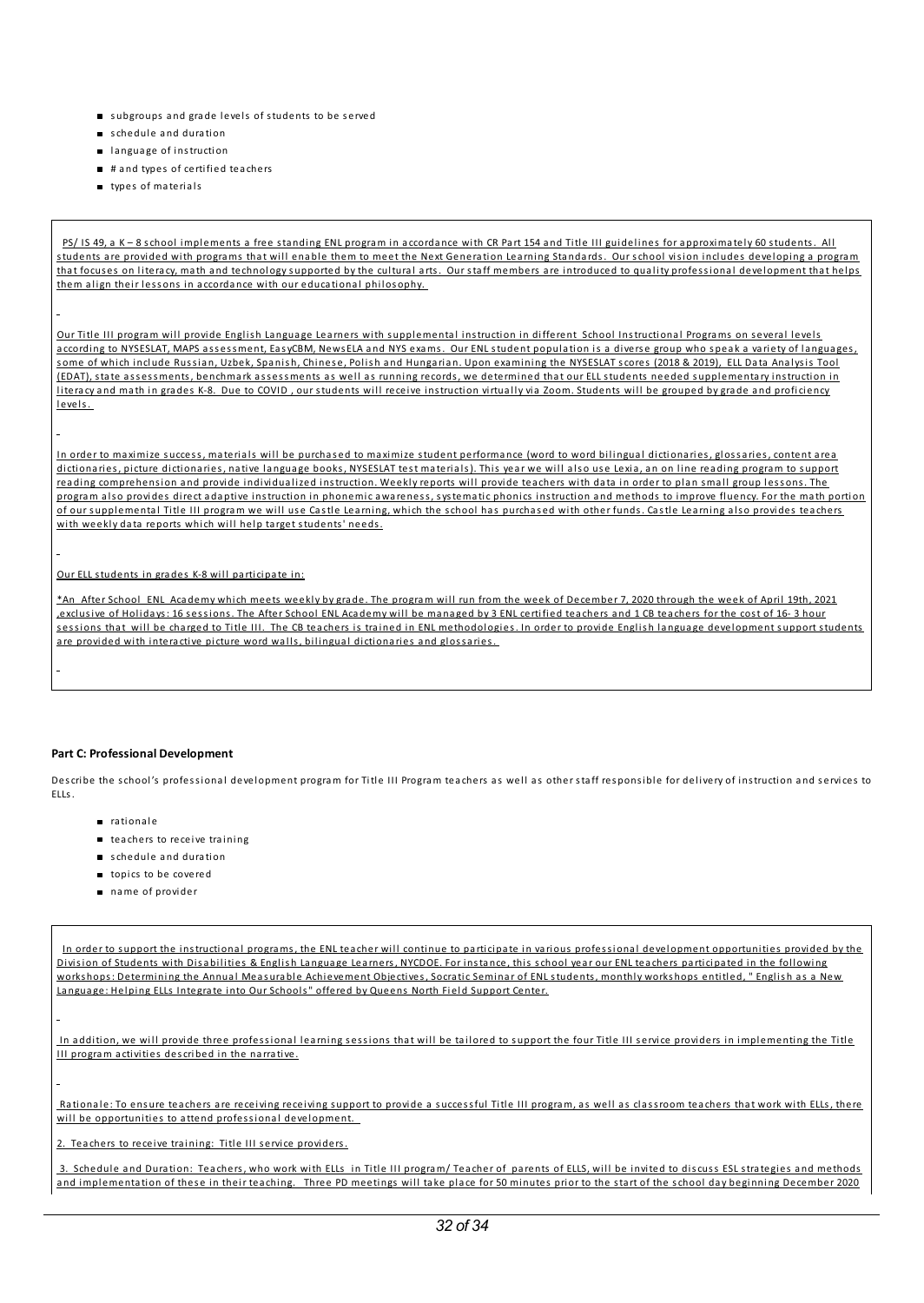- us ubgroups and grade levels of students to be served
- schedule and duration
- **a** language of instruction
- # and types of certified teachers
- types of materials

PS/ IS 49, a K - 8 school implements a free standing ENL program in accordance with CR Part 154 and Title III guidelines for approximately 60 students. All students are provided with programs that will enable them to meet the Next Generation Learning Standards. Our school vision includes developing a program that focuses on literacy, math and technology supported by the cultural arts. Our staff members are introduced to quality professional development that helps them align their lessons in accordance with our educational philosophy.

Our Title III program will provide English Language Learners with supplemental instruction in different School Instructional Programs on several levels according to NYSESLAT, MAPS assessment, EasyCBM, NewsELA and NYS exams. Our ENL student population is a diverse group who speak a variety of languages, some of which include Russian, Uzbek, Spanish, Chinese, Polish and Hungarian. Upon examining the NYSESLAT scores (2018 & 2019), ELL Data Analysis Tool (EDAT), state assessments, benchmark assessments as well as running records, we determined that our ELL students needed supplementary instruction in literacy and math in grades K-8. Due to COVID, our students will receive instruction virtually via Zoom. Students will be grouped by grade and proficiency levels.

In order to maximize success, materials will be purchased to maximize student performance (word to word bilingual dictionaries, glossaries, content area dictionaries, picture dictionaries, native language books, NYSESLAT test materials). This year we will also use Lexia, an on line reading program to support reading comprehension and provide individualized instruction. Weekly reports will provide teachers with data in order to plan small group lessons. The program also provides direct adaptive instruction in phonemic awareness, systematic phonics instruction and methods to improve fluency. For the math portion of our supplemental Title III program we will use Castle Learning, which the school has purchased with other funds. Castle Learning also provides teachers with weekly data reports which will help target students' needs.

Our ELL students in grades K-8 will participate in:

\*An After School ENL Academy which meets weekly by grade. The program will run from the week of December 7, 2020 through the week of April 19th, 2021 ,exclusive of Holidays: 16 sessions. The After School ENL Academy will be managed by 3 ENL certified teachers and 1 CB teachers for the cost of 16- 3 hour sessions that will be charged to Title III. The CB teachers is trained in ENL methodologies. In order to provide English language development support students are provided with interactive picture word walls, bilingual dictionaries and glossaries.

#### **Part C: Professional Development**

Describe the school's professional development program for Title III Program teachers as well as other staff responsible for delivery of instruction and services to ELLs.

- nationale
- teachers to receive training
- schedule and duration
- topics to be covered
- name of provider

In order to support the instructional programs, the ENL teacher will continue to participate in various professional development opportunities provided by the Division of Students with Disabilities & English Language Learners, NYCDOE. For instance, this school year our ENL teachers participated in the following workshops: Determining the Annual Measurable Achievement Objectives, Socratic Seminar of ENL students, monthly workshops entitled, " English as a New Language: Helping ELLs Integrate into Our Schools" offered by Queens North Field Support Center.

In addition, we will provide three professional learning sessions that will be tailored to support the four Title III service providers in implementing the Title III program activities described in the narrative.

Rationale: To ensure teachers are receiving receiving support to provide a successful Title III program, as well as classroom teachers that work with ELLs, there will be opportunities to attend professional development.

Teachers to receive training: Title III service providers.

3. Schedule and Duration: Teachers, who work with ELLs in Title III program/ Teacher of parents of ELLS, will be invited to discuss ESL strategies and methods and implementation of these in their teaching. Three PD meetings will take place for 50 minutes prior to the start of the school day beginning December 2020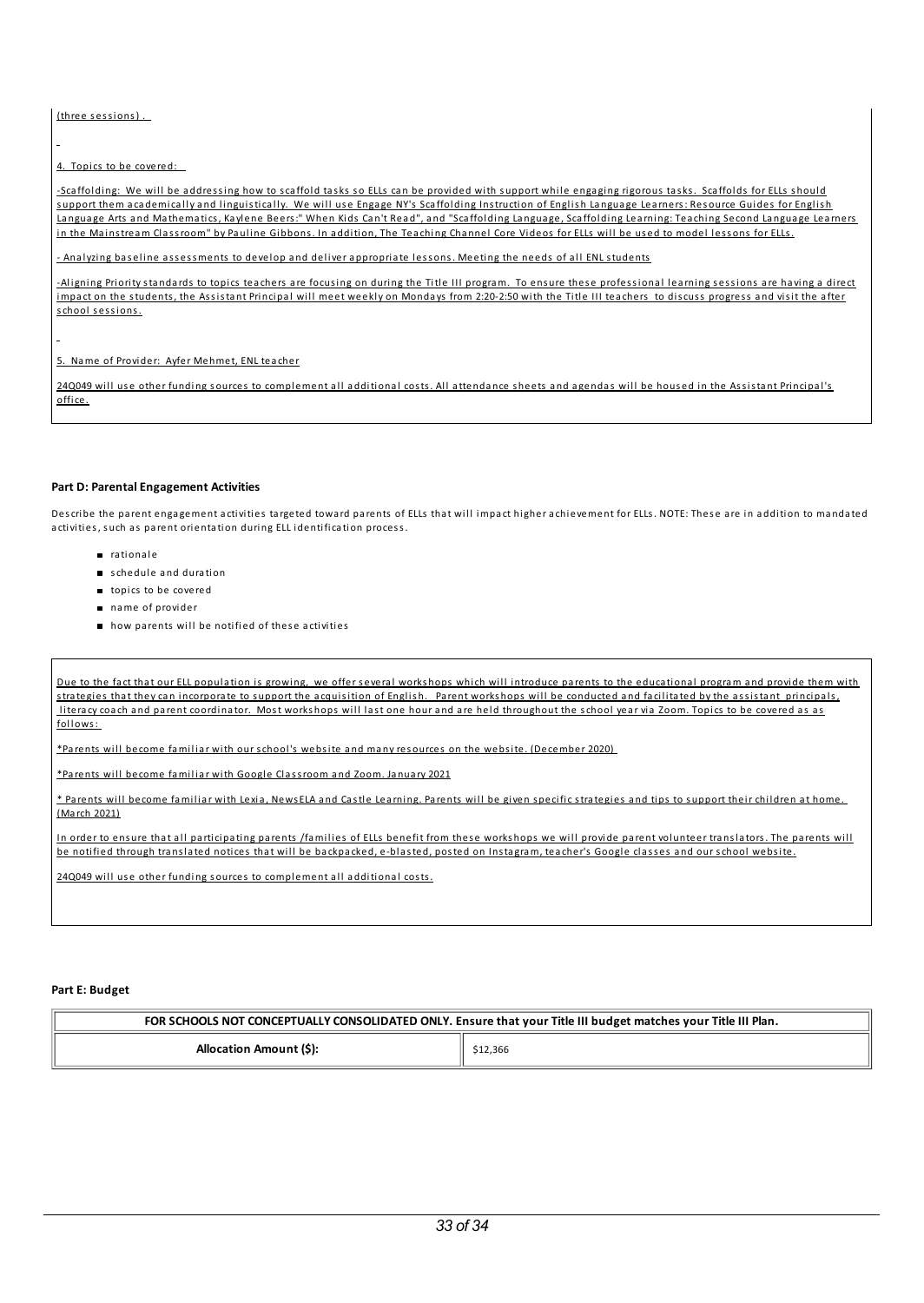(three sessions).

4. Topics to be covered:

-Scaffolding: We will be addressing how to scaffold tasks so ELLs can be provided with support while engaging rigorous tasks. Scaffolds for ELLs should support them academically and linguistically. We will use Engage NY's Scaffolding Instruction of English Language Learners: Resource Guides for English Language Arts and Mathematics, Kaylene Beers:" When Kids Can't Read", and "Scaffolding Language, Scaffolding Learning: Teaching Second Language Learners in the Mainstream Classroom" by Pauline Gibbons. In addition, The Teaching Channel Core Videos for ELLs will be used to model lessons for ELLs.

- Analyzing baseline assessments to develop and deliver appropriate lessons. Meeting the needs of all ENL students

-Aligning Priority standards to topics teachers are focusing on during the Title III program. To ensure these professional learning sessions are having a direct impact on the students, the Assistant Principal will meet weekly on Mondays from 2:20-2:50 with the Title III teachers to discuss progress and visit the after school sessions.

5. Name of Provider: Ayfer Mehmet, ENL teacher

24Q049 will use other funding sources to complement all additional costs. All attendance sheets and agendas will be housed in the Assistant Principal's office.

#### **Part D: ParentalEngagement Activities**

Describe the parent engagement activities targeted toward parents of ELLs that will impact higher achievement for ELLs. NOTE: These are in addition to mandated activities, such as parent orientation during ELL identification process.

- n rationale
- schedule and duration
- topics to be covered
- name of provider
- $\blacksquare$  how parents will be notified of these activities

Due to the fact that our ELL population is growing, we offer several workshops which will introduce parents to the educational program and provide them with strategies that they can incorporate to support the acquisition of English. Parent workshops will be conducted and facilitated by the assistant principals, literacy coach and parent coordinator. Most workshops will last one hour and are held throughout the school year via Zoom. Topics to be covered as as follows:

\*Parents will become familiar with our school's website and many resources on the website. (December 2020)

\*Parents wi l l become fami l iar with Google Classroom a nd Zoom. Ja nuary 2021

\* Parents will become familiar with Lexia, NewsELA and Castle Learning. Parents will be given specific strategies and tips to support their children at home. (March 2021)

In order to ensure that all participating parents /families of ELLs benefit from these workshops we will provide parent volunteer translators. The parents will be notified through translated notices that will be backpacked, e-blasted, posted on Instagram, teacher's Google classes and our school website.

24Q049 will use other funding sources to complement all additional costs.

### Part E: **Budget**

| FOR SCHOOLS NOT CONCEPTUALLY CONSOLIDATED ONLY. Ensure that your Title III budget matches your Title III Plan. |         |  |
|----------------------------------------------------------------------------------------------------------------|---------|--|
| Allocation Amount (\$):                                                                                        | 12,366ء |  |